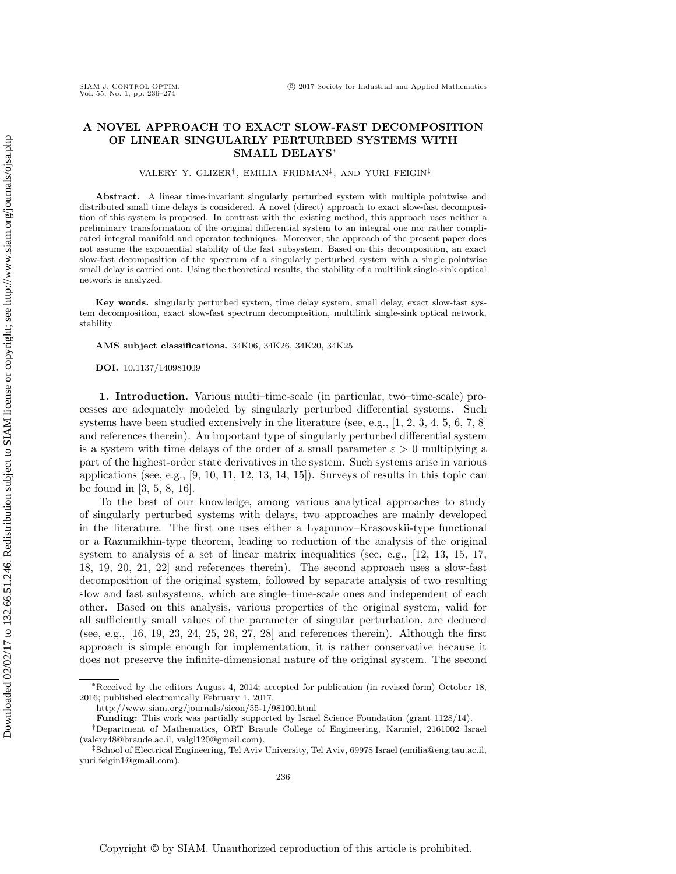# **A NOVEL APPROACH TO EXACT SLOW-FAST DECOMPOSITION OF LINEAR SINGULARLY PERTURBED SYSTEMS WITH SMALL DELAYS**∗

VALERY Y. GLIZER† , EMILIA FRIDMAN‡, AND YURI FEIGIN‡

**Abstract.** A linear time-invariant singularly perturbed system with multiple pointwise and distributed small time delays is considered. A novel (direct) approach to exact slow-fast decomposition of this system is proposed. In contrast with the existing method, this approach uses neither a preliminary transformation of the original differential system to an integral one nor rather complicated integral manifold and operator techniques. Moreover, the approach of the present paper does not assume the exponential stability of the fast subsystem. Based on this decomposition, an exact slow-fast decomposition of the spectrum of a singularly perturbed system with a single pointwise small delay is carried out. Using the theoretical results, the stability of a multilink single-sink optical network is analyzed.

**Key words.** singularly perturbed system, time delay system, small delay, exact slow-fast system decomposition, exact slow-fast spectrum decomposition, multilink single-sink optical network, stability

**AMS subject classifications.** 34K06, 34K26, 34K20, 34K25

**DOI.** 10.1137/140981009

**1. Introduction.** Various multi–time-scale (in particular, two–time-scale) processes are adequately modeled by singularly perturbed differential systems. Such systems have been studied extensively in the literature (see, e.g.,  $[1, 2, 3, 4, 5, 6, 7, 8]$  $[1, 2, 3, 4, 5, 6, 7, 8]$  $[1, 2, 3, 4, 5, 6, 7, 8]$  $[1, 2, 3, 4, 5, 6, 7, 8]$  $[1, 2, 3, 4, 5, 6, 7, 8]$  $[1, 2, 3, 4, 5, 6, 7, 8]$  $[1, 2, 3, 4, 5, 6, 7, 8]$  $[1, 2, 3, 4, 5, 6, 7, 8]$ ) and references therein). An important type of singularly perturbed differential system is a system with time delays of the order of a small parameter  $\varepsilon > 0$  multiplying a part of the highest-order state derivatives in the system. Such systems arise in various applications (see, e.g.,  $[9, 10, 11, 12, 13, 14, 15]$  $[9, 10, 11, 12, 13, 14, 15]$  $[9, 10, 11, 12, 13, 14, 15]$  $[9, 10, 11, 12, 13, 14, 15]$  $[9, 10, 11, 12, 13, 14, 15]$  $[9, 10, 11, 12, 13, 14, 15]$  $[9, 10, 11, 12, 13, 14, 15]$ ). Surveys of results in this topic can be found in [\[3,](#page-36-2) [5,](#page-36-4) [8,](#page-36-7) [16\]](#page-37-7).

To the best of our knowledge, among various analytical approaches to study of singularly perturbed systems with delays, two approaches are mainly developed in the literature. The first one uses either a Lyapunov–Krasovskii-type functional or a Razumikhin-type theorem, leading to reduction of the analysis of the original system to analysis of a set of linear matrix inequalities (see, e.g., [\[12,](#page-37-3) [13,](#page-37-4) [15,](#page-37-6) [17,](#page-37-8) [18,](#page-37-9) [19,](#page-37-10) [20,](#page-37-11) [21,](#page-37-12) [22\]](#page-37-13) and references therein). The second approach uses a slow-fast decomposition of the original system, followed by separate analysis of two resulting slow and fast subsystems, which are single–time-scale ones and independent of each other. Based on this analysis, various properties of the original system, valid for all sufficiently small values of the parameter of singular perturbation, are deduced (see, e.g., [\[16,](#page-37-7) [19,](#page-37-10) [23,](#page-37-14) [24,](#page-37-15) [25,](#page-37-16) [26,](#page-37-17) [27,](#page-37-18) [28\]](#page-37-19) and references therein). Although the first approach is simple enough for implementation, it is rather conservative because it does not preserve the infinite-dimensional nature of the original system. The second

<sup>∗</sup>Received by the editors August 4, 2014; accepted for publication (in revised form) October 18, 2016; published electronically February 1, 2017.

<http://www.siam.org/journals/sicon/55-1/98100.html>

**Funding:** This work was partially supported by Israel Science Foundation (grant 1128/14).

<sup>†</sup>Department of Mathematics, ORT Braude College of Engineering, Karmiel, 2161002 Israel [\(valery48@braude.ac.il,](mailto:valery48@braude.ac.il) [valgl120@gmail.com\)](mailto:valgl120@gmail.com).

<sup>‡</sup>School of Electrical Engineering, Tel Aviv University, Tel Aviv, 69978 Israel [\(emilia@eng.tau.ac.il,](mailto:emilia@eng.tau.ac.il) [yuri.feigin1@gmail.com\)](mailto:yuri.feigin1@gmail.com).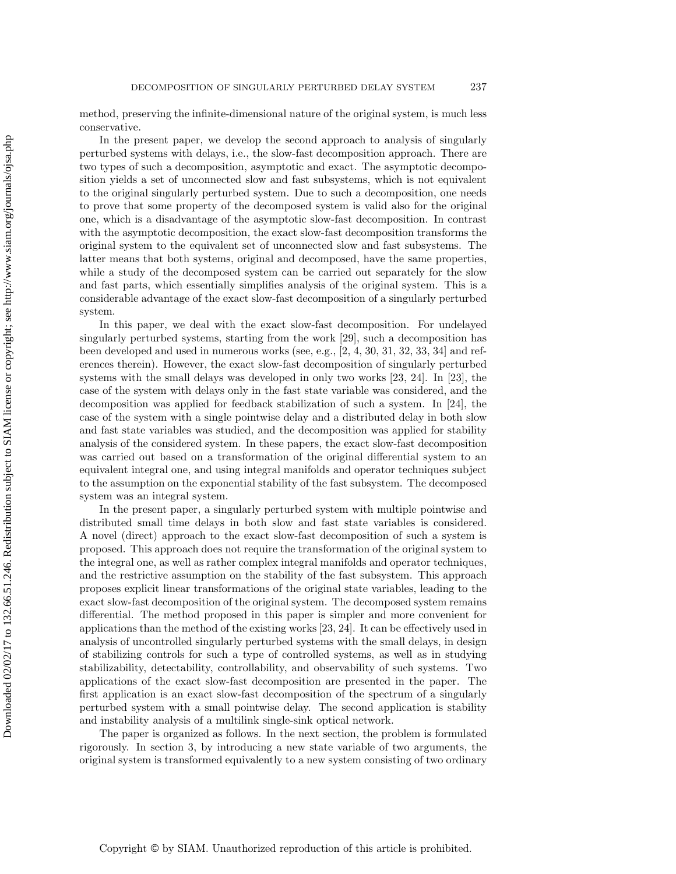method, preserving the infinite-dimensional nature of the original system, is much less conservative.

In the present paper, we develop the second approach to analysis of singularly perturbed systems with delays, i.e., the slow-fast decomposition approach. There are two types of such a decomposition, asymptotic and exact. The asymptotic decomposition yields a set of unconnected slow and fast subsystems, which is not equivalent to the original singularly perturbed system. Due to such a decomposition, one needs to prove that some property of the decomposed system is valid also for the original one, which is a disadvantage of the asymptotic slow-fast decomposition. In contrast with the asymptotic decomposition, the exact slow-fast decomposition transforms the original system to the equivalent set of unconnected slow and fast subsystems. The latter means that both systems, original and decomposed, have the same properties, while a study of the decomposed system can be carried out separately for the slow and fast parts, which essentially simplifies analysis of the original system. This is a considerable advantage of the exact slow-fast decomposition of a singularly perturbed system.

In this paper, we deal with the exact slow-fast decomposition. For undelayed singularly perturbed systems, starting from the work [\[29\]](#page-37-20), such a decomposition has been developed and used in numerous works (see, e.g., [\[2,](#page-36-1) [4,](#page-36-3) [30,](#page-37-21) [31,](#page-38-0) [32,](#page-38-1) [33,](#page-38-2) [34\]](#page-38-3) and references therein). However, the exact slow-fast decomposition of singularly perturbed systems with the small delays was developed in only two works [\[23,](#page-37-14) [24\]](#page-37-15). In [\[23\]](#page-37-14), the case of the system with delays only in the fast state variable was considered, and the decomposition was applied for feedback stabilization of such a system. In [\[24\]](#page-37-15), the case of the system with a single pointwise delay and a distributed delay in both slow and fast state variables was studied, and the decomposition was applied for stability analysis of the considered system. In these papers, the exact slow-fast decomposition was carried out based on a transformation of the original differential system to an equivalent integral one, and using integral manifolds and operator techniques subject to the assumption on the exponential stability of the fast subsystem. The decomposed system was an integral system.

In the present paper, a singularly perturbed system with multiple pointwise and distributed small time delays in both slow and fast state variables is considered. A novel (direct) approach to the exact slow-fast decomposition of such a system is proposed. This approach does not require the transformation of the original system to the integral one, as well as rather complex integral manifolds and operator techniques, and the restrictive assumption on the stability of the fast subsystem. This approach proposes explicit linear transformations of the original state variables, leading to the exact slow-fast decomposition of the original system. The decomposed system remains differential. The method proposed in this paper is simpler and more convenient for applications than the method of the existing works [\[23,](#page-37-14) [24\]](#page-37-15). It can be effectively used in analysis of uncontrolled singularly perturbed systems with the small delays, in design of stabilizing controls for such a type of controlled systems, as well as in studying stabilizability, detectability, controllability, and observability of such systems. Two applications of the exact slow-fast decomposition are presented in the paper. The first application is an exact slow-fast decomposition of the spectrum of a singularly perturbed system with a small pointwise delay. The second application is stability and instability analysis of a multilink single-sink optical network.

The paper is organized as follows. In the next section, the problem is formulated rigorously. In section [3,](#page-4-0) by introducing a new state variable of two arguments, the original system is transformed equivalently to a new system consisting of two ordinary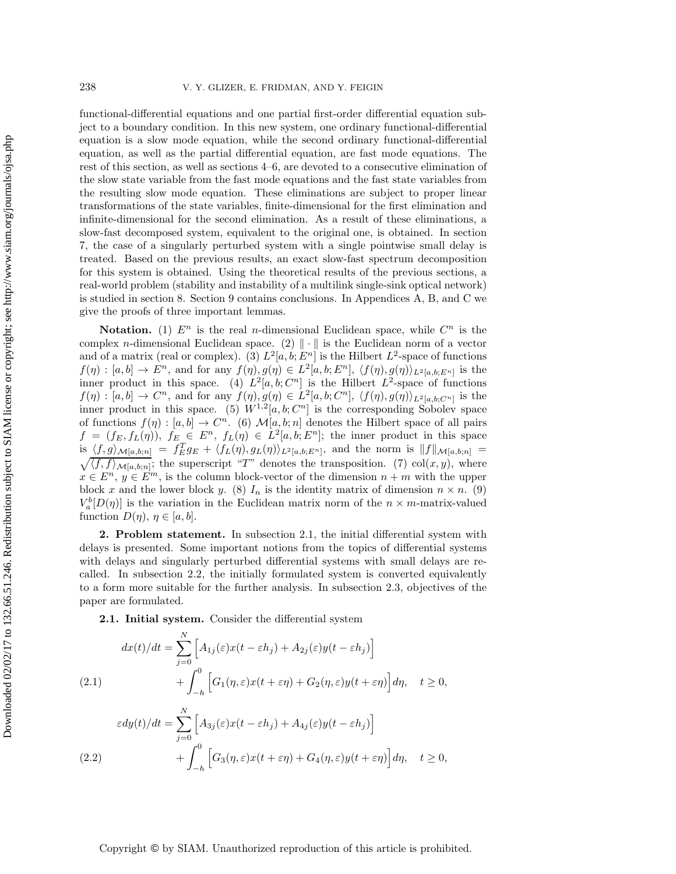functional-differential equations and one partial first-order differential equation subject to a boundary condition. In this new system, one ordinary functional-differential equation is a slow mode equation, while the second ordinary functional-differential equation, as well as the partial differential equation, are fast mode equations. The rest of this section, as well as sections [4](#page-7-0)[–6,](#page-12-0) are devoted to a consecutive elimination of the slow state variable from the fast mode equations and the fast state variables from the resulting slow mode equation. These eliminations are subject to proper linear transformations of the state variables, finite-dimensional for the first elimination and infinite-dimensional for the second elimination. As a result of these eliminations, a slow-fast decomposed system, equivalent to the original one, is obtained. In section [7,](#page-15-0) the case of a singularly perturbed system with a single pointwise small delay is treated. Based on the previous results, an exact slow-fast spectrum decomposition for this system is obtained. Using the theoretical results of the previous sections, a real-world problem (stability and instability of a multilink single-sink optical network) is studied in section [8.](#page-19-0) Section [9](#page-24-0) contains conclusions. In Appendices [A,](#page-25-0) [B,](#page-30-0) and [C](#page-33-0) we give the proofs of three important lemmas.

**Notation.** (1)  $E^n$  is the real *n*-dimensional Euclidean space, while  $C^n$  is the complex *n*-dimensional Euclidean space. (2)  $\|\cdot\|$  is the Euclidean norm of a vector and of a matrix (real or complex). (3)  $L^2[a, b; E^n]$  is the Hilbert  $L^2$ -space of functions  $f(\eta):[a, b] \to E^n$ , and for any  $f(\eta), g(\eta) \in L^2[a, b; E^n], \langle f(\eta), g(\eta) \rangle_{L^2[a, b; E^n]}$  is the inner product in this space. (4)  $L^2[a, b; C^n]$  is the Hilbert  $L^2$ -space of functions  $f(\eta):[a, b] \to C^n$ , and for any  $f(\eta), g(\eta) \in L^2[a, b; C^n], \langle f(\eta), g(\eta) \rangle_{L^2[a, b; C^n]}$  is the inner product in this space. (5)  $W^{1,2}[a, b; C^n]$  is the corresponding Sobolev space of functions  $f(\eta):[a,b] \to C^n$ . (6)  $\mathcal{M}[a,b;n]$  denotes the Hilbert space of all pairs  $f = (f_E, f_L(\eta)), f_E \in E^n, f_L(\eta) \in L^2[a, b; E^n];$  the inner product in this space is  $\langle f, g \rangle_{\mathcal{M}[a,b;n]} = f_E^T g_E + \langle f_L(\eta), g_L(\eta) \rangle_{L^2[a,b;E^n]},$  and the norm is  $||f||$ is  $\langle f, g \rangle_{\mathcal{M}[a,b;n]} = f_E^T g_E + \langle f_L(\eta), g_L(\eta) \rangle_{L^2[a,b;E^n]},$  and the norm is  $||f||_{\mathcal{M}[a,b;n]} = \sqrt{\langle f, f \rangle_{\mathcal{M}[a,b;n]}};$  the superscript "*T*" denotes the transposition. (7) col(*x, y*), where  $x \in E^n$ ,  $y \in E^m$ , is the column block-vector of the dimension  $n + m$  with the upper block x and the lower block y. (8)  $I_n$  is the identity matrix of dimension  $n \times n$ . (9)  $V_a^b[D(\eta)]$  is the variation in the Euclidean matrix norm of the  $n \times m$ -matrix-valued function  $D(\eta)$ ,  $\eta \in [a, b]$ .

**2. Problem statement.** In subsection 2.1, the initial differential system with delays is presented. Some important notions from the topics of differential systems with delays and singularly perturbed differential systems with small delays are recalled. In subsection 2.2, the initially formulated system is converted equivalently to a form more suitable for the further analysis. In subsection 2.3, objectives of the paper are formulated.

<span id="page-2-0"></span>**2.1. Initial system.** Consider the differential system

$$
dx(t)/dt = \sum_{j=0}^{N} \left[ A_{1j}(\varepsilon)x(t - \varepsilon h_j) + A_{2j}(\varepsilon)y(t - \varepsilon h_j) \right] + \int_{-h}^{0} \left[ G_1(\eta, \varepsilon)x(t + \varepsilon \eta) + G_2(\eta, \varepsilon)y(t + \varepsilon \eta) \right] d\eta, \quad t \ge 0,
$$

$$
\varepsilon dy(t)/dt = \sum_{j=0}^{N} \left[ A_{3j}(\varepsilon)x(t - \varepsilon h_j) + A_{4j}(\varepsilon)y(t - \varepsilon h_j) \right] + \int_{-h}^{0} \left[ G_3(\eta, \varepsilon)x(t + \varepsilon \eta) + G_4(\eta, \varepsilon)y(t + \varepsilon \eta) \right] d\eta, \quad t \ge 0,
$$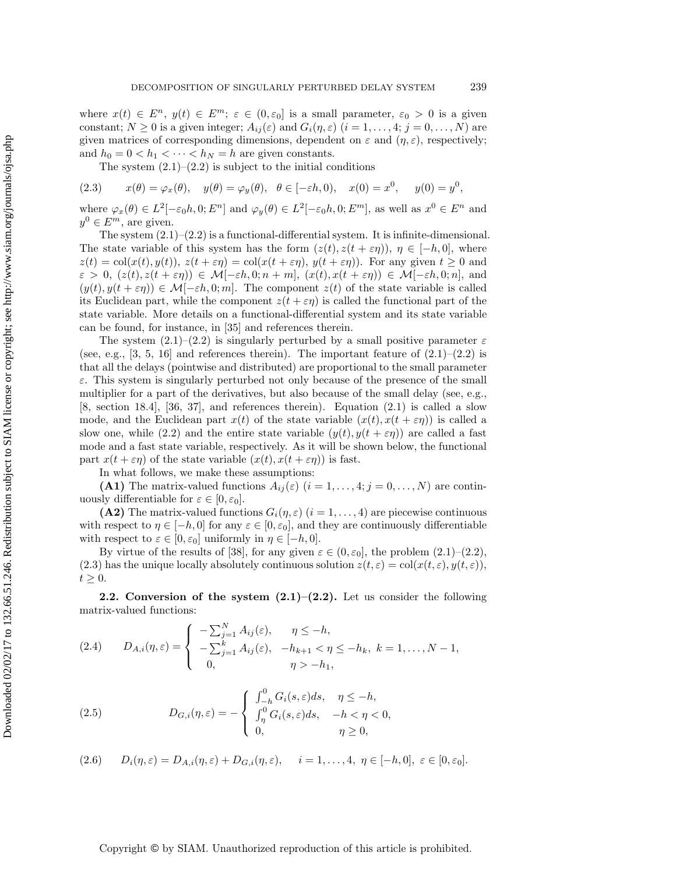where  $x(t) \in E^n$ ,  $y(t) \in E^m$ ;  $\varepsilon \in (0, \varepsilon_0]$  is a small parameter,  $\varepsilon_0 > 0$  is a given constant;  $N \ge 0$  is a given integer;  $A_{ij}(\varepsilon)$  and  $G_i(\eta, \varepsilon)$   $(i = 1, \ldots, 4; j = 0, \ldots, N)$  are given matrices of corresponding dimensions, dependent on  $\varepsilon$  and  $(\eta, \varepsilon)$ , respectively; and  $h_0 = 0 < h_1 < \cdots < h_N = h$  are given constants.

<span id="page-3-0"></span>The system  $(2.1)$ – $(2.2)$  is subject to the initial conditions

(2.3) 
$$
x(\theta) = \varphi_x(\theta), \quad y(\theta) = \varphi_y(\theta), \quad \theta \in [-\varepsilon h, 0), \quad x(0) = x^0, \quad y(0) = y^0,
$$

where  $\varphi_x(\theta) \in L^2[-\varepsilon_0 h, 0; E^n]$  and  $\varphi_y(\theta) \in L^2[-\varepsilon_0 h, 0; E^m]$ , as well as  $x^0 \in E^n$  and  $y^0 \in E^m$ , are given.

The system  $(2.1)$ – $(2.2)$  is a functional-differential system. It is infinite-dimensional. The state variable of this system has the form  $(z(t), z(t + \varepsilon \eta))$ ,  $\eta \in [-h, 0]$ , where  $z(t) = col(x(t), y(t)), z(t + \varepsilon \eta) = col(x(t + \varepsilon \eta), y(t + \varepsilon \eta)).$  For any given  $t \ge 0$  and  $\varepsilon > 0$ ,  $(z(t), z(t + \varepsilon \eta)) \in \mathcal{M}[-\varepsilon h, 0; n + m]$ ,  $(x(t), x(t + \varepsilon \eta)) \in \mathcal{M}[-\varepsilon h, 0; n]$ , and  $(y(t), y(t + \varepsilon \eta)) \in \mathcal{M}[-\varepsilon h, 0; m]$ . The component  $z(t)$  of the state variable is called its Euclidean part, while the component  $z(t + \epsilon \eta)$  is called the functional part of the state variable. More details on a functional-differential system and its state variable can be found, for instance, in [\[35\]](#page-38-4) and references therein.

The system  $(2.1)$ – $(2.2)$  is singularly perturbed by a small positive parameter  $\varepsilon$ (see, e.g., [\[3,](#page-36-2) [5,](#page-36-4) [16\]](#page-37-7) and references therein). The important feature of  $(2.1)$ – $(2.2)$  is that all the delays (pointwise and distributed) are proportional to the small parameter  $\varepsilon$ . This system is singularly perturbed not only because of the presence of the small multiplier for a part of the derivatives, but also because of the small delay (see, e.g., [\[8,](#page-36-7) section 18.4], [\[36,](#page-38-5) [37\]](#page-38-6), and references therein). Equation [\(2.1\)](#page-2-0) is called a slow mode, and the Euclidean part  $x(t)$  of the state variable  $(x(t), x(t + \varepsilon \eta))$  is called a slow one, while [\(2.2\)](#page-2-0) and the entire state variable  $(y(t), y(t + \varepsilon \eta))$  are called a fast mode and a fast state variable, respectively. As it will be shown below, the functional part  $x(t + \varepsilon \eta)$  of the state variable  $(x(t), x(t + \varepsilon \eta))$  is fast.

In what follows, we make these assumptions:

**(A1)** The matrix-valued functions  $A_{ij}(\varepsilon)$   $(i = 1, \ldots, 4; j = 0, \ldots, N)$  are continuously differentiable for  $\varepsilon \in [0, \varepsilon_0]$ .

**(A2)** The matrix-valued functions  $G_i(\eta, \varepsilon)$  ( $i = 1, \ldots, 4$ ) are piecewise continuous with respect to  $\eta \in [-h, 0]$  for any  $\varepsilon \in [0, \varepsilon_0]$ , and they are continuously differentiable with respect to  $\varepsilon \in [0, \varepsilon_0]$  uniformly in  $\eta \in [-h, 0]$ .

By virtue of the results of [\[38\]](#page-38-7), for any given  $\varepsilon \in (0, \varepsilon_0]$ , the problem  $(2.1)$ – $(2.2)$ , [\(2.3\)](#page-3-0) has the unique locally absolutely continuous solution  $z(t, \varepsilon) = col(x(t, \varepsilon), y(t, \varepsilon)),$  $t \geq 0$ .

**2.2. Conversion of the system [\(2.1\)](#page-2-0)–[\(2.2\)](#page-2-0).** Let us consider the following matrix-valued functions:

<span id="page-3-1"></span>(2.4) 
$$
D_{A,i}(\eta,\varepsilon) = \begin{cases} -\sum_{j=1}^{N} A_{ij}(\varepsilon), & \eta \leq -h, \\ -\sum_{j=1}^{k} A_{ij}(\varepsilon), & -h_{k+1} < \eta \leq -h_k, \ k = 1,\ldots,N-1, \\ 0, & \eta > -h_1, \end{cases}
$$

(2.5) 
$$
D_{G,i}(\eta,\varepsilon) = -\begin{cases} \int_{-h}^{0} G_i(s,\varepsilon)ds, & \eta \le -h, \\ \int_{\eta}^{0} G_i(s,\varepsilon)ds, & -h < \eta < 0, \\ 0, & \eta \ge 0, \end{cases}
$$

<span id="page-3-3"></span><span id="page-3-2"></span>
$$
(2.6) \qquad D_i(\eta,\varepsilon) = D_{A,i}(\eta,\varepsilon) + D_{G,i}(\eta,\varepsilon), \qquad i = 1,\ldots,4, \ \eta \in [-h,0], \ \varepsilon \in [0,\varepsilon_0].
$$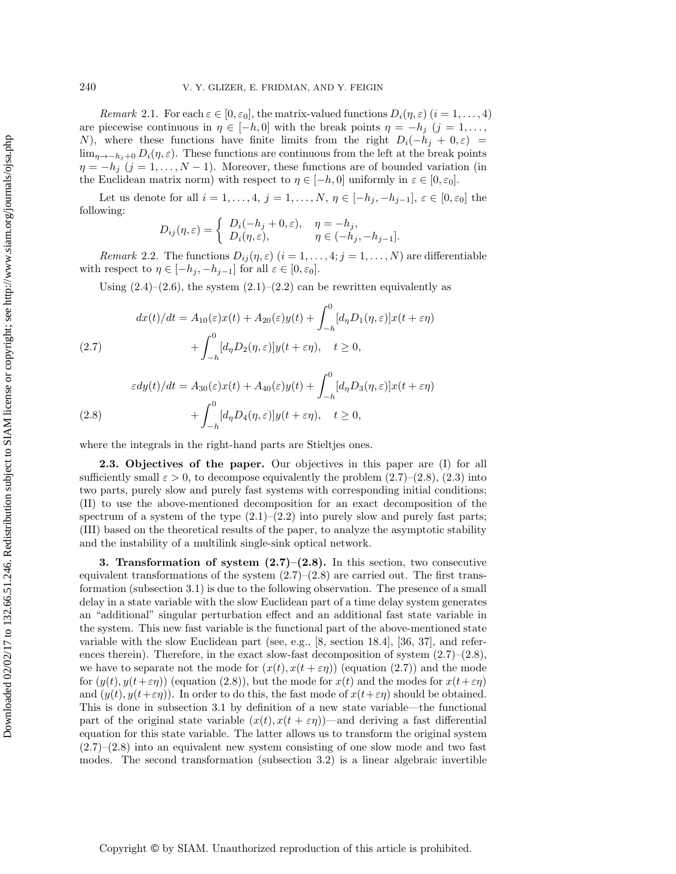*Remark* 2.1. For each  $\varepsilon \in [0, \varepsilon_0]$ , the matrix-valued functions  $D_i(\eta, \varepsilon)$   $(i = 1, \ldots, 4)$ are piecewise continuous in  $\eta \in [-h, 0]$  with the break points  $\eta = -h_j$   $(j = 1, \ldots,$ N), where these functions have finite limits from the right  $D_i(-h_j + 0, \varepsilon)$  = lim<sub>n→−h<sub>i</sub>+0</sub>  $D_i(\eta, \varepsilon)$ . These functions are continuous from the left at the break points  $\eta = -h_j$  (j = 1,..., N – 1). Moreover, these functions are of bounded variation (in the Euclidean matrix norm) with respect to  $\eta \in [-h, 0]$  uniformly in  $\varepsilon \in [0, \varepsilon_0]$ .

Let us denote for all  $i = 1, \ldots, 4, j = 1, \ldots, N, \eta \in [-h_j, -h_{j-1}], \varepsilon \in [0, \varepsilon_0]$  the following:

$$
D_{ij}(\eta,\varepsilon) = \begin{cases} D_i(-h_j + 0,\varepsilon), & \eta = -h_j, \\ D_i(\eta,\varepsilon), & \eta \in (-h_j, -h_{j-1}]. \end{cases}
$$

<span id="page-4-2"></span>*Remark* 2.2. The functions  $D_{ij}(\eta, \varepsilon)$   $(i = 1, \ldots, 4; j = 1, \ldots, N)$  are differentiable with respect to  $\eta \in [-h_j, -h_{j-1}]$  for all  $\varepsilon \in [0, \varepsilon_0]$ .

<span id="page-4-1"></span>Using  $(2.4)$ – $(2.6)$ , the system  $(2.1)$ – $(2.2)$  can be rewritten equivalently as

(2.7) 
$$
dx(t)/dt = A_{10}(\varepsilon)x(t) + A_{20}(\varepsilon)y(t) + \int_{-h}^{0} [d_{\eta}D_{1}(\eta, \varepsilon)]x(t + \varepsilon \eta) + \int_{-h}^{0} [d_{\eta}D_{2}(\eta, \varepsilon)]y(t + \varepsilon \eta), \quad t \ge 0,
$$

(2.8) 
$$
\varepsilon dy(t)/dt = A_{30}(\varepsilon)x(t) + A_{40}(\varepsilon)y(t) + \int_{-h}^{0} [d_{\eta}D_{3}(\eta, \varepsilon)]x(t + \varepsilon \eta) + \int_{-h}^{0} [d_{\eta}D_{4}(\eta, \varepsilon)]y(t + \varepsilon \eta), \quad t \ge 0,
$$

where the integrals in the right-hand parts are Stieltjes ones.

**2.3. Objectives of the paper.** Our objectives in this paper are (I) for all sufficiently small  $\varepsilon > 0$ , to decompose equivalently the problem  $(2.7)$ – $(2.8)$ ,  $(2.3)$  into two parts, purely slow and purely fast systems with corresponding initial conditions; (II) to use the above-mentioned decomposition for an exact decomposition of the spectrum of a system of the type  $(2.1)$ – $(2.2)$  into purely slow and purely fast parts; (III) based on the theoretical results of the paper, to analyze the asymptotic stability and the instability of a multilink single-sink optical network.

<span id="page-4-0"></span>**3. Transformation of system [\(2.7\)](#page-4-1)–[\(2.8\)](#page-4-1).** In this section, two consecutive equivalent transformations of the system  $(2.7)$ – $(2.8)$  are carried out. The first transformation (subsection 3.1) is due to the following observation. The presence of a small delay in a state variable with the slow Euclidean part of a time delay system generates an "additional" singular perturbation effect and an additional fast state variable in the system. This new fast variable is the functional part of the above-mentioned state variable with the slow Euclidean part (see, e.g., [\[8,](#page-36-7) section 18.4], [\[36,](#page-38-5) [37\]](#page-38-6), and references therein). Therefore, in the exact slow-fast decomposition of system  $(2.7)$ – $(2.8)$ , we have to separate not the mode for  $(x(t), x(t + \varepsilon \eta))$  (equation [\(2.7\)](#page-4-1)) and the mode for  $(y(t), y(t+\varepsilon\eta))$  (equation [\(2.8\)](#page-4-1)), but the mode for  $x(t)$  and the modes for  $x(t+\varepsilon\eta)$ and  $(y(t), y(t+\varepsilon\eta))$ . In order to do this, the fast mode of  $x(t+\varepsilon\eta)$  should be obtained. This is done in subsection 3.1 by definition of a new state variable—the functional part of the original state variable  $(x(t), x(t + \varepsilon \eta))$ —and deriving a fast differential equation for this state variable. The latter allows us to transform the original system  $(2.7)$ – $(2.8)$  into an equivalent new system consisting of one slow mode and two fast modes. The second transformation (subsection 3.2) is a linear algebraic invertible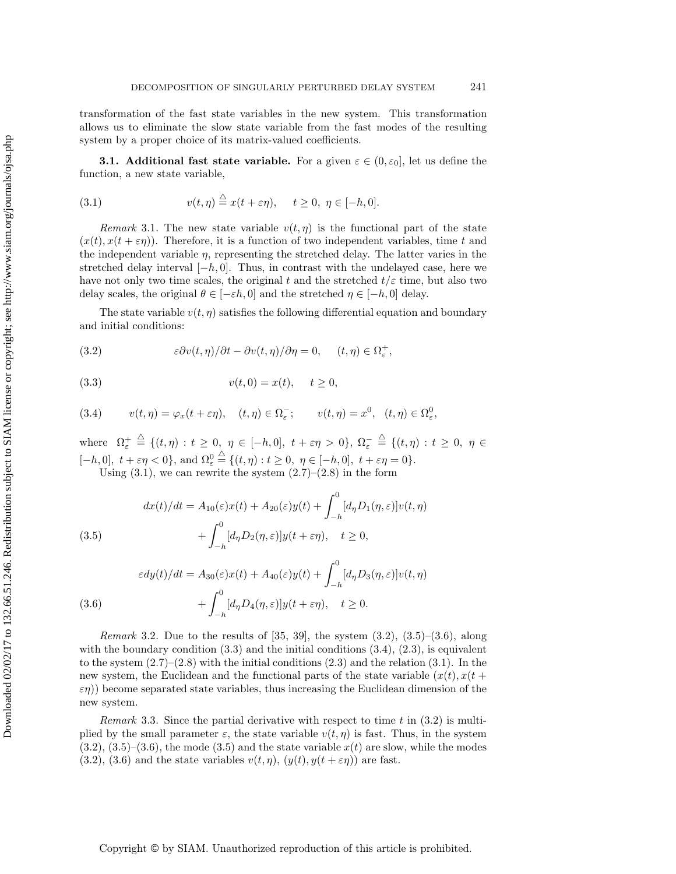transformation of the fast state variables in the new system. This transformation allows us to eliminate the slow state variable from the fast modes of the resulting system by a proper choice of its matrix-valued coefficients.

**3.1. Additional fast state variable.** For a given  $\varepsilon \in (0, \varepsilon_0]$ , let us define the function, a new state variable,

<span id="page-5-0"></span>(3.1) 
$$
v(t,\eta) \stackrel{\triangle}{=} x(t+\varepsilon\eta), \quad t \ge 0, \ \eta \in [-h,0].
$$

*Remark* 3.1. The new state variable  $v(t, \eta)$  is the functional part of the state  $(x(t), x(t + \varepsilon \eta))$ . Therefore, it is a function of two independent variables, time t and the independent variable  $\eta$ , representing the stretched delay. The latter varies in the stretched delay interval  $[-h, 0]$ . Thus, in contrast with the undelayed case, here we have not only two time scales, the original t and the stretched  $t/\varepsilon$  time, but also two delay scales, the original  $\theta \in [-\varepsilon h, 0]$  and the stretched  $\eta \in [-h, 0]$  delay.

The state variable  $v(t, \eta)$  satisfies the following differential equation and boundary and initial conditions:

<span id="page-5-1"></span>(3.2) 
$$
\epsilon \partial v(t, \eta) / \partial t - \partial v(t, \eta) / \partial \eta = 0, \quad (t, \eta) \in \Omega_{\varepsilon}^{+},
$$

<span id="page-5-3"></span>(3.3) 
$$
v(t,0) = x(t), \quad t \ge 0,
$$

<span id="page-5-4"></span>(3.4) 
$$
v(t,\eta) = \varphi_x(t+\varepsilon\eta), \quad (t,\eta) \in \Omega_{\varepsilon}^-; \qquad v(t,\eta) = x^0, \quad (t,\eta) \in \Omega_{\varepsilon}^0,
$$

where  $\Omega_{\varepsilon}^{+} \stackrel{\triangle}{=} \{(t,\eta): t \geq 0, \eta \in [-h,0], t + \varepsilon\eta > 0\}, \Omega_{\varepsilon}^{-} \stackrel{\triangle}{=} \{(t,\eta): t \geq 0, \eta \in$  $[-h, 0], t + \varepsilon \eta < 0$ , and  $\Omega_{\varepsilon}^0 \stackrel{\triangle}{=} \{(t, \eta) : t \ge 0, \eta \in [-h, 0], t + \varepsilon \eta = 0\}.$ Using  $(3.1)$ , we can rewrite the system  $(2.7)$ – $(2.8)$  in the form

<span id="page-5-2"></span>(3.5) 
$$
dx(t)/dt = A_{10}(\varepsilon)x(t) + A_{20}(\varepsilon)y(t) + \int_{-h}^{0} [d_{\eta}D_{1}(\eta, \varepsilon)]v(t, \eta) + \int_{-h}^{0} [d_{\eta}D_{2}(\eta, \varepsilon)]y(t + \varepsilon \eta), \quad t \ge 0,
$$

(3.6) 
$$
\varepsilon dy(t)/dt = A_{30}(\varepsilon)x(t) + A_{40}(\varepsilon)y(t) + \int_{-h}^{0} [d_{\eta}D_{3}(\eta, \varepsilon)]v(t, \eta) + \int_{-h}^{0} [d_{\eta}D_{4}(\eta, \varepsilon)]y(t + \varepsilon \eta), \quad t \ge 0.
$$

<span id="page-5-5"></span>*Remark* 3.2. Due to the results of [\[35,](#page-38-4) [39\]](#page-38-8), the system [\(3.2\)](#page-5-1), [\(3.5\)](#page-5-2)–[\(3.6\)](#page-5-2), along with the boundary condition  $(3.3)$  and the initial conditions  $(3.4)$ ,  $(2.3)$ , is equivalent to the system  $(2.7)$ – $(2.8)$  with the initial conditions  $(2.3)$  and the relation  $(3.1)$ . In the new system, the Euclidean and the functional parts of the state variable  $(x(t), x(t +$  $\varepsilon(\tau)$ ) become separated state variables, thus increasing the Euclidean dimension of the new system.

*Remark* 3.3. Since the partial derivative with respect to time t in  $(3.2)$  is multiplied by the small parameter  $\varepsilon$ , the state variable  $v(t, \eta)$  is fast. Thus, in the system  $(3.2), (3.5)$  $(3.2), (3.5)$  $(3.2), (3.5)$ – $(3.6),$  $(3.6),$  the mode  $(3.5)$  and the state variable  $x(t)$  are slow, while the modes [\(3.2\)](#page-5-1), [\(3.6\)](#page-5-2) and the state variables  $v(t, \eta)$ ,  $(y(t), y(t + \varepsilon \eta))$  are fast.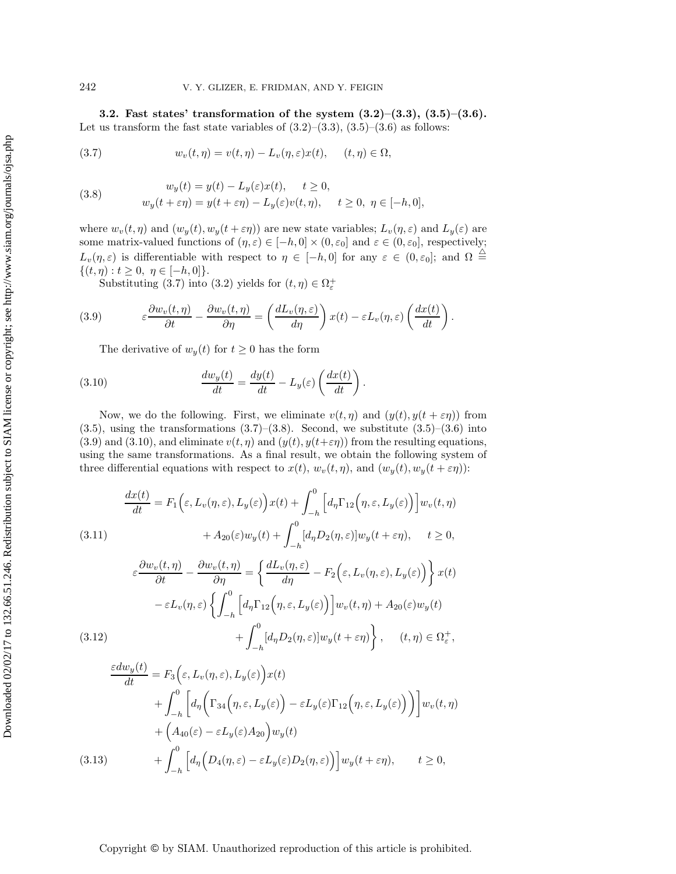**3.2. Fast states' transformation of the system [\(3.2\)](#page-5-1)–[\(3.3\)](#page-5-3), [\(3.5\)](#page-5-2)–[\(3.6\)](#page-5-2).** Let us transform the fast state variables of  $(3.2)$ – $(3.3)$ ,  $(3.5)$ – $(3.6)$  as follows:

<span id="page-6-0"></span>(3.7) 
$$
w_v(t,\eta) = v(t,\eta) - L_v(\eta,\varepsilon)x(t), \quad (t,\eta) \in \Omega,
$$

<span id="page-6-1"></span>(3.8) 
$$
w_y(t) = y(t) - L_y(\varepsilon)x(t), \quad t \ge 0,
$$

$$
w_y(t + \varepsilon \eta) = y(t + \varepsilon \eta) - L_y(\varepsilon)v(t, \eta), \quad t \ge 0, \ \eta \in [-h, 0],
$$

where  $w_v(t, \eta)$  and  $(w_y(t), w_y(t + \varepsilon \eta))$  are new state variables;  $L_v(\eta, \varepsilon)$  and  $L_y(\varepsilon)$  are some matrix-valued functions of  $(\eta, \varepsilon) \in [-h, 0] \times (0, \varepsilon_0]$  and  $\varepsilon \in (0, \varepsilon_0]$ , respectively;  $L_v(\eta, \varepsilon)$  is differentiable with respect to  $\eta \in [-h, 0]$  for any  $\varepsilon \in (0, \varepsilon_0]$ ; and  $\Omega \stackrel{\triangle}{=}$  $\{(t, \eta): t \geq 0, \eta \in [-h, 0]\}.$ 

Substituting [\(3.7\)](#page-6-0) into [\(3.2\)](#page-5-1) yields for  $(t, \eta) \in \Omega_{\varepsilon}^{+}$ 

(3.9) 
$$
\varepsilon \frac{\partial w_v(t,\eta)}{\partial t} - \frac{\partial w_v(t,\eta)}{\partial \eta} = \left(\frac{dL_v(\eta,\varepsilon)}{d\eta}\right) x(t) - \varepsilon L_v(\eta,\varepsilon) \left(\frac{dx(t)}{dt}\right).
$$

<span id="page-6-3"></span><span id="page-6-2"></span>The derivative of  $w_y(t)$  for  $t \geq 0$  has the form

(3.10) 
$$
\frac{dw_y(t)}{dt} = \frac{dy(t)}{dt} - L_y(\varepsilon) \left(\frac{dx(t)}{dt}\right)
$$

Now, we do the following. First, we eliminate  $v(t, \eta)$  and  $(y(t), y(t + \varepsilon \eta))$  from  $(3.5)$ , using the transformations  $(3.7)$ – $(3.8)$ . Second, we substitute  $(3.5)$ – $(3.6)$  into  $(3.9)$  and  $(3.10)$ , and eliminate  $v(t, \eta)$  and  $(y(t), y(t+\varepsilon\eta))$  from the resulting equations, using the same transformations. As a final result, we obtain the following system of three differential equations with respect to  $x(t)$ ,  $w_v(t, \eta)$ , and  $(w_y(t), w_y(t + \varepsilon \eta))$ :

.

<span id="page-6-4"></span>(3.11)  
\n
$$
\frac{dx(t)}{dt} = F_1\Big(\varepsilon, L_v(\eta, \varepsilon), L_y(\varepsilon)\Big)x(t) + \int_{-h}^0 \Big[d_\eta \Gamma_{12}\Big(\eta, \varepsilon, L_y(\varepsilon)\Big)\Big]w_v(t, \eta)
$$
\n
$$
+ A_{20}(\varepsilon)w_y(t) + \int_{-h}^0 [d_\eta D_2(\eta, \varepsilon)]w_y(t + \varepsilon \eta), \quad t \ge 0,
$$
\n
$$
\varepsilon \frac{\partial w_v(t, \eta)}{\partial t} - \frac{\partial w_v(t, \eta)}{\partial \eta} = \left\{ \frac{dL_v(\eta, \varepsilon)}{d\eta} - F_2\Big(\varepsilon, L_v(\eta, \varepsilon), L_y(\varepsilon)\Big) \right\}x(t)
$$
\n
$$
- \varepsilon L_v(\eta, \varepsilon) \left\{ \int_{-h}^0 \Big[d_\eta \Gamma_{12}\Big(\eta, \varepsilon, L_y(\varepsilon)\Big)\Big]w_v(t, \eta) + A_{20}(\varepsilon)w_y(t)
$$
\n(3.12)  
\n
$$
+ \int_{-h}^0 [d_\eta D_2(\eta, \varepsilon)]w_y(t + \varepsilon \eta) \right\}, \quad (t, \eta) \in \Omega_\varepsilon^+,
$$

$$
\frac{\varepsilon dw_y(t)}{dt} = F_3\Big(\varepsilon, L_v(\eta, \varepsilon), L_y(\varepsilon)\Big)x(t)
$$
  
+ 
$$
\int_{-h}^0 \Big[d_\eta\Big(\Gamma_{34}\Big(\eta, \varepsilon, L_y(\varepsilon)\Big) - \varepsilon L_y(\varepsilon)\Gamma_{12}\Big(\eta, \varepsilon, L_y(\varepsilon)\Big)\Big)\Big]w_v(t, \eta)
$$
  
+ 
$$
\Big(A_{40}(\varepsilon) - \varepsilon L_y(\varepsilon)A_{20}\Big)w_y(t)
$$
  
(3.13) 
$$
+ \int_{-h}^0 \Big[d_\eta\Big(D_4(\eta, \varepsilon) - \varepsilon L_y(\varepsilon)D_2(\eta, \varepsilon)\Big)\Big]w_y(t + \varepsilon\eta), \qquad t \ge 0,
$$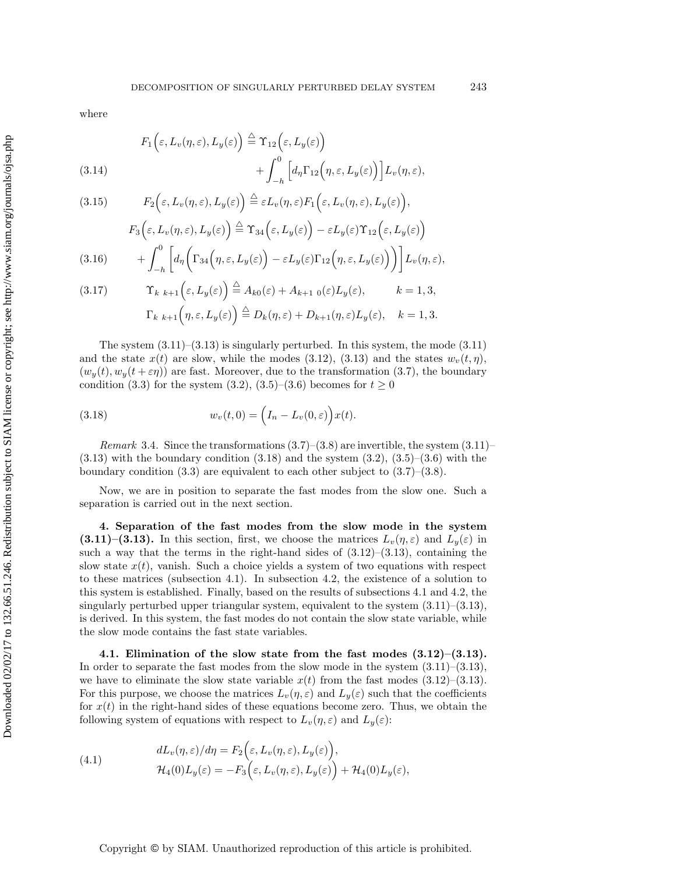where

<span id="page-7-3"></span>(3.14) 
$$
F_1\left(\varepsilon, L_v(\eta, \varepsilon), L_y(\varepsilon)\right) \stackrel{\triangle}{=} \Upsilon_{12}\left(\varepsilon, L_y(\varepsilon)\right) + \int_{-h}^0 \left[ d_\eta \Gamma_{12}\left(\eta, \varepsilon, L_y(\varepsilon)\right) \right] L_v(\eta, \varepsilon),
$$

(3.15) 
$$
F_2(\varepsilon, L_v(\eta, \varepsilon), L_y(\varepsilon)) \stackrel{\triangle}{=} \varepsilon L_v(\eta, \varepsilon) F_1(\varepsilon, L_v(\eta, \varepsilon), L_y(\varepsilon)),
$$

(3.16) 
$$
F_3(\varepsilon, L_v(\eta, \varepsilon), L_y(\varepsilon)) \stackrel{\triangle}{=} \Upsilon_{34}(\varepsilon, L_y(\varepsilon)) - \varepsilon L_y(\varepsilon) \Upsilon_{12}(\varepsilon, L_y(\varepsilon)) + \int_{-h}^0 \left[ d_\eta \left( \Gamma_{34}(\eta, \varepsilon, L_y(\varepsilon)) - \varepsilon L_y(\varepsilon) \Gamma_{12}(\eta, \varepsilon, L_y(\varepsilon)) \right) \right] L_v(\eta, \varepsilon),
$$

(3.17) 
$$
\begin{aligned}\n\Upsilon_{k k+1}(\varepsilon, L_y(\varepsilon)) &\stackrel{\triangle}{=} A_{k0}(\varepsilon) + A_{k+1 0}(\varepsilon)L_y(\varepsilon), & k = 1, 3, \\
\Gamma_{k k+1}(\eta, \varepsilon, L_y(\varepsilon)) &\stackrel{\triangle}{=} D_k(\eta, \varepsilon) + D_{k+1}(\eta, \varepsilon)L_y(\varepsilon), & k = 1, 3.\n\end{aligned}
$$

The system  $(3.11)$ – $(3.13)$  is singularly perturbed. In this system, the mode  $(3.11)$ and the state  $x(t)$  are slow, while the modes [\(3.12\)](#page-6-4), [\(3.13\)](#page-6-4) and the states  $w_v(t, \eta)$ ,  $(w_u(t), w_u(t + \varepsilon \eta))$  are fast. Moreover, due to the transformation [\(3.7\)](#page-6-0), the boundary condition [\(3.3\)](#page-5-3) for the system [\(3.2\)](#page-5-1), [\(3.5\)](#page-5-2)–[\(3.6\)](#page-5-2) becomes for  $t \ge 0$ 

<span id="page-7-1"></span>(3.18) 
$$
w_v(t,0) = \left(I_n - L_v(0,\varepsilon)\right)x(t).
$$

*Remark* 3.4. Since the transformations  $(3.7)$ – $(3.8)$  are invertible, the system  $(3.11)$ –  $(3.13)$  with the boundary condition  $(3.18)$  and the system  $(3.2)$ ,  $(3.5)$ – $(3.6)$  with the boundary condition  $(3.3)$  are equivalent to each other subject to  $(3.7)$ – $(3.8)$ .

Now, we are in position to separate the fast modes from the slow one. Such a separation is carried out in the next section.

<span id="page-7-0"></span>**4. Separation of the fast modes from the slow mode in the system [\(3.11\)](#page-6-4)–[\(3.13\)](#page-6-4).** In this section, first, we choose the matrices  $L_v(\eta, \varepsilon)$  and  $L_y(\varepsilon)$  in such a way that the terms in the right-hand sides of  $(3.12)$ – $(3.13)$ , containing the slow state  $x(t)$ , vanish. Such a choice yields a system of two equations with respect to these matrices (subsection 4.1). In subsection 4.2, the existence of a solution to this system is established. Finally, based on the results of subsections 4.1 and 4.2, the singularly perturbed upper triangular system, equivalent to the system [\(3.11\)](#page-6-4)–[\(3.13\)](#page-6-4), is derived. In this system, the fast modes do not contain the slow state variable, while the slow mode contains the fast state variables.

**4.1. Elimination of the slow state from the fast modes [\(3.12\)](#page-6-4)–[\(3.13\)](#page-6-4).** In order to separate the fast modes from the slow mode in the system  $(3.11)$ – $(3.13)$ , we have to eliminate the slow state variable  $x(t)$  from the fast modes [\(3.12\)](#page-6-4)–[\(3.13\)](#page-6-4). For this purpose, we choose the matrices  $L_v(\eta, \varepsilon)$  and  $L_y(\varepsilon)$  such that the coefficients for  $x(t)$  in the right-hand sides of these equations become zero. Thus, we obtain the following system of equations with respect to  $L_v(\eta, \varepsilon)$  and  $L_y(\varepsilon)$ :

<span id="page-7-2"></span>(4.1) 
$$
dL_v(\eta, \varepsilon)/d\eta = F_2\Big(\varepsilon, L_v(\eta, \varepsilon), L_y(\varepsilon)\Big),
$$

$$
\mathcal{H}_4(0)L_y(\varepsilon) = -F_3\Big(\varepsilon, L_v(\eta, \varepsilon), L_y(\varepsilon)\Big) + \mathcal{H}_4(0)L_y(\varepsilon),
$$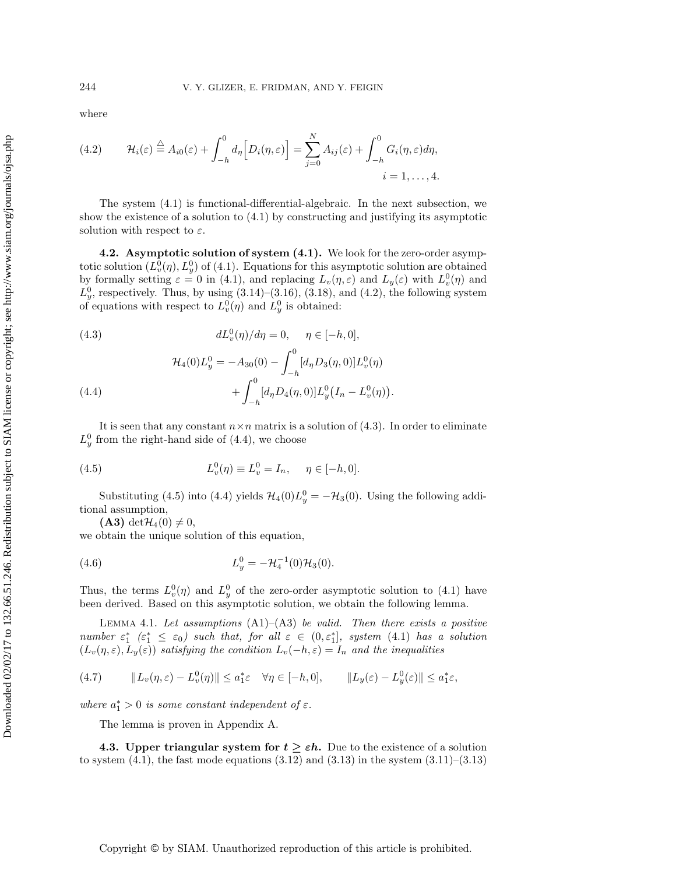where

<span id="page-8-0"></span>(4.2) 
$$
\mathcal{H}_i(\varepsilon) \stackrel{\triangle}{=} A_{i0}(\varepsilon) + \int_{-h}^0 d_\eta \Big[ D_i(\eta, \varepsilon) \Big] = \sum_{j=0}^N A_{ij}(\varepsilon) + \int_{-h}^0 G_i(\eta, \varepsilon) d\eta,
$$
  
  $i = 1, ..., 4.$ 

The system [\(4.1\)](#page-7-2) is functional-differential-algebraic. In the next subsection, we show the existence of a solution to [\(4.1\)](#page-7-2) by constructing and justifying its asymptotic solution with respect to  $\varepsilon$ .

**4.2. Asymptotic solution of system [\(4.1\)](#page-7-2).** We look for the zero-order asymptotic solution  $(L_v^0(\eta), L_y^0)$  of [\(4.1\)](#page-7-2). Equations for this asymptotic solution are obtained by formally setting  $\varepsilon = 0$  in [\(4.1\)](#page-7-2), and replacing  $L_v(\eta, \varepsilon)$  and  $L_y(\varepsilon)$  with  $L_v^0(\eta)$  and  $L_y^0$ , respectively. Thus, by using  $(3.14)$ – $(3.16)$ ,  $(3.18)$ , and  $(4.2)$ , the following system of equations with respect to  $L_v^0(\eta)$  and  $L_y^0$  is obtained:

<span id="page-8-1"></span>(4.3) 
$$
dL_v^0(\eta)/d\eta = 0, \quad \eta \in [-h, 0],
$$

(4.4) 
$$
\mathcal{H}_4(0)L_y^0 = -A_{30}(0) - \int_{-h}^0 [d_{\eta}D_3(\eta,0)]L_v^0(\eta) + \int_{-h}^0 [d_{\eta}D_4(\eta,0)]L_y^0(I_n - L_v^0(\eta)).
$$

It is seen that any constant  $n \times n$  matrix is a solution of [\(4.3\)](#page-8-1). In order to eliminate  $L_y^0$  from the right-hand side of [\(4.4\)](#page-8-1), we choose

<span id="page-8-2"></span>(4.5) 
$$
L_v^0(\eta) \equiv L_v^0 = I_n, \quad \eta \in [-h, 0].
$$

Substituting [\(4.5\)](#page-8-2) into [\(4.4\)](#page-8-1) yields  $\mathcal{H}_4(0)L_y^0 = -\mathcal{H}_3(0)$ . Using the following additional assumption,

<span id="page-8-4"></span><span id="page-8-3"></span>(A3) det $\mathcal{H}_4(0) \neq 0$ ,

we obtain the unique solution of this equation,

(4.6) 
$$
L_y^0 = -\mathcal{H}_4^{-1}(0)\mathcal{H}_3(0).
$$

Thus, the terms  $L_v^0(\eta)$  and  $L_y^0$  of the zero-order asymptotic solution to [\(4.1\)](#page-7-2) have been derived. Based on this asymptotic solution, we obtain the following lemma.

Lemma 4.1. *Let assumptions* (A1)–(A3) *be valid. Then there exists a positive number*  $\varepsilon_1^*$  ( $\varepsilon_1^* \leq \varepsilon_0$ ) such that, for all  $\varepsilon \in (0, \varepsilon_1^*]$ , system [\(4.1\)](#page-7-2) has a solution  $(L_v(\eta, \varepsilon), L_y(\varepsilon))$  *satisfying the condition*  $L_v(-h, \varepsilon) = I_n$  *and the inequalities* 

<span id="page-8-5"></span>
$$
(4.7) \t\t\t ||L_v(\eta, \varepsilon) - L_v^0(\eta)|| \le a_1^* \varepsilon \quad \forall \eta \in [-h, 0], \t\t\t ||L_y(\varepsilon) - L_y^0(\varepsilon)|| \le a_1^* \varepsilon,
$$

*where*  $a_1^* > 0$  *is some constant independent of*  $\varepsilon$ *.* 

The lemma is proven in Appendix [A.](#page-25-0)

**4.3. Upper triangular system for**  $t \geq \varepsilon h$ . Due to the existence of a solution to system  $(4.1)$ , the fast mode equations  $(3.12)$  and  $(3.13)$  in the system  $(3.11)$ – $(3.13)$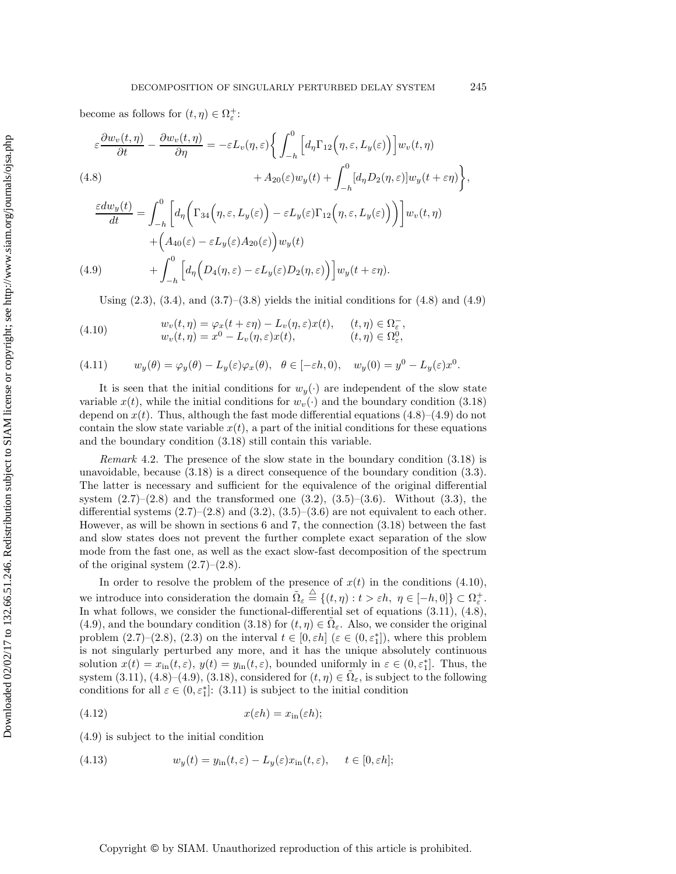become as follows for  $(t, \eta) \in \Omega_{\varepsilon}^+$ :

<span id="page-9-0"></span>
$$
\varepsilon \frac{\partial w_v(t,\eta)}{\partial t} - \frac{\partial w_v(t,\eta)}{\partial \eta} = -\varepsilon L_v(\eta,\varepsilon) \Biggl\{ \int_{-h}^0 \Bigl[ d_\eta \Gamma_{12} \Bigl( \eta,\varepsilon, L_y(\varepsilon) \Bigr) \Bigr] w_v(t,\eta)
$$
\n
$$
(4.8) \qquad \qquad + A_{20}(\varepsilon) w_y(t) + \int_{-h}^0 [d_\eta D_2(\eta,\varepsilon)] w_y(t+\varepsilon \eta) \Biggr\},
$$
\n
$$
\frac{\varepsilon dw_y(t)}{dt} = \int_{-h}^0 \Bigl[ d_\eta \Bigl( \Gamma_{34} \Bigl( \eta,\varepsilon, L_y(\varepsilon) \Bigr) - \varepsilon L_y(\varepsilon) \Gamma_{12} \Bigl( \eta,\varepsilon, L_y(\varepsilon) \Bigr) \Bigr) \Bigr] w_v(t,\eta)
$$
\n
$$
+ \Bigl( A_{40}(\varepsilon) - \varepsilon L_y(\varepsilon) A_{20}(\varepsilon) \Bigr) w_y(t)
$$
\n
$$
(4.9) \qquad \qquad + \int_{-h}^0 \Bigl[ d_\eta \Bigl( D_4(\eta,\varepsilon) - \varepsilon L_y(\varepsilon) D_2(\eta,\varepsilon) \Bigr) \Bigr] w_y(t+\varepsilon \eta).
$$

<span id="page-9-1"></span>Using  $(2.3)$ ,  $(3.4)$ , and  $(3.7)$ – $(3.8)$  yields the initial conditions for  $(4.8)$  and  $(4.9)$ 

(4.10) 
$$
w_v(t, \eta) = \varphi_x(t + \varepsilon \eta) - L_v(\eta, \varepsilon)x(t), \quad (t, \eta) \in \Omega_{\varepsilon}^-,
$$

$$
w_v(t, \eta) = x^0 - L_v(\eta, \varepsilon)x(t), \quad (t, \eta) \in \Omega_{\varepsilon}^0,
$$

(4.11) 
$$
w_y(\theta) = \varphi_y(\theta) - L_y(\varepsilon)\varphi_x(\theta), \quad \theta \in [-\varepsilon h, 0), \quad w_y(0) = y^0 - L_y(\varepsilon)x^0.
$$

It is seen that the initial conditions for  $w_y(\cdot)$  are independent of the slow state variable  $x(t)$ , while the initial conditions for  $w_v(\cdot)$  and the boundary condition [\(3.18\)](#page-7-1) depend on  $x(t)$ . Thus, although the fast mode differential equations  $(4.8)$ – $(4.9)$  do not contain the slow state variable  $x(t)$ , a part of the initial conditions for these equations and the boundary condition [\(3.18\)](#page-7-1) still contain this variable.

*Remark* 4.2. The presence of the slow state in the boundary condition [\(3.18\)](#page-7-1) is unavoidable, because [\(3.18\)](#page-7-1) is a direct consequence of the boundary condition [\(3.3\)](#page-5-3). The latter is necessary and sufficient for the equivalence of the original differential system  $(2.7)$ – $(2.8)$  and the transformed one  $(3.2)$ ,  $(3.5)$ – $(3.6)$ . Without  $(3.3)$ , the differential systems  $(2.7)$ – $(2.8)$  and  $(3.2)$ ,  $(3.5)$ – $(3.6)$  are not equivalent to each other. However, as will be shown in sections [6](#page-12-0) and [7,](#page-15-0) the connection [\(3.18\)](#page-7-1) between the fast and slow states does not prevent the further complete exact separation of the slow mode from the fast one, as well as the exact slow-fast decomposition of the spectrum of the original system  $(2.7)$ – $(2.8)$ .

In order to resolve the problem of the presence of  $x(t)$  in the conditions [\(4.10\)](#page-9-1), we introduce into consideration the domain  $\tilde{\Omega}_{\varepsilon} \stackrel{\triangle}{=} \{(t,\eta) : t > \varepsilon h, \eta \in [-h,0] \} \subset \Omega_{\varepsilon}^+$ . In what follows, we consider the functional-differential set of equations [\(3.11\)](#page-6-4), [\(4.8\)](#page-9-0), [\(4.9\)](#page-9-0), and the boundary condition [\(3.18\)](#page-7-1) for  $(t, \eta) \in \tilde{\Omega}_{\varepsilon}$ . Also, we consider the original problem  $(2.7)$ – $(2.8)$ ,  $(2.3)$  on the interval  $t \in [0, \varepsilon h]$   $(\varepsilon \in (0, \varepsilon_1^*])$ , where this problem is not singularly perturbed any more, and it has the unique absolutely continuous solution  $x(t) = x_{\text{in}}(t, \varepsilon)$ ,  $y(t) = y_{\text{in}}(t, \varepsilon)$ , bounded uniformly in  $\varepsilon \in (0, \varepsilon_1^*]$ . Thus, the system [\(3.11\)](#page-6-4), [\(4.8\)](#page-9-0)–[\(4.9\)](#page-9-0), [\(3.18\)](#page-7-1), considered for  $(t, \eta) \in \Omega_{\varepsilon}$ , is subject to the following conditions for all  $\varepsilon \in (0, \varepsilon_1^*]$ : [\(3.11\)](#page-6-4) is subject to the initial condition

<span id="page-9-2"></span>
$$
(4.12) \t\t x(\varepsilon h) = x_{\rm in}(\varepsilon h);
$$

[\(4.9\)](#page-9-0) is subject to the initial condition

<span id="page-9-3"></span>(4.13) 
$$
w_y(t) = y_{\text{in}}(t, \varepsilon) - L_y(\varepsilon)x_{\text{in}}(t, \varepsilon), \quad t \in [0, \varepsilon h];
$$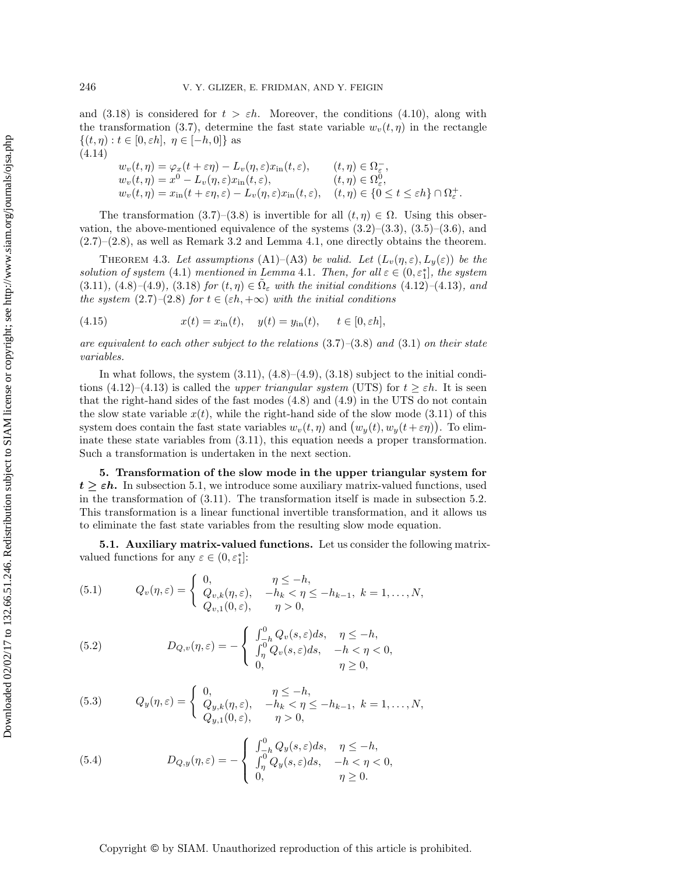and [\(3.18\)](#page-7-1) is considered for  $t > \varepsilon h$ . Moreover, the conditions [\(4.10\)](#page-9-1), along with the transformation [\(3.7\)](#page-6-0), determine the fast state variable  $w_v(t, \eta)$  in the rectangle  $\{(t,\eta): t \in [0,\varepsilon h], \eta \in [-h,0]\}\$ as (4.14)

<span id="page-10-4"></span><span id="page-10-2"></span>
$$
w_v(t, \eta) = \varphi_x(t + \varepsilon \eta) - L_v(\eta, \varepsilon)x_{\rm in}(t, \varepsilon), \qquad (t, \eta) \in \Omega_{\varepsilon}^-,
$$
  
\n
$$
w_v(t, \eta) = x^0 - L_v(\eta, \varepsilon)x_{\rm in}(t, \varepsilon), \qquad (t, \eta) \in \Omega_{\varepsilon}^0,
$$
  
\n
$$
w_v(t, \eta) = x_{\rm in}(t + \varepsilon \eta, \varepsilon) - L_v(\eta, \varepsilon)x_{\rm in}(t, \varepsilon), \qquad (t, \eta) \in \{0 \le t \le \varepsilon h\} \cap \Omega_{\varepsilon}^+.
$$

The transformation [\(3.7\)](#page-6-0)–[\(3.8\)](#page-6-1) is invertible for all  $(t, \eta) \in \Omega$ . Using this observation, the above-mentioned equivalence of the systems  $(3.2)$ – $(3.3)$ ,  $(3.5)$ – $(3.6)$ , and  $(2.7)$ – $(2.8)$ , as well as Remark [3.2](#page-5-5) and Lemma [4.1,](#page-8-3) one directly obtains the theorem.

THEOREM 4.3. Let assumptions (A1)–(A3) be valid. Let  $(L_v(\eta, \varepsilon), L_y(\varepsilon))$  be the *solution of system* [\(4.1\)](#page-7-2) *mentioned in Lemma* [4.1](#page-8-3)*. Then, for all*  $\varepsilon \in (0, \varepsilon_1^*]$ *, the system*  $(3.11)$ *,*  $(4.8)$  – $(4.9)$ *,*  $(3.18)$  *for*  $(t, \eta) \in \Omega_{\varepsilon}$  *with the initial conditions*  $(4.12)$ – $(4.13)$ *, and the system*  $(2.7)$ – $(2.8)$  *for*  $t \in (\varepsilon h, +\infty)$  *with the initial conditions* 

<span id="page-10-5"></span>(4.15) 
$$
x(t) = x_{\text{in}}(t), \quad y(t) = y_{\text{in}}(t), \quad t \in [0, \varepsilon h],
$$

*are equivalent to each other subject to the relations* [\(3.7\)](#page-6-0)*–*[\(3.8\)](#page-6-1) *and* [\(3.1\)](#page-5-0) *on their state variables.*

In what follows, the system  $(3.11)$ ,  $(4.8)$ – $(4.9)$ ,  $(3.18)$  subject to the initial conditions  $(4.12)$ – $(4.13)$  is called the *upper triangular system* (UTS) for  $t \geq \varepsilon h$ . It is seen that the right-hand sides of the fast modes [\(4.8\)](#page-9-0) and [\(4.9\)](#page-9-0) in the UTS do not contain the slow state variable  $x(t)$ , while the right-hand side of the slow mode [\(3.11\)](#page-6-4) of this system does contain the fast state variables  $w_v(t, \eta)$  and  $(w_y(t), w_y(t + \varepsilon \eta))$ . To eliminate these state variables from [\(3.11\)](#page-6-4), this equation needs a proper transformation. Such a transformation is undertaken in the next section.

**5. Transformation of the slow mode in the upper triangular system for**  $t \geq \varepsilon h$ . In subsection 5.1, we introduce some auxiliary matrix-valued functions, used in the transformation of [\(3.11\)](#page-6-4). The transformation itself is made in subsection 5.2. This transformation is a linear functional invertible transformation, and it allows us to eliminate the fast state variables from the resulting slow mode equation.

**5.1. Auxiliary matrix-valued functions.** Let us consider the following matrixvalued functions for any  $\varepsilon \in (0, \varepsilon_1^*]$ :

<span id="page-10-0"></span>(5.1) 
$$
Q_v(\eta, \varepsilon) = \begin{cases} 0, & \eta \le -h, \\ Q_{v,k}(\eta, \varepsilon), & -h_k < \eta \le -h_{k-1}, \ k = 1, ..., N, \\ Q_{v,1}(0, \varepsilon), & \eta > 0, \end{cases}
$$

(5.2) 
$$
D_{Q,v}(\eta,\varepsilon) = -\begin{cases} \int_{-\hbar}^{0} Q_v(s,\varepsilon)ds, & \eta \leq -h, \\ \int_{\eta}^{0} Q_v(s,\varepsilon)ds, & -h < \eta < 0, \\ 0, & \eta \geq 0, \end{cases}
$$

<span id="page-10-1"></span>(5.3) 
$$
Q_y(\eta,\varepsilon) = \begin{cases} 0, & \eta \leq -h, \\ Q_{y,k}(\eta,\varepsilon), & -h_k < \eta \leq -h_{k-1}, k = 1,\ldots,N, \\ Q_{y,1}(0,\varepsilon), & \eta > 0, \end{cases}
$$

<span id="page-10-3"></span>(5.4) 
$$
D_{Q,y}(\eta,\varepsilon) = -\begin{cases} \int_{-h}^{0} Q_y(s,\varepsilon)ds, & \eta \leq -h, \\ \int_{\eta}^{0} Q_y(s,\varepsilon)ds, & -h < \eta < 0, \\ 0, & \eta \geq 0. \end{cases}
$$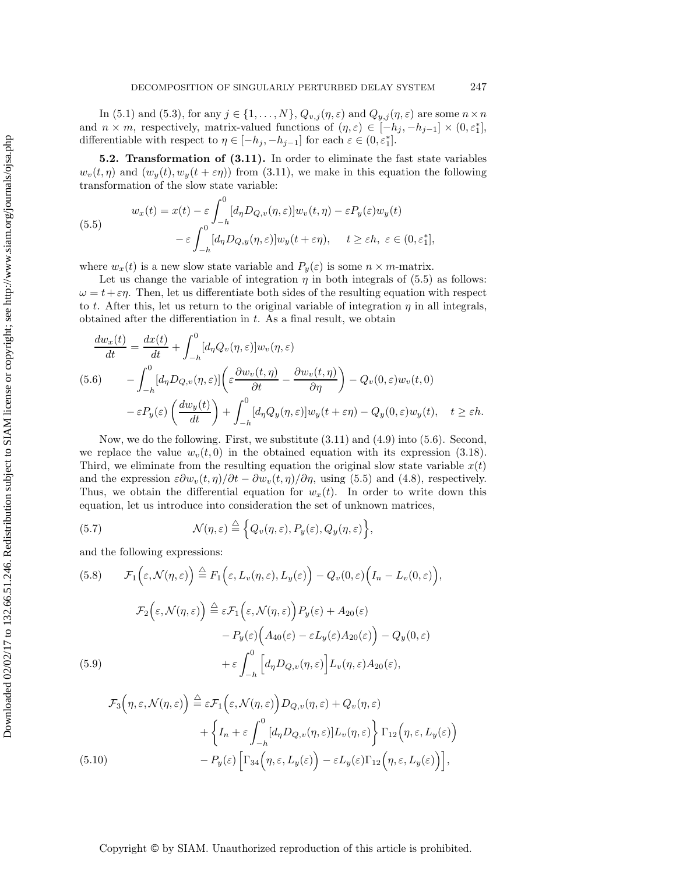In [\(5.1\)](#page-10-0) and [\(5.3\)](#page-10-1), for any  $j \in \{1, ..., N\}$ ,  $Q_{v,j}(\eta, \varepsilon)$  and  $Q_{y,j}(\eta, \varepsilon)$  are some  $n \times n$ and  $n \times m$ , respectively, matrix-valued functions of  $(\eta, \varepsilon) \in [-h_j, -h_{j-1}] \times (0, \varepsilon_1^*]$ , differentiable with respect to  $\eta \in [-h_j, -h_{j-1}]$  for each  $\varepsilon \in (0, \varepsilon_1^*]$ .

**5.2. Transformation of [\(3.11\)](#page-6-4).** In order to eliminate the fast state variables  $w_v(t, \eta)$  and  $(w_u(t), w_u(t + \varepsilon \eta))$  from [\(3.11\)](#page-6-4), we make in this equation the following transformation of the slow state variable:

<span id="page-11-0"></span>(5.5)  

$$
w_x(t) = x(t) - \varepsilon \int_{-h}^{0} [d_{\eta} D_{Q,v}(\eta, \varepsilon)] w_v(t, \eta) - \varepsilon P_y(\varepsilon) w_y(t)
$$

$$
- \varepsilon \int_{-h}^{0} [d_{\eta} D_{Q,y}(\eta, \varepsilon)] w_y(t + \varepsilon \eta), \quad t \ge \varepsilon h, \ \varepsilon \in (0, \varepsilon_1^*],
$$

where  $w_x(t)$  is a new slow state variable and  $P_y(\varepsilon)$  is some  $n \times m$ -matrix.

Let us change the variable of integration  $\eta$  in both integrals of [\(5.5\)](#page-11-0) as follows:  $\omega = t + \varepsilon \eta$ . Then, let us differentiate both sides of the resulting equation with respect to t. After this, let us return to the original variable of integration  $\eta$  in all integrals, obtained after the differentiation in  $t$ . As a final result, we obtain

<span id="page-11-1"></span>
$$
\frac{dw_x(t)}{dt} = \frac{dx(t)}{dt} + \int_{-h}^{0} [d_{\eta}Q_v(\eta,\varepsilon)]w_v(\eta,\varepsilon)
$$
\n
$$
(5.6) \qquad -\int_{-h}^{0} [d_{\eta}D_{Q,v}(\eta,\varepsilon)]\left(\varepsilon\frac{\partial w_v(t,\eta)}{\partial t} - \frac{\partial w_v(t,\eta)}{\partial \eta}\right) - Q_v(0,\varepsilon)w_v(t,0)
$$
\n
$$
-\varepsilon P_y(\varepsilon)\left(\frac{dw_y(t)}{dt}\right) + \int_{-h}^{0} [d_{\eta}Q_y(\eta,\varepsilon)]w_y(t+\varepsilon\eta) - Q_y(0,\varepsilon)w_y(t), \quad t \ge \varepsilon h.
$$

Now, we do the following. First, we substitute [\(3.11\)](#page-6-4) and [\(4.9\)](#page-9-0) into [\(5.6\)](#page-11-1). Second, we replace the value  $w_v(t, 0)$  in the obtained equation with its expression [\(3.18\)](#page-7-1). Third, we eliminate from the resulting equation the original slow state variable  $x(t)$ and the expression  $\varepsilon \partial w_v(t, \eta)/\partial t - \partial w_v(t, \eta)/\partial \eta$ , using [\(5.5\)](#page-11-0) and [\(4.8\)](#page-9-0), respectively. Thus, we obtain the differential equation for  $w_x(t)$ . In order to write down this equation, let us introduce into consideration the set of unknown matrices,

(5.7) 
$$
\mathcal{N}(\eta,\varepsilon) \stackrel{\triangle}{=} \Big\{Q_v(\eta,\varepsilon), P_y(\varepsilon), Q_y(\eta,\varepsilon)\Big\},\,
$$

and the following expressions:

<span id="page-11-4"></span><span id="page-11-3"></span><span id="page-11-2"></span> $\lambda$ 

(5.8) 
$$
\mathcal{F}_1(\varepsilon, \mathcal{N}(\eta, \varepsilon)) \stackrel{\triangle}{=} F_1(\varepsilon, L_v(\eta, \varepsilon), L_y(\varepsilon)) - Q_v(0, \varepsilon) \Big( I_n - L_v(0, \varepsilon) \Big),
$$

$$
\mathcal{F}_2(\varepsilon, \mathcal{N}(\eta, \varepsilon)) \stackrel{\triangle}{=} \varepsilon \mathcal{F}_1(\varepsilon, \mathcal{N}(\eta, \varepsilon)) P_y(\varepsilon) + A_{20}(\varepsilon)
$$

$$
- P_y(\varepsilon) \Big( A_{40}(\varepsilon) - \varepsilon L_y(\varepsilon) A_{20}(\varepsilon) \Big) - Q_y(0, \varepsilon)
$$

$$
(5.9) \qquad + \varepsilon \int_{-h}^0 \Big[ d_{\eta} D_{Q,v}(\eta, \varepsilon) \Big] L_v(\eta, \varepsilon) A_{20}(\varepsilon),
$$

<span id="page-11-5"></span>
$$
\mathcal{F}_3(\eta, \varepsilon, \mathcal{N}(\eta, \varepsilon)) \stackrel{\triangle}{=} \varepsilon \mathcal{F}_1(\varepsilon, \mathcal{N}(\eta, \varepsilon)) D_{Q, v}(\eta, \varepsilon) + Q_v(\eta, \varepsilon) \n+ \left\{ I_n + \varepsilon \int_{-h}^0 [d_\eta D_{Q, v}(\eta, \varepsilon)] L_v(\eta, \varepsilon) \right\} \Gamma_{12}(\eta, \varepsilon, L_y(\varepsilon)) \n- P_y(\varepsilon) \left[ \Gamma_{34}(\eta, \varepsilon, L_y(\varepsilon)) - \varepsilon L_y(\varepsilon) \Gamma_{12}(\eta, \varepsilon, L_y(\varepsilon)) \right],
$$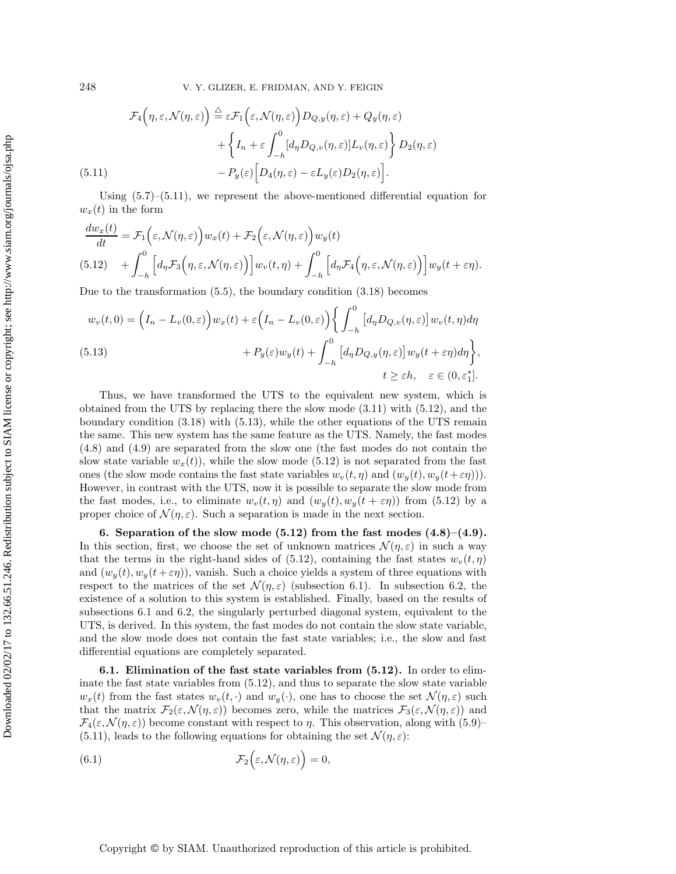248 V. Y. GLIZER, E. FRIDMAN, AND Y. FEIGIN

<span id="page-12-1"></span>(5.11) 
$$
\mathcal{F}_4(\eta, \varepsilon, \mathcal{N}(\eta, \varepsilon)) \stackrel{\triangle}{=} \varepsilon \mathcal{F}_1(\varepsilon, \mathcal{N}(\eta, \varepsilon)) D_{Q,y}(\eta, \varepsilon) + Q_y(\eta, \varepsilon) + \left\{ I_n + \varepsilon \int_{-h}^0 [d_\eta D_{Q,v}(\eta, \varepsilon)] L_v(\eta, \varepsilon) \right\} D_2(\eta, \varepsilon)
$$

$$
- P_y(\varepsilon) \left[ D_4(\eta, \varepsilon) - \varepsilon L_y(\varepsilon) D_2(\eta, \varepsilon) \right].
$$

Using  $(5.7)$ – $(5.11)$ , we represent the above-mentioned differential equation for  $w_x(t)$  in the form

<span id="page-12-2"></span>
$$
\frac{dw_x(t)}{dt} = \mathcal{F}_1\Big(\varepsilon, \mathcal{N}(\eta, \varepsilon)\Big)w_x(t) + \mathcal{F}_2\Big(\varepsilon, \mathcal{N}(\eta, \varepsilon)\Big)w_y(t)
$$
\n
$$
(5.12) \quad + \int_{-h}^{0}\Big[d_{\eta}\mathcal{F}_3\Big(\eta, \varepsilon, \mathcal{N}(\eta, \varepsilon)\Big)\Big]w_v(t, \eta) + \int_{-h}^{0}\Big[d_{\eta}\mathcal{F}_4\Big(\eta, \varepsilon, \mathcal{N}(\eta, \varepsilon)\Big)\Big]w_y(t + \varepsilon\eta).
$$

Due to the transformation [\(5.5\)](#page-11-0), the boundary condition [\(3.18\)](#page-7-1) becomes

<span id="page-12-3"></span>
$$
w_v(t,0) = \left(I_n - L_v(0,\varepsilon)\right) w_x(t) + \varepsilon \left(I_n - L_v(0,\varepsilon)\right) \left\{ \int_{-h}^0 \left[d_\eta D_{Q,v}(\eta,\varepsilon)\right] w_v(t,\eta) d\eta \right.\n(5.13) + P_y(\varepsilon) w_y(t) + \int_{-h}^0 \left[d_\eta D_{Q,y}(\eta,\varepsilon)\right] w_y(t+\varepsilon \eta) d\eta \right\},\
$$
  
\n $t \ge \varepsilon h, \quad \varepsilon \in (0,\varepsilon_1^*].$ 

Thus, we have transformed the UTS to the equivalent new system, which is obtained from the UTS by replacing there the slow mode [\(3.11\)](#page-6-4) with [\(5.12\)](#page-12-2), and the boundary condition [\(3.18\)](#page-7-1) with [\(5.13\)](#page-12-3), while the other equations of the UTS remain the same. This new system has the same feature as the UTS. Namely, the fast modes [\(4.8\)](#page-9-0) and [\(4.9\)](#page-9-0) are separated from the slow one (the fast modes do not contain the slow state variable  $w_x(t)$ , while the slow mode [\(5.12\)](#page-12-2) is not separated from the fast ones (the slow mode contains the fast state variables  $w_v(t, \eta)$  and  $(w_u(t), w_u(t+\varepsilon\eta))$ ). However, in contrast with the UTS, now it is possible to separate the slow mode from the fast modes, i.e., to eliminate  $w_v(t, \eta)$  and  $(w_y(t), w_y(t + \varepsilon \eta))$  from [\(5.12\)](#page-12-2) by a proper choice of  $\mathcal{N}(\eta,\varepsilon)$ . Such a separation is made in the next section.

<span id="page-12-0"></span>**6.** Separation of the slow mode  $(5.12)$  from the fast modes  $(4.8)$ – $(4.9)$ . In this section, first, we choose the set of unknown matrices  $\mathcal{N}(\eta,\varepsilon)$  in such a way that the terms in the right-hand sides of [\(5.12\)](#page-12-2), containing the fast states  $w_v(t, \eta)$ and  $(w_y(t), w_y(t + \varepsilon \eta))$ , vanish. Such a choice yields a system of three equations with respect to the matrices of the set  $\mathcal{N}(\eta,\varepsilon)$  (subsection 6.1). In subsection 6.2, the existence of a solution to this system is established. Finally, based on the results of subsections 6.1 and 6.2, the singularly perturbed diagonal system, equivalent to the UTS, is derived. In this system, the fast modes do not contain the slow state variable, and the slow mode does not contain the fast state variables; i.e., the slow and fast differential equations are completely separated.

**6.1. Elimination of the fast state variables from [\(5.12\)](#page-12-2).** In order to eliminate the fast state variables from [\(5.12\)](#page-12-2), and thus to separate the slow state variable  $w_x(t)$  from the fast states  $w_y(t, \cdot)$  and  $w_y(\cdot)$ , one has to choose the set  $\mathcal{N}(\eta, \varepsilon)$  such that the matrix  $\mathcal{F}_2(\varepsilon,\mathcal{N}(\eta,\varepsilon))$  becomes zero, while the matrices  $\mathcal{F}_3(\varepsilon,\mathcal{N}(\eta,\varepsilon))$  and  $\mathcal{F}_4(\varepsilon,\mathcal{N}(\eta,\varepsilon))$  become constant with respect to  $\eta$ . This observation, along with [\(5.9\)](#page-11-3)–  $(5.11)$ , leads to the following equations for obtaining the set  $\mathcal{N}(\eta,\varepsilon)$ :

<span id="page-12-4"></span>(6.1) 
$$
\mathcal{F}_2(\varepsilon,\mathcal{N}(\eta,\varepsilon))=0,
$$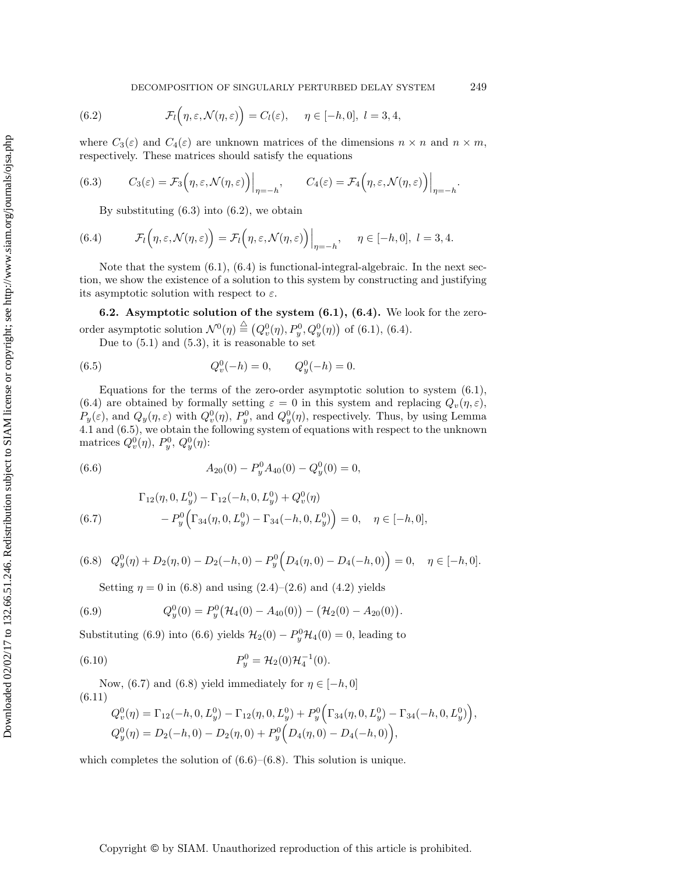<span id="page-13-1"></span>(6.2) 
$$
\mathcal{F}_l(\eta,\varepsilon,\mathcal{N}(\eta,\varepsilon)) = C_l(\varepsilon), \quad \eta \in [-h,0], l = 3,4,
$$

where  $C_3(\varepsilon)$  and  $C_4(\varepsilon)$  are unknown matrices of the dimensions  $n \times n$  and  $n \times m$ , respectively. These matrices should satisfy the equations

(6.3) 
$$
C_3(\varepsilon) = \mathcal{F}_3(\eta, \varepsilon, \mathcal{N}(\eta, \varepsilon))\Big|_{\eta = -h}, \qquad C_4(\varepsilon) = \mathcal{F}_4(\eta, \varepsilon, \mathcal{N}(\eta, \varepsilon))\Big|_{\eta = -h}.
$$

<span id="page-13-2"></span><span id="page-13-0"></span>By substituting  $(6.3)$  into  $(6.2)$ , we obtain

(6.4) 
$$
\mathcal{F}_l(\eta,\varepsilon,\mathcal{N}(\eta,\varepsilon)) = \mathcal{F}_l(\eta,\varepsilon,\mathcal{N}(\eta,\varepsilon))\Big|_{\eta=-h}, \quad \eta \in [-h,0], l = 3,4.
$$

Note that the system  $(6.1)$ ,  $(6.4)$  is functional-integral-algebraic. In the next section, we show the existence of a solution to this system by constructing and justifying its asymptotic solution with respect to  $\varepsilon$ .

**6.2. Asymptotic solution of the system [\(6.1\)](#page-12-4), [\(6.4\)](#page-13-2).** We look for the zeroorder asymptotic solution  $\mathcal{N}^0(\eta) \stackrel{\triangle}{=} (Q_v^0(\eta), P_y^0, Q_y^0(\eta))$  of [\(6.1\)](#page-12-4), [\(6.4\)](#page-13-2).

<span id="page-13-3"></span>Due to [\(5.1\)](#page-10-0) and [\(5.3\)](#page-10-1), it is reasonable to set

(6.5) 
$$
Q_v^0(-h) = 0, \qquad Q_y^0(-h) = 0.
$$

Equations for the terms of the zero-order asymptotic solution to system [\(6.1\)](#page-12-4), [\(6.4\)](#page-13-2) are obtained by formally setting  $\varepsilon = 0$  in this system and replacing  $Q_v(\eta, \varepsilon)$ ,  $P_y(\varepsilon)$ , and  $Q_y(\eta, \varepsilon)$  with  $Q_v^0(\eta)$ ,  $P_y^0$ , and  $Q_y^0(\eta)$ , respectively. Thus, by using Lemma [4.1](#page-8-3) and [\(6.5\)](#page-13-3), we obtain the following system of equations with respect to the unknown matrices  $Q_v^0(\eta)$ ,  $P_y^0$ ,  $Q_y^0(\eta)$ :

<span id="page-13-6"></span>(6.6) 
$$
A_{20}(0) - P_y^0 A_{40}(0) - Q_y^0(0) = 0,
$$

<span id="page-13-7"></span>(6.7) 
$$
\Gamma_{12}(\eta, 0, L_y^0) - \Gamma_{12}(-h, 0, L_y^0) + Q_v^0(\eta)
$$

$$
-P_y^0 \Big( \Gamma_{34}(\eta, 0, L_y^0) - \Gamma_{34}(-h, 0, L_y^0) \Big) = 0, \quad \eta \in [-h, 0],
$$

<span id="page-13-4"></span>
$$
(6.8) \quad Q_y^0(\eta) + D_2(\eta, 0) - D_2(-h, 0) - P_y^0(D_4(\eta, 0) - D_4(-h, 0)) = 0, \quad \eta \in [-h, 0].
$$

<span id="page-13-5"></span>Setting  $\eta = 0$  in [\(6.8\)](#page-13-4) and using [\(2.4\)](#page-3-1)–[\(2.6\)](#page-3-2) and [\(4.2\)](#page-8-0) yields

(6.9) 
$$
Q_y^0(0) = P_y^0(\mathcal{H}_4(0) - A_{40}(0)) - (\mathcal{H}_2(0) - A_{20}(0)).
$$

Substituting [\(6.9\)](#page-13-5) into [\(6.6\)](#page-13-6) yields  $\mathcal{H}_2(0) - P_y^0 \mathcal{H}_4(0) = 0$ , leading to

(6.10) 
$$
P_y^0 = \mathcal{H}_2(0)\mathcal{H}_4^{-1}(0).
$$

Now, [\(6.7\)](#page-13-7) and [\(6.8\)](#page-13-4) yield immediately for  $\eta \in [-h, 0]$ (6.11)

<span id="page-13-9"></span><span id="page-13-8"></span>
$$
Q_v^0(\eta) = \Gamma_{12}(-h, 0, L_y^0) - \Gamma_{12}(\eta, 0, L_y^0) + P_y^0(\Gamma_{34}(\eta, 0, L_y^0) - \Gamma_{34}(-h, 0, L_y^0)),
$$
  
\n
$$
Q_y^0(\eta) = D_2(-h, 0) - D_2(\eta, 0) + P_y^0(D_4(\eta, 0) - D_4(-h, 0)),
$$

<span id="page-13-10"></span>which completes the solution of  $(6.6)$ – $(6.8)$ . This solution is unique.

Downloaded 02/02/17 to 132.66.51.246. Redistribution subject to SIAM license or copyright; see http://www.siam.org/journals/ojsa.php Downloaded 02/02/17 to 132.66.51.246. Redistribution subject to SIAM license or copyright; see http://www.siam.org/journals/ojsa.php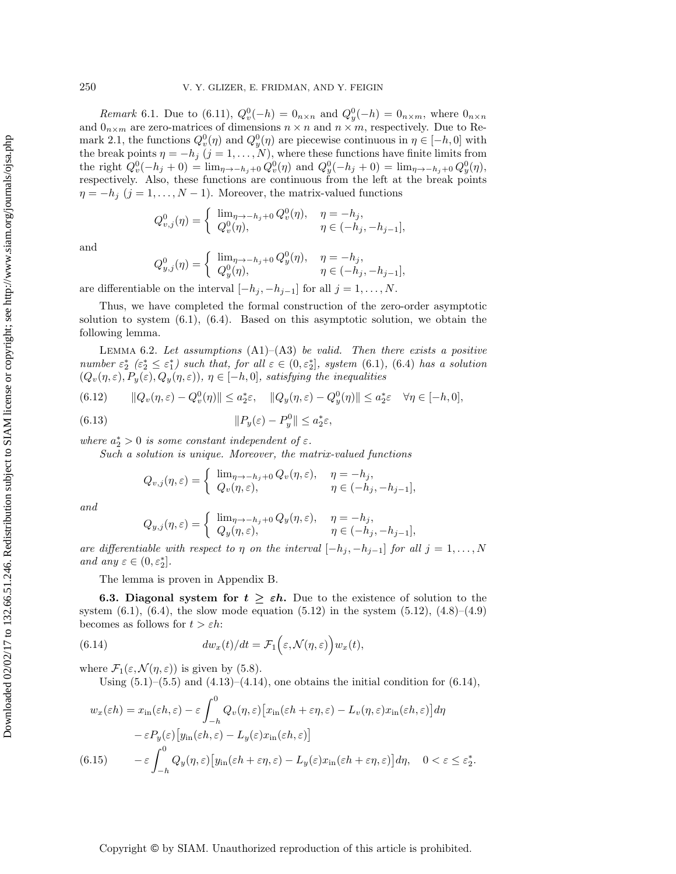*Remark* 6.1. Due to [\(6.11\)](#page-13-8),  $Q_v^0(-h) = 0_{n \times n}$  and  $Q_v^0(-h) = 0_{n \times m}$ , where  $0_{n \times n}$ and  $0_{n \times m}$  are zero-matrices of dimensions  $n \times n$  and  $n \times m$ , respectively. Due to Re-mark [2.1,](#page-3-3) the functions  $Q_v^0(\eta)$  and  $Q_y^0(\eta)$  are piecewise continuous in  $\eta \in [-h, 0]$  with the break points  $\eta = -h_j$  (j = 1, ..., N), where these functions have finite limits from the right  $Q_v^0(-h_j + 0) = \lim_{\eta \to -h_j + 0} Q_v^0(\eta)$  and  $Q_y^0(-h_j + 0) = \lim_{\eta \to -h_j + 0} Q_y^0(\eta)$ , respectively. Also, these functions are continuous from the left at the break points  $\eta = -h_j$  (j = 1,..., N – 1). Moreover, the matrix-valued functions

$$
Q_{v,j}^0(\eta) = \begin{cases} \lim_{\eta \to -h_j+0} Q_v^0(\eta), & \eta = -h_j, \\ Q_v^0(\eta), & \eta \in (-h_j, -h_{j-1}], \end{cases}
$$

and

<span id="page-14-1"></span>
$$
Q_{y,j}^0(\eta) = \begin{cases} \lim_{\eta \to -h_j+0} Q_y^0(\eta), & \eta = -h_j, \\ Q_y^0(\eta), & \eta \in (-h_j, -h_{j-1}], \end{cases}
$$

are differentiable on the interval  $[-h_j, -h_{j-1}]$  for all  $j = 1, \ldots, N$ .

Thus, we have completed the formal construction of the zero-order asymptotic solution to system  $(6.1)$ ,  $(6.4)$ . Based on this asymptotic solution, we obtain the following lemma.

Lemma 6.2. *Let assumptions* (A1)–(A3) *be valid. Then there exists a positive number*  $\varepsilon_2^*$   $(\varepsilon_2^* \leq \varepsilon_1^*)$  *such that, for all*  $\varepsilon \in (0, \varepsilon_2^*]$ *, system* [\(6.1\)](#page-12-4)*,* [\(6.4\)](#page-13-2) *has a solution*  $(Q_v(\eta, \varepsilon), P_y(\varepsilon), Q_y(\eta, \varepsilon)), \eta \in [-h, 0],$  satisfying the inequalities

<span id="page-14-3"></span>(6.12) 
$$
\|Q_v(\eta,\varepsilon)-Q_v^0(\eta)\| \le a_2^*\varepsilon, \quad \|Q_y(\eta,\varepsilon)-Q_y^0(\eta)\| \le a_2^*\varepsilon \quad \forall \eta \in [-h,0],
$$

(6.13) 
$$
||P_y(\varepsilon) - P_y^0|| \le a_2^* \varepsilon,
$$

*where*  $a_2^* > 0$  *is some constant independent of*  $\varepsilon$ *.* 

*Such a solution is unique. Moreover, the matrix-valued functions*

<span id="page-14-4"></span>
$$
Q_{v,j}(\eta,\varepsilon) = \begin{cases} \lim_{\eta \to -h_j+0} Q_v(\eta,\varepsilon), & \eta = -h_j, \\ Q_v(\eta,\varepsilon), & \eta \in (-h_j, -h_{j-1}], \end{cases}
$$

*and*

$$
Q_{y,j}(\eta,\varepsilon) = \begin{cases} \lim_{\eta \to -h_j+0} Q_y(\eta,\varepsilon), & \eta = -h_j, \\ Q_y(\eta,\varepsilon), & \eta \in (-h_j, -h_{j-1}], \end{cases}
$$

*are differentiable with respect to*  $\eta$  *on the interval*  $[-h_j, -h_{j-1}]$  *for all*  $j = 1, \ldots, N$ *and any*  $\varepsilon \in (0, \varepsilon_2^*]$ .

The lemma is proven in Appendix [B.](#page-30-0)

**6.3. Diagonal system for**  $t \geq \varepsilon h$ . Due to the existence of solution to the system  $(6.1)$ ,  $(6.4)$ , the slow mode equation  $(5.12)$  in the system  $(5.12)$ ,  $(4.8)–(4.9)$  $(4.8)–(4.9)$  $(4.8)–(4.9)$ becomes as follows for  $t > \varepsilon h$ :

(6.14) 
$$
dw_x(t)/dt = \mathcal{F}_1\Big(\varepsilon, \mathcal{N}(\eta, \varepsilon)\Big)w_x(t),
$$

where  $\mathcal{F}_1(\varepsilon,\mathcal{N}(\eta,\varepsilon))$  is given by [\(5.8\)](#page-11-4).

<span id="page-14-0"></span>Using  $(5.1)$ – $(5.5)$  and  $(4.13)$ – $(4.14)$ , one obtains the initial condition for  $(6.14)$ ,

<span id="page-14-2"></span>
$$
w_x(\varepsilon h) = x_{\rm in}(\varepsilon h, \varepsilon) - \varepsilon \int_{-h}^0 Q_v(\eta, \varepsilon) \left[ x_{\rm in}(\varepsilon h + \varepsilon \eta, \varepsilon) - L_v(\eta, \varepsilon) x_{\rm in}(\varepsilon h, \varepsilon) \right] d\eta
$$
  

$$
- \varepsilon P_y(\varepsilon) \left[ y_{\rm in}(\varepsilon h, \varepsilon) - L_y(\varepsilon) x_{\rm in}(\varepsilon h, \varepsilon) \right]
$$
  
(6.15) 
$$
- \varepsilon \int_{-h}^0 Q_y(\eta, \varepsilon) \left[ y_{\rm in}(\varepsilon h + \varepsilon \eta, \varepsilon) - L_y(\varepsilon) x_{\rm in}(\varepsilon h + \varepsilon \eta, \varepsilon) \right] d\eta, \quad 0 < \varepsilon \le \varepsilon_2^*.
$$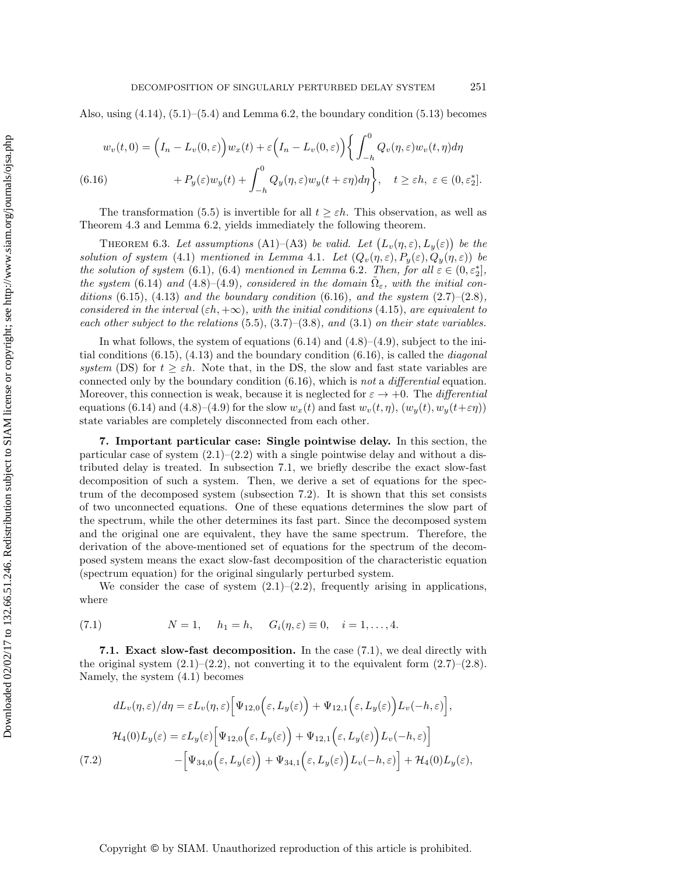Also, using  $(4.14)$ ,  $(5.1)$ – $(5.4)$  and Lemma [6.2,](#page-14-1) the boundary condition  $(5.13)$  becomes

<span id="page-15-1"></span>
$$
w_v(t,0) = \left(I_n - L_v(0,\varepsilon)\right) w_x(t) + \varepsilon \left(I_n - L_v(0,\varepsilon)\right) \left\{ \int_{-h}^0 Q_v(\eta,\varepsilon) w_v(t,\eta) d\eta \right\}
$$
  
(6.16) 
$$
+ P_y(\varepsilon) w_y(t) + \int_{-h}^0 Q_y(\eta,\varepsilon) w_y(t + \varepsilon \eta) d\eta \right\}, \quad t \ge \varepsilon h, \ \varepsilon \in (0,\varepsilon_2^*].
$$

<span id="page-15-4"></span>The transformation [\(5.5\)](#page-11-0) is invertible for all  $t \geq \varepsilon h$ . This observation, as well as Theorem [4.3](#page-10-4) and Lemma [6.2,](#page-14-1) yields immediately the following theorem.

THEOREM 6.3. Let assumptions (A1)–(A3) be valid. Let  $(L_v(\eta, \varepsilon), L_y(\varepsilon))$  be the *solution of system* [\(4.1\)](#page-7-2) *mentioned in Lemma [4.1](#page-8-3). Let*  $(Q_v(\eta, \varepsilon), P_y(\varepsilon), Q_y(\eta, \varepsilon))$  *be the solution of system* [\(6.1\)](#page-12-4), [\(6.4\)](#page-13-2) *mentioned in Lemma* [6.2](#page-14-1)*. Then, for all*  $\varepsilon \in (0, \varepsilon_2^*]$ , *the system* [\(6.14\)](#page-14-0) *and* [\(4.8\)](#page-9-0)–[\(4.9\)](#page-9-0)*, considered in the domain*  $\Omega_{\varepsilon}$ *, with the initial conditions* [\(6.15\)](#page-14-2), [\(4.13\)](#page-9-3) *and the boundary condition* [\(6.16\)](#page-15-1)*, and the system* [\(2.7\)](#page-4-1)–(2.8*), considered in the interval*  $(\varepsilon h, +\infty)$ *, with the initial conditions* [\(4.15\)](#page-10-5)*, are equivalent to each other subject to the relations* [\(5.5\)](#page-11-0), [\(3.7\)](#page-6-0)–[\(3.8\)](#page-6-1)*, and* [\(3.1\)](#page-5-0) *on their state variables.*

In what follows, the system of equations  $(6.14)$  and  $(4.8)$ – $(4.9)$ , subject to the initial conditions [\(6.15\)](#page-14-2), [\(4.13\)](#page-9-3) and the boundary condition [\(6.16\)](#page-15-1), is called the *diagonal system* (DS) for  $t \geq \varepsilon h$ . Note that, in the DS, the slow and fast state variables are connected only by the boundary condition [\(6.16\)](#page-15-1), which is *not* a *differential* equation. Moreover, this connection is weak, because it is neglected for  $\varepsilon \to +0$ . The *differential* equations [\(6.14\)](#page-14-0) and [\(4.8\)](#page-9-0)–[\(4.9\)](#page-9-0) for the slow  $w_x(t)$  and fast  $w_y(t, \eta)$ ,  $(w_y(t), w_y(t+\varepsilon\eta))$ state variables are completely disconnected from each other.

<span id="page-15-0"></span>**7. Important particular case: Single pointwise delay.** In this section, the particular case of system  $(2.1)$ – $(2.2)$  with a single pointwise delay and without a distributed delay is treated. In subsection 7.1, we briefly describe the exact slow-fast decomposition of such a system. Then, we derive a set of equations for the spectrum of the decomposed system (subsection 7.2). It is shown that this set consists of two unconnected equations. One of these equations determines the slow part of the spectrum, while the other determines its fast part. Since the decomposed system and the original one are equivalent, they have the same spectrum. Therefore, the derivation of the above-mentioned set of equations for the spectrum of the decomposed system means the exact slow-fast decomposition of the characteristic equation (spectrum equation) for the original singularly perturbed system.

We consider the case of system  $(2.1)$ – $(2.2)$ , frequently arising in applications, where

<span id="page-15-2"></span>(7.1) 
$$
N = 1, \quad h_1 = h, \quad G_i(\eta, \varepsilon) \equiv 0, \quad i = 1, ..., 4.
$$

**7.1. Exact slow-fast decomposition.** In the case [\(7.1\)](#page-15-2), we deal directly with the original system  $(2.1)$ – $(2.2)$ , not converting it to the equivalent form  $(2.7)$ – $(2.8)$ . Namely, the system [\(4.1\)](#page-7-2) becomes

<span id="page-15-3"></span>
$$
dL_v(\eta, \varepsilon)/d\eta = \varepsilon L_v(\eta, \varepsilon) \Big[ \Psi_{12,0} \Big( \varepsilon, L_y(\varepsilon) \Big) + \Psi_{12,1} \Big( \varepsilon, L_y(\varepsilon) \Big) L_v(-h, \varepsilon) \Big],
$$
  

$$
\mathcal{H}_4(0)L_y(\varepsilon) = \varepsilon L_y(\varepsilon) \Big[ \Psi_{12,0} \Big( \varepsilon, L_y(\varepsilon) \Big) + \Psi_{12,1} \Big( \varepsilon, L_y(\varepsilon) \Big) L_v(-h, \varepsilon) \Big]
$$
  
(7.2)  

$$
- \Big[ \Psi_{34,0} \Big( \varepsilon, L_y(\varepsilon) \Big) + \Psi_{34,1} \Big( \varepsilon, L_y(\varepsilon) \Big) L_v(-h, \varepsilon) \Big] + \mathcal{H}_4(0)L_y(\varepsilon),
$$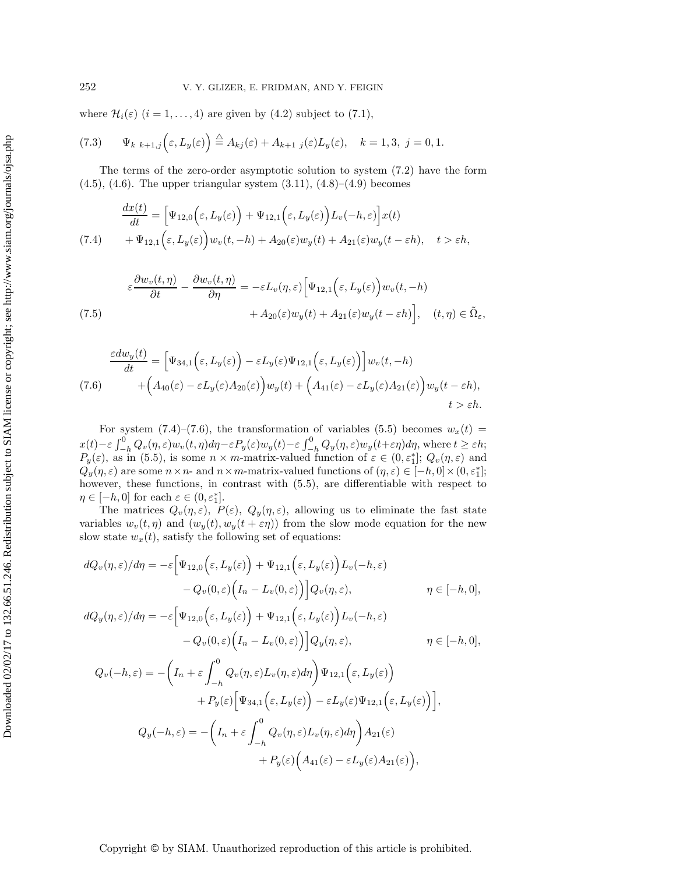where  $\mathcal{H}_i(\varepsilon)$   $(i = 1, ..., 4)$  are given by [\(4.2\)](#page-8-0) subject to [\(7.1\)](#page-15-2),

(7.3) 
$$
\Psi_{k \ k+1,j}\left(\varepsilon,L_y(\varepsilon)\right) \stackrel{\triangle}{=} A_{kj}(\varepsilon) + A_{k+1 \ j}(\varepsilon)L_y(\varepsilon), \quad k = 1,3, \ j = 0,1.
$$

The terms of the zero-order asymptotic solution to system [\(7.2\)](#page-15-3) have the form  $(4.5)$ ,  $(4.6)$ . The upper triangular system  $(3.11)$ ,  $(4.8)$ – $(4.9)$  becomes

<span id="page-16-0"></span>
$$
\frac{dx(t)}{dt} = \left[\Psi_{12,0}\left(\varepsilon, L_y(\varepsilon)\right) + \Psi_{12,1}\left(\varepsilon, L_y(\varepsilon)\right)L_v(-h,\varepsilon)\right]x(t) \n+ \Psi_{12,1}\left(\varepsilon, L_y(\varepsilon)\right)w_v(t,-h) + A_{20}(\varepsilon)w_y(t) + A_{21}(\varepsilon)w_y(t-\varepsilon h), \quad t > \varepsilon h,
$$

<span id="page-16-2"></span>(7.5)  
\n
$$
\varepsilon \frac{\partial w_v(t,\eta)}{\partial t} - \frac{\partial w_v(t,\eta)}{\partial \eta} = -\varepsilon L_v(\eta,\varepsilon) \Big[ \Psi_{12,1}\Big(\varepsilon, L_y(\varepsilon)\Big) w_v(t,-h) + A_{20}(\varepsilon) w_y(t) + A_{21}(\varepsilon) w_y(t-\varepsilon h) \Big], \quad (t,\eta) \in \tilde{\Omega}_{\varepsilon},
$$

<span id="page-16-1"></span>
$$
\frac{\varepsilon dw_y(t)}{dt} = \left[\Psi_{34,1}\left(\varepsilon, L_y(\varepsilon)\right) - \varepsilon L_y(\varepsilon)\Psi_{12,1}\left(\varepsilon, L_y(\varepsilon)\right)\right]w_v(t, -h)
$$
\n
$$
(7.6) \qquad \qquad + \left(A_{40}(\varepsilon) - \varepsilon L_y(\varepsilon)A_{20}(\varepsilon)\right)w_y(t) + \left(A_{41}(\varepsilon) - \varepsilon L_y(\varepsilon)A_{21}(\varepsilon)\right)w_y(t - \varepsilon h),
$$
\n
$$
t > \varepsilon h.
$$

For system  $(7.4)$ – $(7.6)$ , the transformation of variables  $(5.5)$  becomes  $w_x(t)$  =  $x(t) - \varepsilon \int_{-h}^{0} Q_v(\eta, \varepsilon) w_v(t, \eta) d\eta - \varepsilon P_y(\varepsilon) w_y(t) - \varepsilon \int_{-h}^{0} Q_y(\eta, \varepsilon) w_y(t + \varepsilon \eta) d\eta$ , where  $t \geq \varepsilon h$ ;<br>  $P_y(\varepsilon)$ , as in [\(5.5\)](#page-11-0), is some  $n \times m$ -matrix-valued function of  $\varepsilon \in (0, \varepsilon_1^*]$ ;  $Q_v(\eta, \varepsilon)$  and  $Q_y(\eta, \varepsilon)$  are some  $n \times n$ - and  $n \times m$ -matrix-valued functions of  $(\eta, \varepsilon) \in [-h, 0] \times (0, \varepsilon_1^*];$ however, these functions, in contrast with  $(5.5)$ , are differentiable with respect to  $\eta \in [-h, 0]$  for each  $\varepsilon \in (0, \varepsilon_1^*]$ .

The matrices  $Q_v(\eta,\varepsilon)$ ,  $P(\varepsilon)$ ,  $Q_y(\eta,\varepsilon)$ , allowing us to eliminate the fast state variables  $w_v(t, \eta)$  and  $(w_y(t), w_y(t + \varepsilon \eta))$  from the slow mode equation for the new slow state  $w_x(t)$ , satisfy the following set of equations:

$$
dQ_v(\eta, \varepsilon)/d\eta = -\varepsilon \Big[ \Psi_{12,0} \Big( \varepsilon, L_y(\varepsilon) \Big) + \Psi_{12,1} \Big( \varepsilon, L_y(\varepsilon) \Big) L_v(-h, \varepsilon)
$$
  
-  $Q_v(0, \varepsilon) \Big( I_n - L_v(0, \varepsilon) \Big) \Big] Q_v(\eta, \varepsilon),$   $\eta \in [-h, 0],$ 

$$
dQ_y(\eta, \varepsilon)/d\eta = -\varepsilon \Big[ \Psi_{12,0} \Big( \varepsilon, L_y(\varepsilon) \Big) + \Psi_{12,1} \Big( \varepsilon, L_y(\varepsilon) \Big) L_v(-h, \varepsilon)
$$
  
-  $Q_v(0, \varepsilon) \Big( I_n - L_v(0, \varepsilon) \Big) \Big] Q_y(\eta, \varepsilon), \qquad \eta \in [-h, 0],$ 

$$
Q_v(-h,\varepsilon) = -\left(I_n + \varepsilon \int_{-h}^0 Q_v(\eta,\varepsilon)L_v(\eta,\varepsilon)d\eta\right)\Psi_{12,1}\left(\varepsilon, L_y(\varepsilon)\right)
$$

$$
+ P_y(\varepsilon)\Big[\Psi_{34,1}\Big(\varepsilon, L_y(\varepsilon)\Big) - \varepsilon L_y(\varepsilon)\Psi_{12,1}\Big(\varepsilon, L_y(\varepsilon)\Big)\Big],
$$

$$
Q_y(-h,\varepsilon) = -\left(I_n + \varepsilon \int_{-h}^0 Q_v(\eta,\varepsilon)L_v(\eta,\varepsilon)d\eta\right)A_{21}(\varepsilon)
$$

$$
+ P_y(\varepsilon)\Big(A_{41}(\varepsilon) - \varepsilon L_y(\varepsilon)A_{21}(\varepsilon)\Big),
$$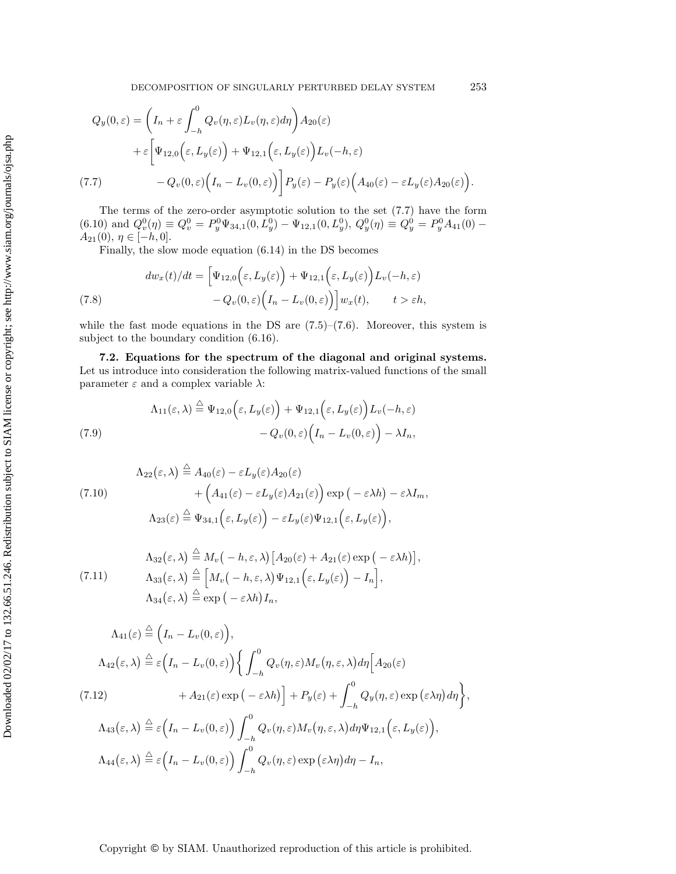<span id="page-17-0"></span>
$$
Q_y(0,\varepsilon) = \left(I_n + \varepsilon \int_{-h}^0 Q_v(\eta,\varepsilon) L_v(\eta,\varepsilon) d\eta \right) A_{20}(\varepsilon)
$$
  
+  $\varepsilon \left[ \Psi_{12,0} \left(\varepsilon, L_y(\varepsilon)\right) + \Psi_{12,1} \left(\varepsilon, L_y(\varepsilon)\right) L_v(-h,\varepsilon) - Q_v(0,\varepsilon) \left(I_n - L_v(0,\varepsilon)\right) \right] P_y(\varepsilon) - P_y(\varepsilon) \left(A_{40}(\varepsilon) - \varepsilon L_y(\varepsilon) A_{20}(\varepsilon)\right).$ 

The terms of the zero-order asymptotic solution to the set [\(7.7\)](#page-17-0) have the form  $(6.10)$  and  $Q_v^0(\eta) \equiv Q_v^0 = P_y^0 \Psi_{34,1}(0, L_y^0) - \Psi_{12,1}(0, L_y^0), Q_y^0(\eta) \equiv Q_y^0 = P_y^0 A_{41}(0) A_{21}(0), \eta \in [-h, 0].$ 

<span id="page-17-3"></span>Finally, the slow mode equation [\(6.14\)](#page-14-0) in the DS becomes

(7.8) 
$$
dw_x(t)/dt = \left[\Psi_{12,0}\left(\varepsilon, L_y(\varepsilon)\right) + \Psi_{12,1}\left(\varepsilon, L_y(\varepsilon)\right)L_v(-h, \varepsilon) - Q_v(0, \varepsilon)\left(I_n - L_v(0, \varepsilon)\right)\right]w_x(t), \qquad t > \varepsilon h,
$$

while the fast mode equations in the DS are  $(7.5)$ – $(7.6)$ . Moreover, this system is subject to the boundary condition [\(6.16\)](#page-15-1).

**7.2. Equations for the spectrum of the diagonal and original systems.** Let us introduce into consideration the following matrix-valued functions of the small parameter  $\varepsilon$  and a complex variable  $\lambda$ :

<span id="page-17-1"></span>(7.9)  
\n
$$
\Lambda_{11}(\varepsilon,\lambda) \stackrel{\triangle}{=} \Psi_{12,0}\Big(\varepsilon,L_y(\varepsilon)\Big) + \Psi_{12,1}\Big(\varepsilon,L_y(\varepsilon)\Big)L_v(-h,\varepsilon)
$$
\n
$$
-Q_v(0,\varepsilon)\Big(I_n - L_v(0,\varepsilon)\Big) - \lambda I_n,
$$

<span id="page-17-4"></span>
$$
\Lambda_{22}(\varepsilon,\lambda) \stackrel{\triangle}{=} A_{40}(\varepsilon) - \varepsilon L_y(\varepsilon) A_{20}(\varepsilon)
$$
  
+ 
$$
\left( A_{41}(\varepsilon) - \varepsilon L_y(\varepsilon) A_{21}(\varepsilon) \right) \exp\left( -\varepsilon \lambda h \right) - \varepsilon \lambda I_m,
$$
  

$$
\Lambda_{23}(\varepsilon) \stackrel{\triangle}{=} \Psi_{34,1}(\varepsilon, L_y(\varepsilon)) - \varepsilon L_y(\varepsilon) \Psi_{12,1}(\varepsilon, L_y(\varepsilon)),
$$

<span id="page-17-5"></span>(7.11) 
$$
\Lambda_{32}(\varepsilon,\lambda) \stackrel{\triangle}{=} M_v(-h,\varepsilon,\lambda) [A_{20}(\varepsilon) + A_{21}(\varepsilon) \exp(-\varepsilon\lambda h)],
$$

$$
\Lambda_{33}(\varepsilon,\lambda) \stackrel{\triangle}{=} [M_v(-h,\varepsilon,\lambda)\Psi_{12,1}(\varepsilon,L_y(\varepsilon)) - I_n],
$$

$$
\Lambda_{34}(\varepsilon,\lambda) \stackrel{\triangle}{=} \exp(-\varepsilon\lambda h) I_n,
$$

<span id="page-17-2"></span>
$$
\Lambda_{41}(\varepsilon) \stackrel{\triangle}{=} \left(I_n - L_v(0, \varepsilon)\right),
$$
\n
$$
\Lambda_{42}(\varepsilon, \lambda) \stackrel{\triangle}{=} \varepsilon \left(I_n - L_v(0, \varepsilon)\right) \left\{ \int_{-h}^0 Q_v(\eta, \varepsilon) M_v(\eta, \varepsilon, \lambda) d\eta \Big[A_{20}(\varepsilon)\right.
$$
\n
$$
(7.12) \qquad \qquad + A_{21}(\varepsilon) \exp\left(-\varepsilon\lambda h\right) \Big] + P_y(\varepsilon) + \int_{-h}^0 Q_y(\eta, \varepsilon) \exp\left(\varepsilon\lambda \eta\right) d\eta \right\},
$$
\n
$$
\Lambda_{43}(\varepsilon, \lambda) \stackrel{\triangle}{=} \varepsilon \left(I_n - L_v(0, \varepsilon)\right) \int_{-h}^0 Q_v(\eta, \varepsilon) M_v(\eta, \varepsilon, \lambda) d\eta \Psi_{12,1}\left(\varepsilon, L_y(\varepsilon)\right),
$$
\n
$$
\Lambda_{44}(\varepsilon, \lambda) \stackrel{\triangle}{=} \varepsilon \left(I_n - L_v(0, \varepsilon)\right) \int_{-h}^0 Q_v(\eta, \varepsilon) \exp\left(\varepsilon\lambda \eta\right) d\eta - I_n,
$$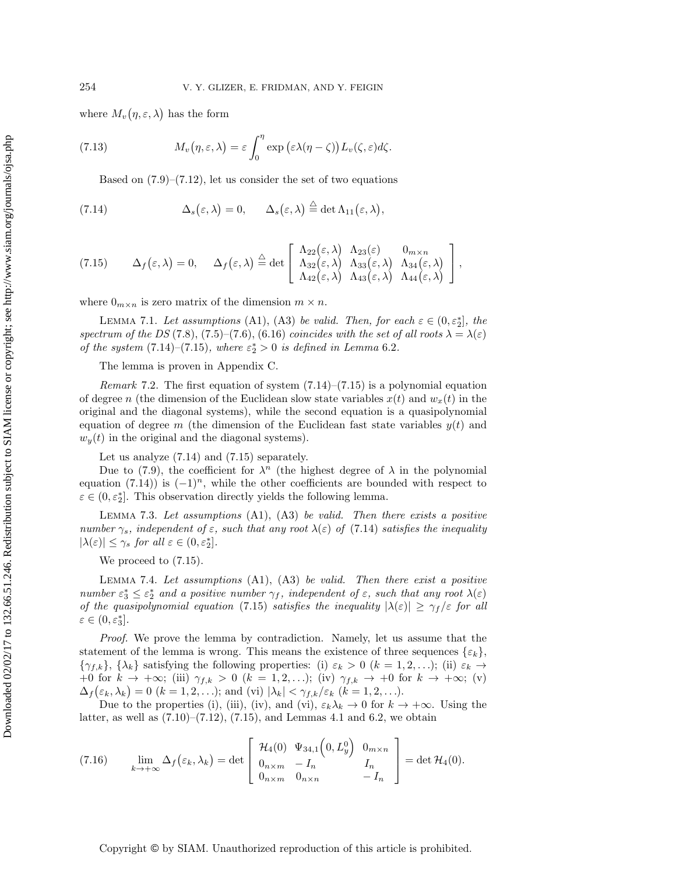where  $M_v(\eta,\varepsilon,\lambda)$  has the form

(7.13) 
$$
M_v(\eta,\varepsilon,\lambda)=\varepsilon\int_0^\eta\exp\big(\varepsilon\lambda(\eta-\zeta)\big)L_v(\zeta,\varepsilon)d\zeta.
$$

<span id="page-18-6"></span><span id="page-18-0"></span>Based on  $(7.9)$ – $(7.12)$ , let us consider the set of two equations

(7.14) 
$$
\Delta_s(\varepsilon,\lambda)=0, \qquad \Delta_s(\varepsilon,\lambda)\stackrel{\triangle}{=} \det \Lambda_{11}(\varepsilon,\lambda),
$$

<span id="page-18-1"></span>(7.15) 
$$
\Delta_f(\varepsilon,\lambda) = 0, \quad \Delta_f(\varepsilon,\lambda) \stackrel{\triangle}{=} \det \left[ \begin{array}{cc} \Lambda_{22}(\varepsilon,\lambda) & \Lambda_{23}(\varepsilon) & 0_{m \times n} \\ \Lambda_{32}(\varepsilon,\lambda) & \Lambda_{33}(\varepsilon,\lambda) & \Lambda_{34}(\varepsilon,\lambda) \\ \Lambda_{42}(\varepsilon,\lambda) & \Lambda_{43}(\varepsilon,\lambda) & \Lambda_{44}(\varepsilon,\lambda) \end{array} \right],
$$

<span id="page-18-3"></span>where  $0_{m \times n}$  is zero matrix of the dimension  $m \times n$ .

LEMMA 7.1. Let assumptions (A1), (A3) be valid. Then, for each  $\varepsilon \in (0, \varepsilon_2^*]$ , the *spectrum of the DS* [\(7.8\)](#page-17-3), [\(7.5\)](#page-16-2)–[\(7.6\)](#page-16-1), [\(6.16\)](#page-15-1) *coincides with the set of all roots*  $\lambda = \lambda(\varepsilon)$ *of the system*  $(7.14)$ – $(7.15)$ *, where*  $\varepsilon_2^* > 0$  *is defined in Lemma* [6.2](#page-14-1)*.* 

The lemma is proven in Appendix [C.](#page-33-0)

*Remark* 7.2. The first equation of system [\(7.14\)](#page-18-0)–[\(7.15\)](#page-18-1) is a polynomial equation of degree n (the dimension of the Euclidean slow state variables  $x(t)$  and  $w_x(t)$  in the original and the diagonal systems), while the second equation is a quasipolynomial equation of degree m (the dimension of the Euclidean fast state variables  $y(t)$  and  $w<sub>y</sub>(t)$  in the original and the diagonal systems).

Let us analyze [\(7.14\)](#page-18-0) and [\(7.15\)](#page-18-1) separately.

Due to [\(7.9\)](#page-17-1), the coefficient for  $\lambda^n$  (the highest degree of  $\lambda$  in the polynomial equation [\(7.14\)](#page-18-0)) is  $(-1)^n$ , while the other coefficients are bounded with respect to  $\varepsilon \in (0, \varepsilon_2^*]$ . This observation directly yields the following lemma.

<span id="page-18-4"></span>Lemma 7.3. *Let assumptions* (A1), (A3) *be valid. Then there exists a positive number*  $\gamma_s$ *, independent of*  $\varepsilon$ *, such that any root*  $\lambda(\varepsilon)$  *of* [\(7.14\)](#page-18-0) *satisfies the inequality*  $|\lambda(\varepsilon)| \leq \gamma_s$  for all  $\varepsilon \in (0, \varepsilon_2^*]$ .

<span id="page-18-5"></span>We proceed to  $(7.15)$ .

Lemma 7.4. *Let assumptions* (A1), (A3) *be valid. Then there exist a positive number*  $\varepsilon_3^* \leq \varepsilon_2^*$  *and a positive number*  $\gamma_f$ *, independent of*  $\varepsilon$ *, such that any root*  $\lambda(\varepsilon)$ *of the quasipolynomial equation* [\(7.15\)](#page-18-1) *satisfies the inequality*  $|\lambda(\varepsilon)| \ge \gamma_f/\varepsilon$  *for all*  $\varepsilon \in (0,\varepsilon_3^*].$ 

*Proof.* We prove the lemma by contradiction. Namely, let us assume that the statement of the lemma is wrong. This means the existence of three sequences  $\{\varepsilon_k\}$ ,  $\{\gamma_{f,k}\},\{\lambda_k\}$  satisfying the following properties: (i)  $\varepsilon_k > 0$  ( $k = 1, 2, \ldots$ ); (ii)  $\varepsilon_k \to$ +0 for  $k \to +\infty$ ; (iii)  $\gamma_{f,k} > 0$   $(k = 1, 2, \ldots)$ ; (iv)  $\gamma_{f,k} \to +0$  for  $k \to +\infty$ ; (v)  $\Delta_f(\varepsilon_k, \lambda_k) = 0$   $(k = 1, 2, \ldots);$  and  $\text{(vi)} |\lambda_k| < \gamma_{f,k}/\varepsilon_k$   $(k = 1, 2, \ldots).$ 

Due to the properties (i), (iii), (iv), and (vi),  $\varepsilon_k \lambda_k \to 0$  for  $k \to +\infty$ . Using the latter, as well as  $(7.10)$ – $(7.12)$ ,  $(7.15)$ , and Lemmas [4.1](#page-8-3) and [6.2,](#page-14-1) we obtain

<span id="page-18-2"></span>
$$
(7.16) \qquad \lim_{k \to +\infty} \Delta_f(\varepsilon_k, \lambda_k) = \det \begin{bmatrix} \mathcal{H}_4(0) & \Psi_{34,1}(0, L_y^0) & 0_{m \times n} \\ 0_{n \times m} & -I_n & I_n \\ 0_{n \times m} & 0_{n \times n} & -I_n \end{bmatrix} = \det \mathcal{H}_4(0).
$$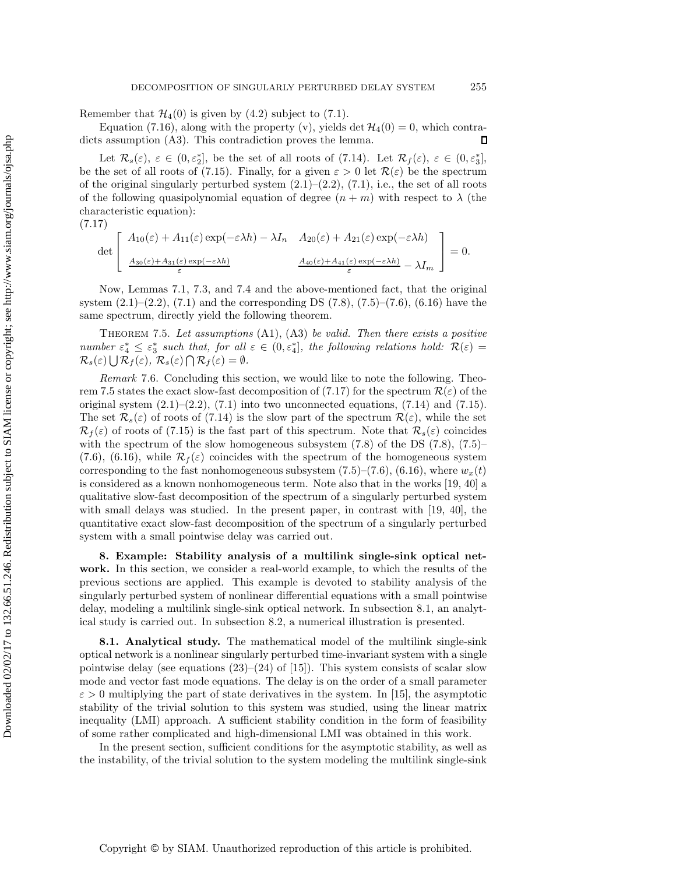Remember that  $\mathcal{H}_4(0)$  is given by [\(4.2\)](#page-8-0) subject to [\(7.1\)](#page-15-2).

Equation [\(7.16\)](#page-18-2), along with the property (v), yields det  $\mathcal{H}_4(0) = 0$ , which contra-<br>s assumption (A3). This contradiction proves the lemma. dicts assumption  $(A3)$ . This contradiction proves the lemma.

Let  $\mathcal{R}_s(\varepsilon)$ ,  $\varepsilon \in (0, \varepsilon_2^*]$ , be the set of all roots of [\(7.14\)](#page-18-0). Let  $\mathcal{R}_f(\varepsilon)$ ,  $\varepsilon \in (0, \varepsilon_3^*]$ , be the set of all roots of [\(7.15\)](#page-18-1). Finally, for a given  $\varepsilon > 0$  let  $\mathcal{R}(\varepsilon)$  be the spectrum of the original singularly perturbed system  $(2.1)$ – $(2.2)$ ,  $(7.1)$ , i.e., the set of all roots of the following quasipolynomial equation of degree  $(n + m)$  with respect to  $\lambda$  (the characteristic equation):

(7.17)

<span id="page-19-2"></span><span id="page-19-1"></span>
$$
\det \left[ \begin{array}{cc} A_{10}(\varepsilon) + A_{11}(\varepsilon) \exp(-\varepsilon \lambda h) - \lambda I_n & A_{20}(\varepsilon) + A_{21}(\varepsilon) \exp(-\varepsilon \lambda h) \\ \frac{A_{30}(\varepsilon) + A_{31}(\varepsilon) \exp(-\varepsilon \lambda h)}{\varepsilon} & \frac{A_{40}(\varepsilon) + A_{41}(\varepsilon) \exp(-\varepsilon \lambda h)}{\varepsilon} - \lambda I_m \end{array} \right] = 0.
$$

Now, Lemmas [7.1,](#page-18-3) [7.3,](#page-18-4) and [7.4](#page-18-5) and the above-mentioned fact, that the original system  $(2.1)$ – $(2.2)$ ,  $(7.1)$  and the corresponding DS  $(7.8)$ ,  $(7.5)$ – $(7.6)$ ,  $(6.16)$  have the same spectrum, directly yield the following theorem.

Theorem 7.5. *Let assumptions* (A1), (A3) *be valid. Then there exists a positive number*  $\varepsilon_4^* \leq \varepsilon_3^*$  *such that, for all*  $\varepsilon \in (0, \varepsilon_4^*]$ *, the following relations hold:*  $\mathcal{R}(\varepsilon)$  =  $\mathcal{R}_s(\varepsilon) \bigcup \mathcal{R}_f(\varepsilon), \ \mathcal{R}_s(\varepsilon) \bigcap \mathcal{R}_f(\varepsilon) = \emptyset.$ 

*Remark* 7.6. Concluding this section, we would like to note the following. Theo-rem [7.5](#page-19-1) states the exact slow-fast decomposition of [\(7.17\)](#page-19-2) for the spectrum  $\mathcal{R}(\varepsilon)$  of the original system  $(2.1)$ – $(2.2)$ ,  $(7.1)$  into two unconnected equations,  $(7.14)$  and  $(7.15)$ . The set  $\mathcal{R}_s(\varepsilon)$  of roots of [\(7.14\)](#page-18-0) is the slow part of the spectrum  $\mathcal{R}(\varepsilon)$ , while the set  $\mathcal{R}_f(\varepsilon)$  of roots of [\(7.15\)](#page-18-1) is the fast part of this spectrum. Note that  $\mathcal{R}_s(\varepsilon)$  coincides with the spectrum of the slow homogeneous subsystem  $(7.8)$  of the DS  $(7.8)$ ,  $(7.5)$ – [\(7.6\)](#page-16-1), [\(6.16\)](#page-15-1), while  $\mathcal{R}_f(\varepsilon)$  coincides with the spectrum of the homogeneous system corresponding to the fast nonhomogeneous subsystem  $(7.5)-(7.6)$  $(7.5)-(7.6)$  $(7.5)-(7.6)$ ,  $(6.16)$ , where  $w_x(t)$ is considered as a known nonhomogeneous term. Note also that in the works [\[19,](#page-37-10) [40\]](#page-38-9) a qualitative slow-fast decomposition of the spectrum of a singularly perturbed system with small delays was studied. In the present paper, in contrast with [\[19,](#page-37-10) [40\]](#page-38-9), the quantitative exact slow-fast decomposition of the spectrum of a singularly perturbed system with a small pointwise delay was carried out.

<span id="page-19-0"></span>**8. Example: Stability analysis of a multilink single-sink optical network.** In this section, we consider a real-world example, to which the results of the previous sections are applied. This example is devoted to stability analysis of the singularly perturbed system of nonlinear differential equations with a small pointwise delay, modeling a multilink single-sink optical network. In subsection 8.1, an analytical study is carried out. In subsection 8.2, a numerical illustration is presented.

**8.1. Analytical study.** The mathematical model of the multilink single-sink optical network is a nonlinear singularly perturbed time-invariant system with a single pointwise delay (see equations  $(23)$ – $(24)$  of [\[15\]](#page-37-6)). This system consists of scalar slow mode and vector fast mode equations. The delay is on the order of a small parameter  $\varepsilon > 0$  multiplying the part of state derivatives in the system. In [\[15\]](#page-37-6), the asymptotic stability of the trivial solution to this system was studied, using the linear matrix inequality (LMI) approach. A sufficient stability condition in the form of feasibility of some rather complicated and high-dimensional LMI was obtained in this work.

In the present section, sufficient conditions for the asymptotic stability, as well as the instability, of the trivial solution to the system modeling the multilink single-sink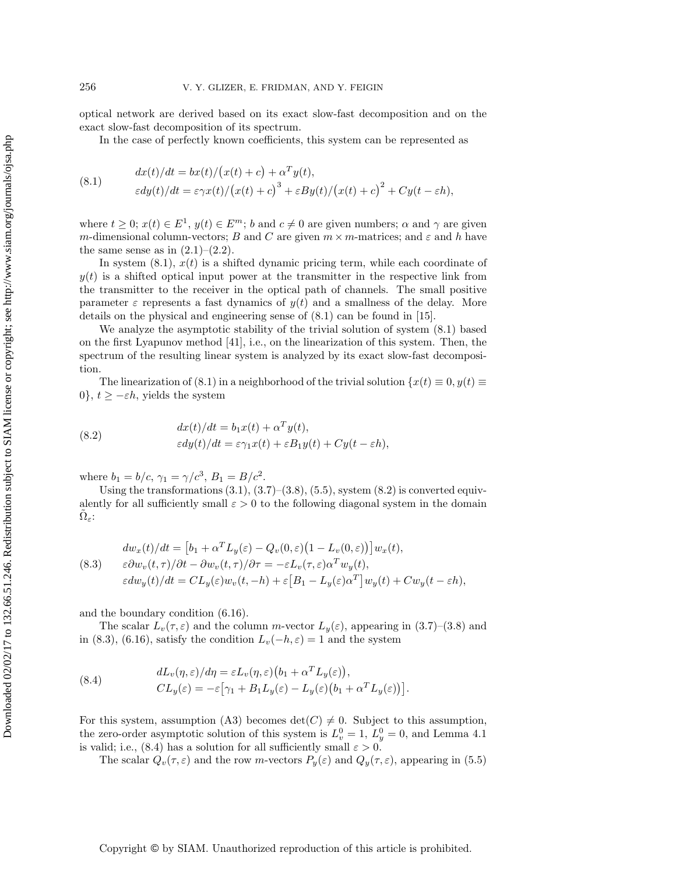optical network are derived based on its exact slow-fast decomposition and on the exact slow-fast decomposition of its spectrum.

<span id="page-20-0"></span>In the case of perfectly known coefficients, this system can be represented as

(8.1) 
$$
dx(t)/dt = bx(t)/(x(t) + c) + \alpha^T y(t),
$$

$$
\varepsilon dy(t)/dt = \varepsilon \gamma x(t)/(x(t) + c)^3 + \varepsilon By(t)/(x(t) + c)^2 + Cy(t - \varepsilon h),
$$

where  $t \geq 0$ ;  $x(t) \in E^1$ ,  $y(t) \in E^m$ ; b and  $c \neq 0$  are given numbers;  $\alpha$  and  $\gamma$  are given m-dimensional column-vectors; B and C are given  $m \times m$ -matrices; and  $\varepsilon$  and h have the same sense as in  $(2.1)$ – $(2.2)$ .

In system  $(8.1)$ ,  $x(t)$  is a shifted dynamic pricing term, while each coordinate of  $y(t)$  is a shifted optical input power at the transmitter in the respective link from the transmitter to the receiver in the optical path of channels. The small positive parameter  $\varepsilon$  represents a fast dynamics of  $y(t)$  and a smallness of the delay. More details on the physical and engineering sense of [\(8.1\)](#page-20-0) can be found in [\[15\]](#page-37-6).

We analyze the asymptotic stability of the trivial solution of system [\(8.1\)](#page-20-0) based on the first Lyapunov method [\[41\]](#page-38-10), i.e., on the linearization of this system. Then, the spectrum of the resulting linear system is analyzed by its exact slow-fast decomposition.

The linearization of [\(8.1\)](#page-20-0) in a neighborhood of the trivial solution  $\{x(t) \equiv 0, y(t) \equiv 0\}$ 0,  $t \ge -\varepsilon h$ , yields the system

<span id="page-20-1"></span>(8.2) 
$$
dx(t)/dt = b_1x(t) + \alpha^T y(t),
$$

$$
\varepsilon dy(t)/dt = \varepsilon \gamma_1 x(t) + \varepsilon B_1 y(t) + Cy(t - \varepsilon h),
$$

where  $b_1 = b/c$ ,  $\gamma_1 = \gamma/c^3$ ,  $B_1 = B/c^2$ .

Using the transformations  $(3.1), (3.7)$  $(3.1), (3.7)$  $(3.1), (3.7)$ – $(3.8), (5.5),$  $(3.8), (5.5),$  $(3.8), (5.5),$  $(3.8), (5.5),$  system  $(8.2)$  is converted equivalently for all sufficiently small  $\varepsilon > 0$  to the following diagonal system in the domain  $\Omega_{\varepsilon}$ :

<span id="page-20-2"></span>(8.3) 
$$
dw_x(t)/dt = [b_1 + \alpha^T L_y(\varepsilon) - Q_v(0, \varepsilon)(1 - L_v(0, \varepsilon))]w_x(t),
$$

$$
\varepsilon \partial w_v(t, \tau)/\partial t - \partial w_v(t, \tau)/\partial \tau = -\varepsilon L_v(\tau, \varepsilon)\alpha^T w_y(t),
$$

$$
\varepsilon dw_y(t)/dt = CL_y(\varepsilon)w_v(t, -h) + \varepsilon [B_1 - L_y(\varepsilon)\alpha^T]w_y(t) + Cw_y(t - \varepsilon h),
$$

and the boundary condition [\(6.16\)](#page-15-1).

The scalar  $L_v(\tau,\varepsilon)$  and the column m-vector  $L_y(\varepsilon)$ , appearing in [\(3.7\)](#page-6-0)–[\(3.8\)](#page-6-1) and in [\(8.3\)](#page-20-2), [\(6.16\)](#page-15-1), satisfy the condition  $L_v(-h, \varepsilon) = 1$  and the system

<span id="page-20-3"></span>(8.4) 
$$
dL_v(\eta, \varepsilon) / d\eta = \varepsilon L_v(\eta, \varepsilon) (b_1 + \alpha^T L_y(\varepsilon)),
$$

$$
CL_y(\varepsilon) = -\varepsilon [\gamma_1 + B_1 L_y(\varepsilon) - L_y(\varepsilon) (b_1 + \alpha^T L_y(\varepsilon))].
$$

For this system, assumption (A3) becomes  $\det(C) \neq 0$ . Subject to this assumption, the zero-order asymptotic solution of this system is  $L_v^0 = 1$ ,  $L_y^0 = 0$ , and Lemma [4.1](#page-8-3) is valid; i.e., [\(8.4\)](#page-20-3) has a solution for all sufficiently small  $\varepsilon > 0$ .

The scalar  $Q_v(\tau,\varepsilon)$  and the row m-vectors  $P_y(\varepsilon)$  and  $Q_y(\tau,\varepsilon)$ , appearing in [\(5.5\)](#page-11-0)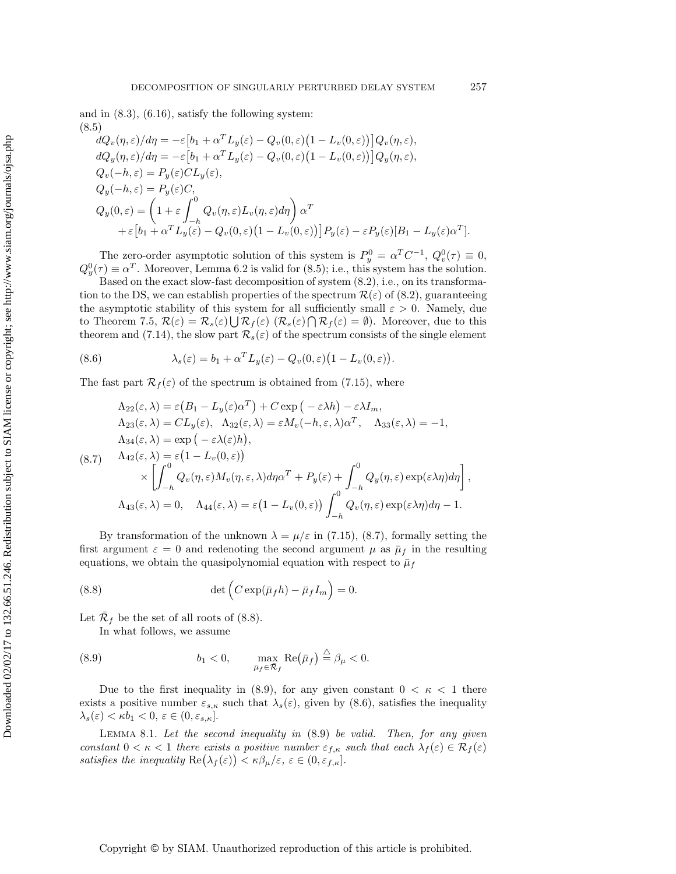and in  $(8.3)$ ,  $(6.16)$ , satisfy the following system: (8.5)

<span id="page-21-0"></span>
$$
\begin{split}\n&dQ_v(\eta,\varepsilon)/d\eta = -\varepsilon \big[b_1 + \alpha^T L_y(\varepsilon) - Q_v(0,\varepsilon)\big(1 - L_v(0,\varepsilon)\big)\big]Q_v(\eta,\varepsilon), \\
&dQ_y(\eta,\varepsilon)/d\eta = -\varepsilon \big[b_1 + \alpha^T L_y(\varepsilon) - Q_v(0,\varepsilon)\big(1 - L_v(0,\varepsilon)\big)\big]Q_y(\eta,\varepsilon), \\
&Q_v(-h,\varepsilon) = P_y(\varepsilon)CL_y(\varepsilon), \\
&Q_y(-h,\varepsilon) = P_y(\varepsilon)C, \\
&Q_y(0,\varepsilon) = \left(1 + \varepsilon \int_{-h}^0 Q_v(\eta,\varepsilon)L_v(\eta,\varepsilon)d\eta\right)\alpha^T \\
&+ \varepsilon \big[b_1 + \alpha^T L_y(\varepsilon) - Q_v(0,\varepsilon)\big(1 - L_v(0,\varepsilon)\big)\big]P_y(\varepsilon) - \varepsilon P_y(\varepsilon)[B_1 - L_y(\varepsilon)\alpha^T].\n\end{split}
$$

The zero-order asymptotic solution of this system is  $P_y^0 = \alpha^T C^{-1}$ ,  $Q_v^0(\tau) \equiv 0$ ,  $Q_y^0(\tau) \equiv \alpha^T$ . Moreover, Lemma [6.2](#page-14-1) is valid for [\(8.5\)](#page-21-0); i.e., this system has the solution.

Based on the exact slow-fast decomposition of system [\(8.2\)](#page-20-1), i.e., on its transformation to the DS, we can establish properties of the spectrum  $\mathcal{R}(\varepsilon)$  of [\(8.2\)](#page-20-1), guaranteeing the asymptotic stability of this system for all sufficiently small  $\varepsilon > 0$ . Namely, due to Theorem [7.5,](#page-19-1)  $\mathcal{R}(\varepsilon) = \mathcal{R}_s(\varepsilon) \bigcup \mathcal{R}_f(\varepsilon) \left( \mathcal{R}_s(\varepsilon) \bigcap \mathcal{R}_f(\varepsilon) = \emptyset \right)$ . Moreover, due to this theorem and [\(7.14\)](#page-18-0), the slow part  $\mathcal{R}_s(\varepsilon)$  of the spectrum consists of the single element

<span id="page-21-4"></span>(8.6) 
$$
\lambda_s(\varepsilon) = b_1 + \alpha^T L_y(\varepsilon) - Q_v(0, \varepsilon) \big( 1 - L_v(0, \varepsilon) \big).
$$

The fast part  $\mathcal{R}_f(\varepsilon)$  of the spectrum is obtained from [\(7.15\)](#page-18-1), where

<span id="page-21-1"></span>
$$
\Lambda_{22}(\varepsilon,\lambda) = \varepsilon (B_1 - L_y(\varepsilon)\alpha^T) + C \exp\left(-\varepsilon\lambda h\right) - \varepsilon\lambda I_m,
$$
  
\n
$$
\Lambda_{23}(\varepsilon,\lambda) = CL_y(\varepsilon), \quad \Lambda_{32}(\varepsilon,\lambda) = \varepsilon M_v(-h,\varepsilon,\lambda)\alpha^T, \quad \Lambda_{33}(\varepsilon,\lambda) = -1,
$$
  
\n
$$
\Lambda_{34}(\varepsilon,\lambda) = \exp\left(-\varepsilon\lambda(\varepsilon)h\right),
$$
  
\n
$$
\Lambda_{42}(\varepsilon,\lambda) = \varepsilon \left(1 - L_v(0,\varepsilon)\right)
$$
  
\n
$$
\times \left[\int_{-h}^{0} Q_v(\eta,\varepsilon)M_v(\eta,\varepsilon,\lambda)d\eta\alpha^T + P_y(\varepsilon) + \int_{-h}^{0} Q_y(\eta,\varepsilon)\exp(\varepsilon\lambda\eta)d\eta\right],
$$
  
\n
$$
\Lambda_{43}(\varepsilon,\lambda) = 0, \quad \Lambda_{44}(\varepsilon,\lambda) = \varepsilon \left(1 - L_v(0,\varepsilon)\right)\int_{-h}^{0} Q_v(\eta,\varepsilon)\exp(\varepsilon\lambda\eta)d\eta - 1.
$$

By transformation of the unknown  $\lambda = \mu/\varepsilon$  in [\(7.15\)](#page-18-1), [\(8.7\)](#page-21-1), formally setting the first argument  $\varepsilon = 0$  and redenoting the second argument  $\mu$  as  $\bar{\mu}_f$  in the resulting equations, we obtain the quasipolynomial equation with respect to  $\bar{\mu}_f$ 

<span id="page-21-2"></span>(8.8) 
$$
\det \left( C \exp(\bar{\mu}_f h) - \bar{\mu}_f I_m \right) = 0.
$$

Let  $\mathcal{R}_f$  be the set of all roots of [\(8.8\)](#page-21-2).

<span id="page-21-3"></span>In what follows, we assume

(8.9) 
$$
b_1 < 0, \qquad \max_{\bar{\mu}_f \in \bar{\mathcal{R}}_f} \text{Re}(\bar{\mu}_f) \stackrel{\triangle}{=} \beta_{\mu} < 0.
$$

Due to the first inequality in [\(8.9\)](#page-21-3), for any given constant  $0 < \kappa < 1$  there exists a positive number  $\varepsilon_{s,\kappa}$  such that  $\lambda_s(\varepsilon)$ , given by [\(8.6\)](#page-21-4), satisfies the inequality  $\lambda_s(\varepsilon) < \kappa b_1 < 0, \, \varepsilon \in (0, \varepsilon_{s,\kappa}).$ 

Lemma 8.1. *Let the second inequality in* [\(8.9\)](#page-21-3) *be valid. Then, for any given constant*  $0 < \kappa < 1$  *there exists a positive number*  $\varepsilon_{f,\kappa}$  *such that each*  $\lambda_f(\varepsilon) \in \mathcal{R}_f(\varepsilon)$ satisfies the inequality  $\text{Re}(\lambda_f(\varepsilon)) < \kappa \beta_\mu/\varepsilon, \, \varepsilon \in (0, \varepsilon_{f,\kappa}]$ .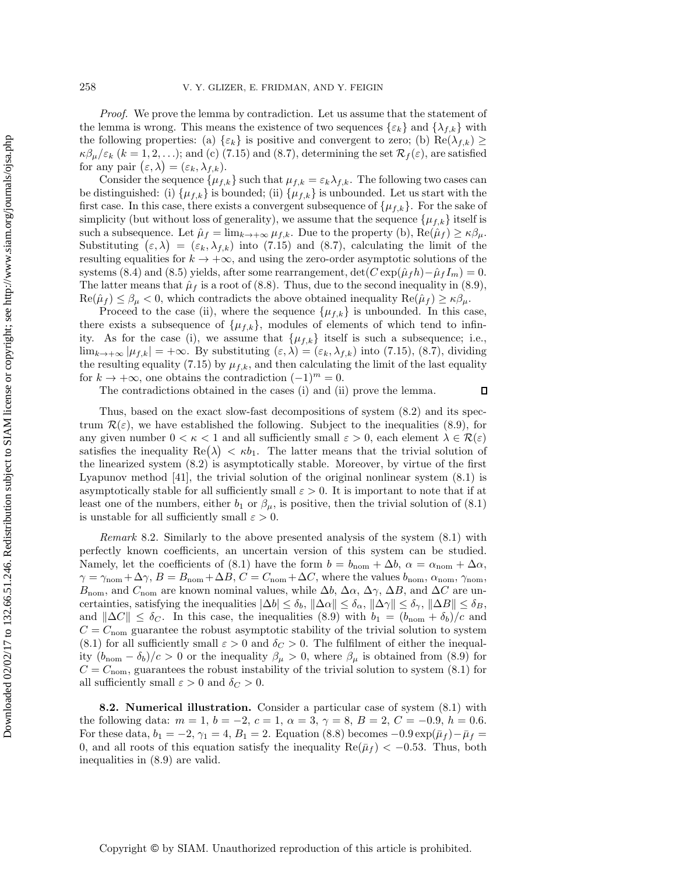*Proof.* We prove the lemma by contradiction. Let us assume that the statement of the lemma is wrong. This means the existence of two sequences  $\{\varepsilon_k\}$  and  $\{\lambda_{f,k}\}$  with the following properties: (a)  $\{\varepsilon_k\}$  is positive and convergent to zero; (b)  $\text{Re}(\lambda_{f,k}) \geq$  $\kappa\beta_\mu/\varepsilon_k$  (k = 1, 2, ...); and (c) [\(7.15\)](#page-18-1) and [\(8.7\)](#page-21-1), determining the set  $\mathcal{R}_f(\varepsilon)$ , are satisfied for any pair  $(\varepsilon, \lambda) = (\varepsilon_k, \lambda_{f,k}).$ 

Consider the sequence  $\{\mu_{f,k}\}\$  such that  $\mu_{f,k} = \varepsilon_k \lambda_{f,k}$ . The following two cases can be distinguished: (i)  $\{\mu_{f,k}\}\$ is bounded; (ii)  $\{\mu_{f,k}\}\$ is unbounded. Let us start with the first case. In this case, there exists a convergent subsequence of  $\{\mu_{f,k}\}\.$  For the sake of simplicity (but without loss of generality), we assume that the sequence  $\{\mu_{f,k}\}\)$  itself is such a subsequence. Let  $\hat{\mu}_f = \lim_{k \to +\infty} \mu_{f,k}$ . Due to the property (b),  $\text{Re}(\hat{\mu}_f) \geq \kappa \beta_{\mu}$ . Substituting  $(\varepsilon, \lambda) = (\varepsilon_k, \lambda_{f,k})$  into [\(7.15\)](#page-18-1) and [\(8.7\)](#page-21-1), calculating the limit of the resulting equalities for  $k \to +\infty$ , and using the zero-order asymptotic solutions of the systems [\(8.4\)](#page-20-3) and [\(8.5\)](#page-21-0) yields, after some rearrangement,  $\det(C \exp(\hat{\mu}_f h) - \hat{\mu}_f I_m) = 0$ . The latter means that  $\hat{\mu}_f$  is a root of [\(8.8\)](#page-21-2). Thus, due to the second inequality in [\(8.9\)](#page-21-3),  $\text{Re}(\hat{\mu}_f) \leq \beta_{\mu} < 0$ , which contradicts the above obtained inequality  $\text{Re}(\hat{\mu}_f) \geq \kappa \beta_{\mu}$ .

Proceed to the case (ii), where the sequence  $\{\mu_{f,k}\}\$ is unbounded. In this case, there exists a subsequence of  $\{\mu_{f,k}\}\$ , modules of elements of which tend to infinity. As for the case (i), we assume that  $\{\mu_{f,k}\}\)$  itself is such a subsequence; i.e.,  $\lim_{k\to+\infty} |\mu_{f,k}| = +\infty$ . By substituting  $(\varepsilon, \lambda) = (\varepsilon_k, \lambda_{f,k})$  into [\(7.15\)](#page-18-1), [\(8.7\)](#page-21-1), dividing the resulting equality [\(7.15\)](#page-18-1) by  $\mu_{f,k}$ , and then calculating the limit of the last equality for  $k \to +\infty$ , one obtains the contradiction  $(-1)^m = 0$ .

The contradictions obtained in the cases (i) and (ii) prove the lemma.

 $\Box$ 

Thus, based on the exact slow-fast decompositions of system [\(8.2\)](#page-20-1) and its spectrum  $\mathcal{R}(\varepsilon)$ , we have established the following. Subject to the inequalities [\(8.9\)](#page-21-3), for any given number  $0 < \kappa < 1$  and all sufficiently small  $\varepsilon > 0$ , each element  $\lambda \in \mathcal{R}(\varepsilon)$ satisfies the inequality  $\text{Re}(\lambda) < \kappa b_1$ . The latter means that the trivial solution of the linearized system [\(8.2\)](#page-20-1) is asymptotically stable. Moreover, by virtue of the first Lyapunov method [\[41\]](#page-38-10), the trivial solution of the original nonlinear system [\(8.1\)](#page-20-0) is asymptotically stable for all sufficiently small  $\varepsilon > 0$ . It is important to note that if at least one of the numbers, either  $b_1$  or  $\beta_\mu$ , is positive, then the trivial solution of [\(8.1\)](#page-20-0) is unstable for all sufficiently small  $\varepsilon > 0$ .

*Remark* 8.2. Similarly to the above presented analysis of the system [\(8.1\)](#page-20-0) with perfectly known coefficients, an uncertain version of this system can be studied. Namely, let the coefficients of [\(8.1\)](#page-20-0) have the form  $b = b_{\text{nom}} + \Delta b$ ,  $\alpha = \alpha_{\text{nom}} + \Delta \alpha$ ,  $\gamma = \gamma_{\text{nom}} + \Delta \gamma$ ,  $B = B_{\text{nom}} + \Delta B$ ,  $C = C_{\text{nom}} + \Delta C$ , where the values  $b_{\text{nom}}$ ,  $\alpha_{\text{nom}}$ ,  $\gamma_{\text{nom}}$ ,  $B_{\text{nom}}$ , and  $C_{\text{nom}}$  are known nominal values, while  $\Delta b$ ,  $\Delta \alpha$ ,  $\Delta \gamma$ ,  $\Delta B$ , and  $\Delta C$  are uncertainties, satisfying the inequalities  $|\Delta b| \leq \delta_b$ ,  $\|\Delta \alpha\| \leq \delta_\alpha$ ,  $\|\Delta \gamma\| \leq \delta_\gamma$ ,  $\|\Delta B\| \leq \delta_B$ , and  $\|\Delta C\| \leq \delta_C$ . In this case, the inequalities [\(8.9\)](#page-21-3) with  $b_1 = (b_{\text{nom}} + \delta_b)/c$  and  $C = C_{\text{nom}}$  guarantee the robust asymptotic stability of the trivial solution to system [\(8.1\)](#page-20-0) for all sufficiently small  $\varepsilon > 0$  and  $\delta_C > 0$ . The fulfilment of either the inequality  $(b_{\text{nom}} - \delta_b)/c > 0$  or the inequality  $\beta_{\mu} > 0$ , where  $\beta_{\mu}$  is obtained from [\(8.9\)](#page-21-3) for  $C = C_{\text{nom}}$ , guarantees the robust instability of the trivial solution to system [\(8.1\)](#page-20-0) for all sufficiently small  $\varepsilon > 0$  and  $\delta_C > 0$ .

**8.2. Numerical illustration.** Consider a particular case of system [\(8.1\)](#page-20-0) with the following data:  $m = 1$ ,  $b = -2$ ,  $c = 1$ ,  $\alpha = 3$ ,  $\gamma = 8$ ,  $B = 2$ ,  $C = -0.9$ ,  $h = 0.6$ . For these data,  $b_1 = -2$ ,  $\gamma_1 = 4$ ,  $B_1 = 2$ . Equation [\(8.8\)](#page-21-2) becomes  $-0.9 \exp(i\bar{\mu}_f) - i\bar{\mu}_f =$ 0, and all roots of this equation satisfy the inequality  $\text{Re}(\bar{\mu}_f) < -0.53$ . Thus, both inequalities in [\(8.9\)](#page-21-3) are valid.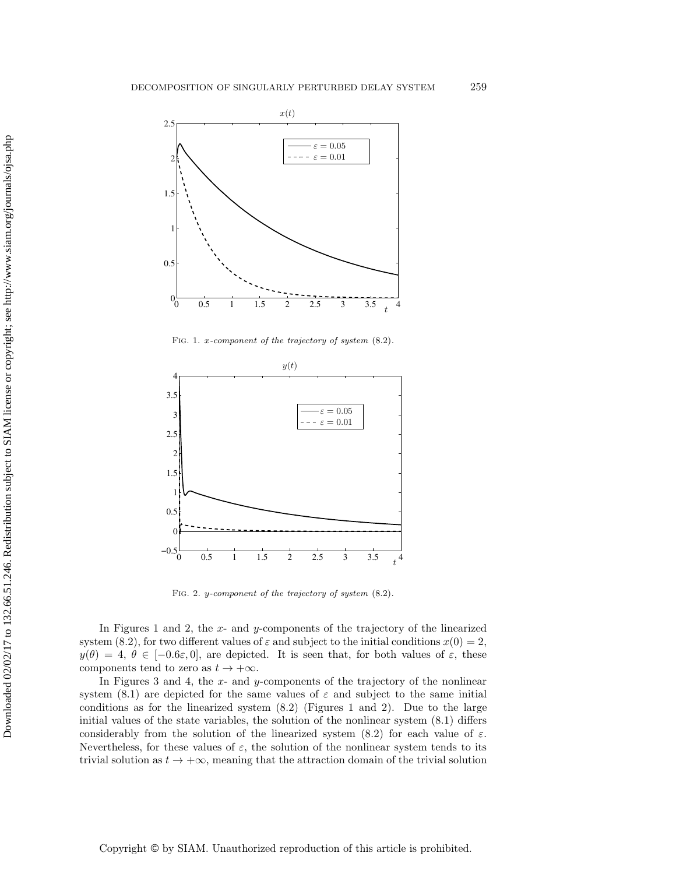<span id="page-23-0"></span>

FIG. 1. *x*-component of the trajectory of system  $(8.2)$ .

<span id="page-23-1"></span>

Fig. 2. *y*-component of the trajectory of system [\(8.2\)](#page-20-1).

In Figures [1](#page-23-0) and [2,](#page-23-1) the x- and y-components of the trajectory of the linearized system [\(8.2\)](#page-20-1), for two different values of  $\varepsilon$  and subject to the initial conditions  $x(0) = 2$ ,  $y(\theta) = 4, \theta \in [-0.6\varepsilon, 0],$  are depicted. It is seen that, for both values of  $\varepsilon$ , these components tend to zero as  $t \to +\infty$ .

In Figures [3](#page-24-1) and [4,](#page-24-2) the x- and y-components of the trajectory of the nonlinear system [\(8.1\)](#page-20-0) are depicted for the same values of  $\varepsilon$  and subject to the same initial conditions as for the linearized system [\(8.2\)](#page-20-1) (Figures [1](#page-23-0) and [2\)](#page-23-1). Due to the large initial values of the state variables, the solution of the nonlinear system [\(8.1\)](#page-20-0) differs considerably from the solution of the linearized system [\(8.2\)](#page-20-1) for each value of  $\varepsilon$ . Nevertheless, for these values of  $\varepsilon$ , the solution of the nonlinear system tends to its trivial solution as  $t \to +\infty$ , meaning that the attraction domain of the trivial solution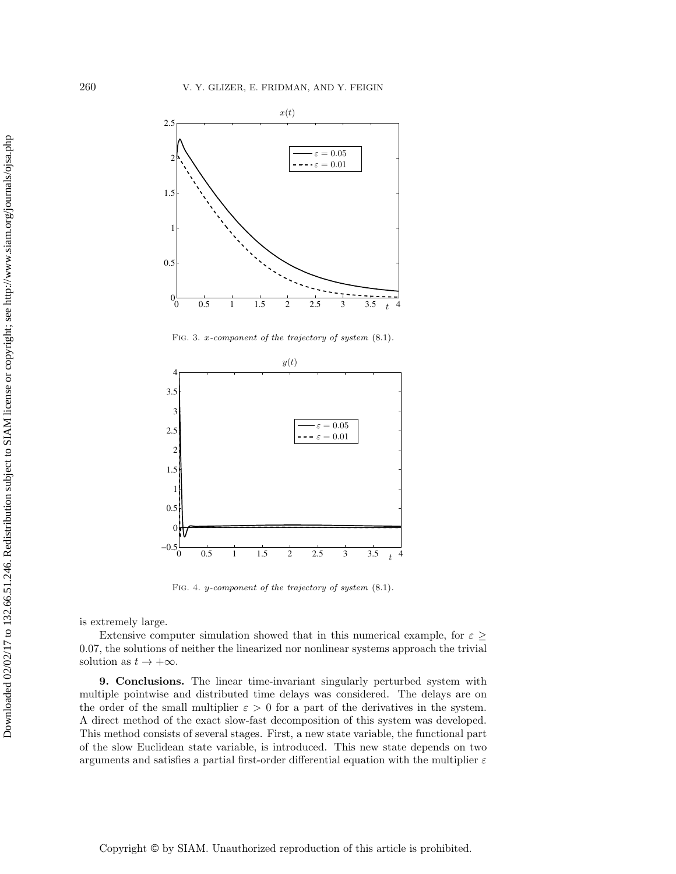<span id="page-24-1"></span>

FIG. 3. *x*-component of the trajectory of system  $(8.1)$ .

<span id="page-24-2"></span>

Fig. 4. *y*-component of the trajectory of system [\(8.1\)](#page-20-0).

is extremely large.

Extensive computer simulation showed that in this numerical example, for  $\varepsilon \geq$ 0.07, the solutions of neither the linearized nor nonlinear systems approach the trivial solution as  $t \to +\infty$ .

<span id="page-24-0"></span>**9. Conclusions.** The linear time-invariant singularly perturbed system with multiple pointwise and distributed time delays was considered. The delays are on the order of the small multiplier  $\varepsilon > 0$  for a part of the derivatives in the system. A direct method of the exact slow-fast decomposition of this system was developed. This method consists of several stages. First, a new state variable, the functional part of the slow Euclidean state variable, is introduced. This new state depends on two arguments and satisfies a partial first-order differential equation with the multiplier  $\varepsilon$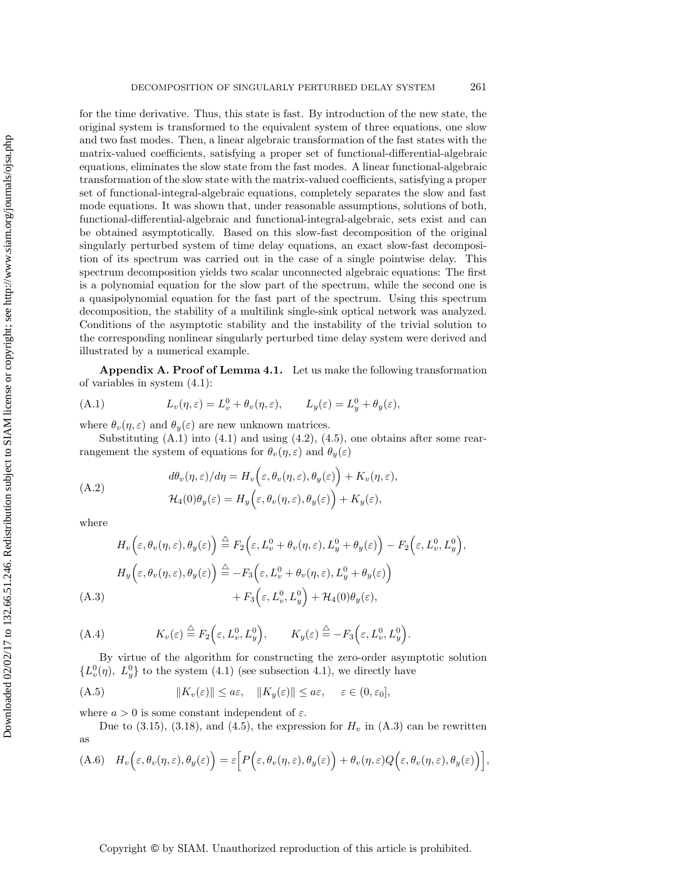for the time derivative. Thus, this state is fast. By introduction of the new state, the original system is transformed to the equivalent system of three equations, one slow and two fast modes. Then, a linear algebraic transformation of the fast states with the matrix-valued coefficients, satisfying a proper set of functional-differential-algebraic equations, eliminates the slow state from the fast modes. A linear functional-algebraic transformation of the slow state with the matrix-valued coefficients, satisfying a proper set of functional-integral-algebraic equations, completely separates the slow and fast mode equations. It was shown that, under reasonable assumptions, solutions of both, functional-differential-algebraic and functional-integral-algebraic, sets exist and can be obtained asymptotically. Based on this slow-fast decomposition of the original singularly perturbed system of time delay equations, an exact slow-fast decomposition of its spectrum was carried out in the case of a single pointwise delay. This spectrum decomposition yields two scalar unconnected algebraic equations: The first is a polynomial equation for the slow part of the spectrum, while the second one is a quasipolynomial equation for the fast part of the spectrum. Using this spectrum decomposition, the stability of a multilink single-sink optical network was analyzed. Conditions of the asymptotic stability and the instability of the trivial solution to the corresponding nonlinear singularly perturbed time delay system were derived and illustrated by a numerical example.

<span id="page-25-0"></span>**Appendix A. Proof of Lemma [4.1.](#page-8-3)** Let us make the following transformation of variables in system [\(4.1\)](#page-7-2):

<span id="page-25-1"></span>(A.1) 
$$
L_v(\eta, \varepsilon) = L_v^0 + \theta_v(\eta, \varepsilon), \qquad L_y(\varepsilon) = L_y^0 + \theta_y(\varepsilon),
$$

where  $\theta_v(\eta,\varepsilon)$  and  $\theta_y(\varepsilon)$  are new unknown matrices.

Substituting  $(A.1)$  into  $(4.1)$  and using  $(4.2)$ ,  $(4.5)$ , one obtains after some rearrangement the system of equations for  $\theta_v(\eta, \varepsilon)$  and  $\theta_y(\varepsilon)$ 

<span id="page-25-3"></span>(A.2)  
\n
$$
d\theta_v(\eta, \varepsilon)/d\eta = H_v\left(\varepsilon, \theta_v(\eta, \varepsilon), \theta_y(\varepsilon)\right) + K_v(\eta, \varepsilon),
$$
\n
$$
\mathcal{H}_4(0)\theta_y(\varepsilon) = H_y\left(\varepsilon, \theta_v(\eta, \varepsilon), \theta_y(\varepsilon)\right) + K_y(\varepsilon),
$$

where

<span id="page-25-2"></span>
$$
H_v\left(\varepsilon, \theta_v(\eta, \varepsilon), \theta_y(\varepsilon)\right) \stackrel{\triangle}{=} F_2\left(\varepsilon, L_v^0 + \theta_v(\eta, \varepsilon), L_y^0 + \theta_y(\varepsilon)\right) - F_2\left(\varepsilon, L_v^0, L_y^0\right),
$$
  
\n
$$
H_y\left(\varepsilon, \theta_v(\eta, \varepsilon), \theta_y(\varepsilon)\right) \stackrel{\triangle}{=} -F_3\left(\varepsilon, L_v^0 + \theta_v(\eta, \varepsilon), L_y^0 + \theta_y(\varepsilon)\right)
$$
  
\n(A.3)  
\n
$$
+ F_3\left(\varepsilon, L_v^0, L_y^0\right) + \mathcal{H}_4(0)\theta_y(\varepsilon),
$$

(A.4) 
$$
K_v(\varepsilon) \stackrel{\triangle}{=} F_2\Big(\varepsilon, L_v^0, L_y^0\Big), \qquad K_y(\varepsilon) \stackrel{\triangle}{=} -F_3\Big(\varepsilon, L_v^0, L_y^0\Big).
$$

By virtue of the algorithm for constructing the zero-order asymptotic solution  ${L_v^0(\eta), L_y^0}$  to the system [\(4.1\)](#page-7-2) (see subsection 4.1), we directly have

<span id="page-25-4"></span>(A.5) 
$$
||K_v(\varepsilon)|| \le a\varepsilon, \quad ||K_y(\varepsilon)|| \le a\varepsilon, \quad \varepsilon \in (0, \varepsilon_0],
$$

where  $a > 0$  is some constant independent of  $\varepsilon$ .

Due to [\(3.15\)](#page-7-3), [\(3.18\)](#page-7-3), and [\(4.5\)](#page-8-2), the expression for  $H_v$  in [\(A.3\)](#page-25-2) can be rewritten as

<span id="page-25-5"></span>(A.6) 
$$
H_v\Big(\varepsilon,\theta_v(\eta,\varepsilon),\theta_y(\varepsilon)\Big)=\varepsilon\Big[P\Big(\varepsilon,\theta_v(\eta,\varepsilon),\theta_y(\varepsilon)\Big)+\theta_v(\eta,\varepsilon)Q\Big(\varepsilon,\theta_v(\eta,\varepsilon),\theta_y(\varepsilon)\Big)\Big],
$$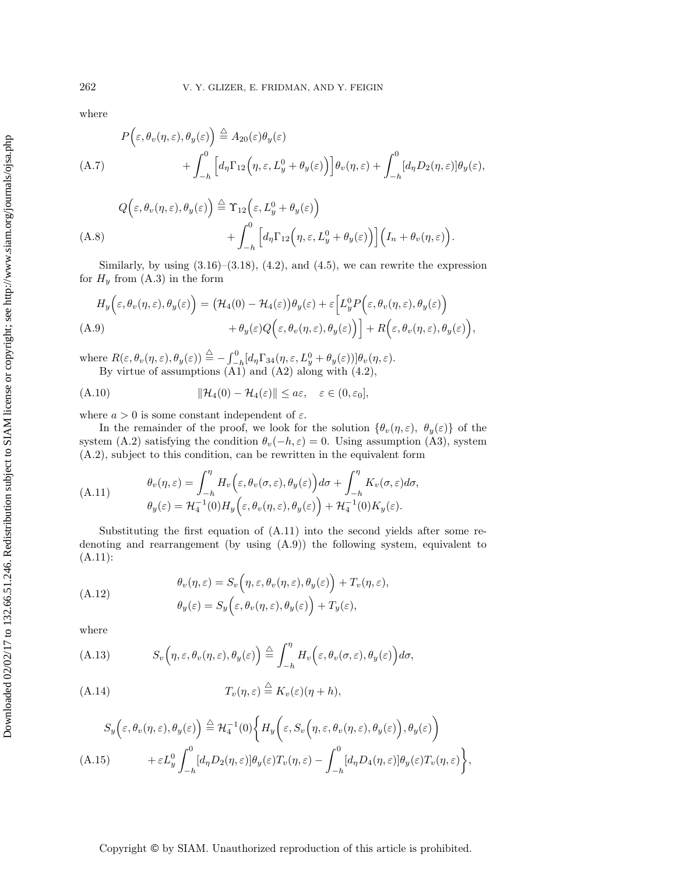where

<span id="page-26-6"></span>
$$
P(\varepsilon, \theta_v(\eta, \varepsilon), \theta_y(\varepsilon)) \stackrel{\triangle}{=} A_{20}(\varepsilon)\theta_y(\varepsilon)
$$
  
\n(A.7) 
$$
+ \int_{-h}^{0} \left[ d_{\eta} \Gamma_{12}(\eta, \varepsilon, L_y^0 + \theta_y(\varepsilon)) \right] \theta_v(\eta, \varepsilon) + \int_{-h}^{0} [d_{\eta} D_2(\eta, \varepsilon)] \theta_y(\varepsilon),
$$
  
\n
$$
Q(\varepsilon, \theta_v(\eta, \varepsilon), \theta_y(\varepsilon)) \stackrel{\triangle}{=} \Upsilon_{12}(\varepsilon, L_y^0 + \theta_y(\varepsilon))
$$

<span id="page-26-2"></span>
$$
(A.8) \qquad \qquad + \int_{-h}^{0} \left[ d_{\eta} \Gamma_{12} \left( \eta, \varepsilon, L_{y}^{0} + \theta_{y}(\varepsilon) \right) \right] \left( I_{n} + \theta_{v}(\eta, \varepsilon) \right).
$$

Similarly, by using  $(3.16)$ – $(3.18)$ ,  $(4.2)$ , and  $(4.5)$ , we can rewrite the expression for  $H_y$  from  $(A.3)$  in the form

<span id="page-26-1"></span>
$$
H_y\Big(\varepsilon,\theta_v(\eta,\varepsilon),\theta_y(\varepsilon)\Big) = \big(\mathcal{H}_4(0) - \mathcal{H}_4(\varepsilon)\big)\theta_y(\varepsilon) + \varepsilon \Big[L_y^0 P\Big(\varepsilon,\theta_v(\eta,\varepsilon),\theta_y(\varepsilon)\Big) \\ + \theta_y(\varepsilon)Q\Big(\varepsilon,\theta_v(\eta,\varepsilon),\theta_y(\varepsilon)\Big)\Big] + R\Big(\varepsilon,\theta_v(\eta,\varepsilon),\theta_y(\varepsilon)\Big),
$$
\n(A.9)

where  $R(\varepsilon, \theta_v(\eta, \varepsilon), \theta_y(\varepsilon)) \stackrel{\triangle}{=} -\int_{-h}^{0} [d_{\eta} \Gamma_{34}(\eta, \varepsilon, L_y^0 + \theta_y(\varepsilon))] \theta_v(\eta, \varepsilon).$ By virtue of assumptions  $(A1)$  and  $(A2)$  along with  $(4.2)$ ,

<span id="page-26-5"></span>(A.10) 
$$
\|\mathcal{H}_4(0) - \mathcal{H}_4(\varepsilon)\| \le a\varepsilon, \quad \varepsilon \in (0, \varepsilon_0],
$$

where  $a > 0$  is some constant independent of  $\varepsilon$ .

In the remainder of the proof, we look for the solution  $\{\theta_v(\eta,\varepsilon), \ \theta_y(\varepsilon)\}$  of the system [\(A.2\)](#page-25-3) satisfying the condition  $\theta_v(-h, \varepsilon) = 0$ . Using assumption (A3), system [\(A.2\)](#page-25-3), subject to this condition, can be rewritten in the equivalent form

<span id="page-26-0"></span>(A.11) 
$$
\theta_v(\eta, \varepsilon) = \int_{-h}^{\eta} H_v \Big( \varepsilon, \theta_v(\sigma, \varepsilon), \theta_y(\varepsilon) \Big) d\sigma + \int_{-h}^{\eta} K_v(\sigma, \varepsilon) d\sigma, \n\theta_y(\varepsilon) = \mathcal{H}_4^{-1}(0) H_y \Big( \varepsilon, \theta_v(\eta, \varepsilon), \theta_y(\varepsilon) \Big) + \mathcal{H}_4^{-1}(0) K_y(\varepsilon).
$$

Substituting the first equation of [\(A.11\)](#page-26-0) into the second yields after some redenoting and rearrangement (by using [\(A.9\)](#page-26-1)) the following system, equivalent to [\(A.11\)](#page-26-0):

<span id="page-26-7"></span>
$$
\theta_v(\eta, \varepsilon) = S_v(\eta, \varepsilon, \theta_v(\eta, \varepsilon), \theta_y(\varepsilon)) + T_v(\eta, \varepsilon),
$$
  

$$
\theta_y(\varepsilon) = S_y(\varepsilon, \theta_v(\eta, \varepsilon), \theta_y(\varepsilon)) + T_y(\varepsilon),
$$

where

<span id="page-26-3"></span>(A.13) 
$$
S_v(\eta,\varepsilon,\theta_v(\eta,\varepsilon),\theta_y(\varepsilon)) \stackrel{\triangle}{=} \int_{-h}^{\eta} H_v(\varepsilon,\theta_v(\sigma,\varepsilon),\theta_y(\varepsilon)) d\sigma,
$$

<span id="page-26-8"></span>(A.14) 
$$
T_v(\eta,\varepsilon) \stackrel{\triangle}{=} K_v(\varepsilon)(\eta+h),
$$

<span id="page-26-4"></span>
$$
S_y\left(\varepsilon,\theta_v(\eta,\varepsilon),\theta_y(\varepsilon)\right) \stackrel{\triangle}{=} \mathcal{H}_4^{-1}(0)\bigg\{H_y\bigg(\varepsilon,S_v\big(\eta,\varepsilon,\theta_v(\eta,\varepsilon),\theta_y(\varepsilon)\bigg),\theta_y(\varepsilon)\bigg) + \varepsilon L_y^0\int_{-h}^0 [d_\eta D_2(\eta,\varepsilon)]\theta_y(\varepsilon)T_v(\eta,\varepsilon) - \int_{-h}^0 [d_\eta D_4(\eta,\varepsilon)]\theta_y(\varepsilon)T_v(\eta,\varepsilon)\bigg\},
$$
\n(A.15)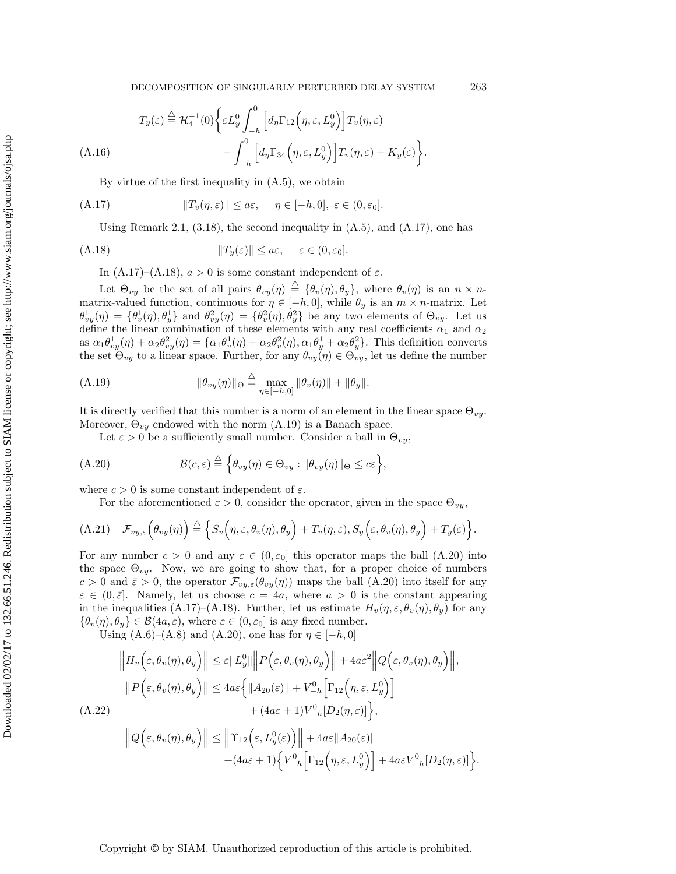$$
T_y(\varepsilon) \stackrel{\triangle}{=} \mathcal{H}_4^{-1}(0) \bigg\{ \varepsilon L_y^0 \int_{-h}^0 \Big[ d_\eta \Gamma_{12} \Big( \eta, \varepsilon, L_y^0 \Big) \Big] T_v(\eta, \varepsilon)
$$
\n
$$
- \int_{-h}^0 \Big[ d_\eta \Gamma_{34} \Big( \eta, \varepsilon, L_y^0 \Big) \Big] T_v(\eta, \varepsilon) + K_y(\varepsilon) \bigg\}.
$$
\n(A.16)

<span id="page-27-0"></span>By virtue of the first inequality in [\(A.5\)](#page-25-4), we obtain

(A.17) 
$$
||T_v(\eta, \varepsilon)|| \leq a\varepsilon, \quad \eta \in [-h, 0], \ \varepsilon \in (0, \varepsilon_0].
$$

Using Remark [2.1,](#page-3-3)  $(3.18)$ , the second inequality in  $(A.5)$ , and  $(A.17)$ , one has

(A.18) 
$$
||T_y(\varepsilon)|| \le a\varepsilon, \quad \varepsilon \in (0, \varepsilon_0].
$$

<span id="page-27-1"></span>In [\(A.17\)](#page-27-0)–[\(A.18\)](#page-27-1),  $a > 0$  is some constant independent of  $\varepsilon$ .

Let  $\Theta_{vy}$  be the set of all pairs  $\theta_{vy}(\eta) \stackrel{\triangle}{=} {\theta_v(\eta), \theta_y}$ , where  $\theta_v(\eta)$  is an  $n \times n$ matrix-valued function, continuous for  $\eta \in [-h, 0]$ , while  $\theta_y$  is an  $m \times n$ -matrix. Let  $\theta_{vy}^1(\eta) = \{\theta_v^1(\eta), \theta_y^1\}$  and  $\theta_{vy}^2(\eta) = \{\theta_v^2(\eta), \theta_y^2\}$  be any two elements of  $\Theta_{vy}$ . Let us define the linear combination of these elements with any real coefficients  $\alpha_1$  and  $\alpha_2$ as  $\alpha_1\theta_{vy}^1(\eta) + \alpha_2\theta_{vy}^2(\eta) = \{\alpha_1\theta_v^1(\eta) + \alpha_2\theta_v^2(\eta), \alpha_1\theta_y^1 + \alpha_2\theta_y^2\}$ . This definition converts the set  $\Theta_{vy}$  to a linear space. Further, for any  $\theta_{vy}(\eta) \in \Theta_{vy}$ , let us define the number

(A.19) 
$$
\|\theta_{vy}(\eta)\|_{\Theta} \stackrel{\triangle}{=} \max_{\eta \in [-h,0]} \|\theta_{v}(\eta)\| + \|\theta_{y}\|.
$$

It is directly verified that this number is a norm of an element in the linear space  $\Theta_{vy}$ . Moreover,  $\Theta_{vy}$  endowed with the norm [\(A.19\)](#page-27-2) is a Banach space.

<span id="page-27-3"></span><span id="page-27-2"></span>Let  $\varepsilon > 0$  be a sufficiently small number. Consider a ball in  $\Theta_{vy}$ ,

(A.20) 
$$
\mathcal{B}(c,\varepsilon) \stackrel{\triangle}{=} \left\{ \theta_{vy}(\eta) \in \Theta_{vy} : \|\theta_{vy}(\eta)\|_{\Theta} \leq c\varepsilon \right\},\
$$

where  $c > 0$  is some constant independent of  $\varepsilon$ .

 $\mathbf{a}$ 

For the aforementioned  $\varepsilon > 0$ , consider the operator, given in the space  $\Theta_{vu}$ ,

<span id="page-27-5"></span>(A.21) 
$$
\mathcal{F}_{vy,\varepsilon}\Big(\theta_{vy}(\eta)\Big) \stackrel{\triangle}{=} \Big\{S_v\Big(\eta,\varepsilon,\theta_v(\eta),\theta_y\Big) + T_v(\eta,\varepsilon), S_y\Big(\varepsilon,\theta_v(\eta),\theta_y\Big) + T_y(\varepsilon)\Big\}.
$$

For any number  $c > 0$  and any  $\varepsilon \in (0, \varepsilon_0]$  this operator maps the ball  $(A.20)$  into the space  $\Theta_{vy}$ . Now, we are going to show that, for a proper choice of numbers  $c > 0$  and  $\bar{\varepsilon} > 0$ , the operator  $\mathcal{F}_{vy,\varepsilon}(\theta_{vy}(\eta))$  maps the ball [\(A.20\)](#page-27-3) into itself for any  $\varepsilon \in (0, \bar{\varepsilon}]$ . Namely, let us choose  $c = 4a$ , where  $a > 0$  is the constant appearing in the inequalities [\(A.17\)](#page-27-0)–[\(A.18\)](#page-27-1). Further, let us estimate  $H_v(\eta, \varepsilon, \theta_v(\eta), \theta_u)$  for any  $\{\theta_v(\eta), \theta_y\} \in \mathcal{B}(4a, \varepsilon)$ , where  $\varepsilon \in (0, \varepsilon_0]$  is any fixed number.

Using  $(A.6)–(A.8)$  $(A.6)–(A.8)$  $(A.6)–(A.8)$  and  $(A.20)$ , one has for  $\eta \in [-h, 0]$ 

 $\mathbf{v}$  and

<span id="page-27-4"></span>
$$
\|H_v(\varepsilon, \theta_v(\eta), \theta_y)\| \le \varepsilon \|L_y^0\| \|P(\varepsilon, \theta_v(\eta), \theta_y)\| + 4a\varepsilon^2 \|Q(\varepsilon, \theta_v(\eta), \theta_y)\|,
$$
  

$$
\|P(\varepsilon, \theta_v(\eta), \theta_y)\| \le 4a\varepsilon \{ \|A_{20}(\varepsilon)\| + V_{-h}^0 \Big[ \Gamma_{12}(\eta, \varepsilon, L_y^0) \Big] + (4a\varepsilon + 1)V_{-h}^0 [D_2(\eta, \varepsilon)] \},
$$
  
(A.22)

 $\mathbf{w}$ 

$$
\|Q\Big(\varepsilon,\theta_v(\eta),\theta_y\Big)\| \le \Big\| \Upsilon_{12}\Big(\varepsilon,L_y^0(\varepsilon)\Big)\Big\| + 4a\varepsilon \|A_{20}(\varepsilon)\| + (4a\varepsilon + 1)\Big\{V_{-h}^0\Big[\Gamma_{12}\Big(\eta,\varepsilon,L_y^0\Big)\Big] + 4a\varepsilon V_{-h}^0[D_2(\eta,\varepsilon)]\Big\}.
$$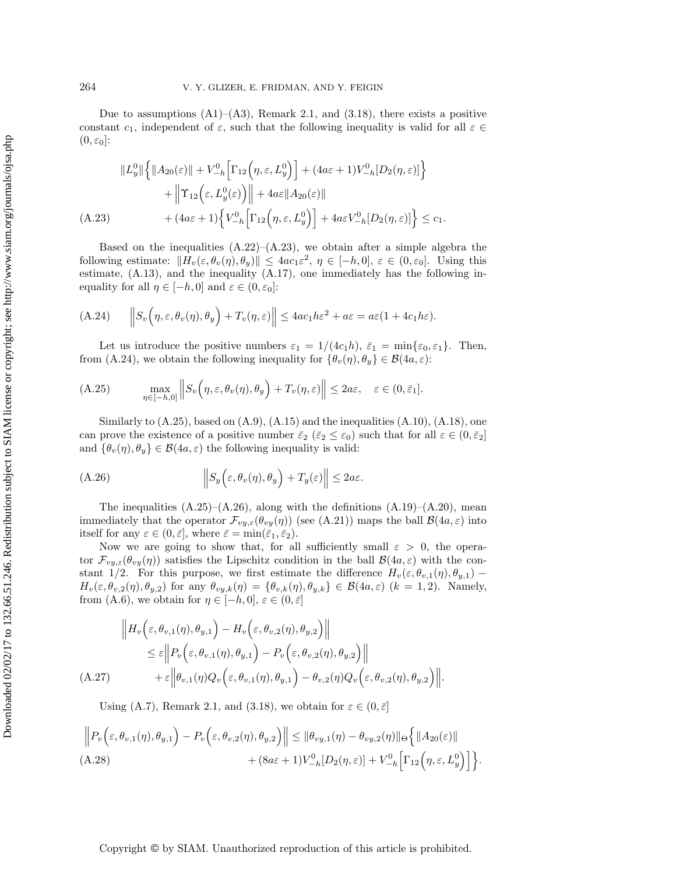Due to assumptions  $(A1)$ – $(A3)$ , Remark [2.1,](#page-3-3) and  $(3.18)$ , there exists a positive constant  $c_1$ , independent of  $\varepsilon$ , such that the following inequality is valid for all  $\varepsilon \in \mathbb{C}$  $(0, \varepsilon_0$ :

<span id="page-28-0"></span>
$$
||L_y^0|| \left\{ ||A_{20}(\varepsilon)|| + V_{-h}^0 \Big[ \Gamma_{12} \Big( \eta, \varepsilon, L_y^0 \Big) \Big] + (4a\varepsilon + 1)V_{-h}^0 [D_2(\eta, \varepsilon)] \right\} + \left\| \Upsilon_{12} \Big( \varepsilon, L_y^0(\varepsilon) \Big) \right\| + 4a\varepsilon ||A_{20}(\varepsilon)|| (A.23) + (4a\varepsilon + 1) \left\{ V_{-h}^0 \Big[ \Gamma_{12} \Big( \eta, \varepsilon, L_y^0 \Big) \Big] + 4a\varepsilon V_{-h}^0 [D_2(\eta, \varepsilon)] \right\} \le c_1.
$$

Based on the inequalities  $(A.22)$ – $(A.23)$ , we obtain after a simple algebra the following estimate:  $||H_v(\varepsilon, \theta_v(\eta), \theta_y)|| \leq 4ac_1\varepsilon^2$ ,  $\eta \in [-h, 0], \varepsilon \in (0, \varepsilon_0]$ . Using this estimate,  $(A.13)$ , and the inequality  $(A.17)$ , one immediately has the following inequality for all  $\eta \in [-h, 0]$  and  $\varepsilon \in (0, \varepsilon_0]$ :

<span id="page-28-1"></span>(A.24) 
$$
\left\|S_v(\eta,\varepsilon,\theta_v(\eta),\theta_y)+T_v(\eta,\varepsilon)\right\| \leq 4ac_1h\varepsilon^2 + a\varepsilon = a\varepsilon(1+4c_1h\varepsilon).
$$

Let us introduce the positive numbers  $\varepsilon_1 = 1/(4c_1h)$ ,  $\bar{\varepsilon}_1 = \min{\varepsilon_0, \varepsilon_1}$ . Then, from [\(A.24\)](#page-28-1), we obtain the following inequality for  $\{\theta_v(\eta), \theta_y\} \in \mathcal{B}(4a, \varepsilon)$ :

<span id="page-28-2"></span>(A.25) 
$$
\max_{\eta \in [-h,0]} \left\| S_v \left( \eta, \varepsilon, \theta_v(\eta), \theta_y \right) + T_v(\eta, \varepsilon) \right\| \leq 2a\varepsilon, \quad \varepsilon \in (0, \bar{\varepsilon}_1].
$$

Similarly to  $(A.25)$ , based on  $(A.9)$ ,  $(A.15)$  and the inequalities  $(A.10)$ ,  $(A.18)$ , one can prove the existence of a positive number  $\bar{\varepsilon}_2$  ( $\bar{\varepsilon}_2 \leq \varepsilon_0$ ) such that for all  $\varepsilon \in (0, \bar{\varepsilon}_2]$ and  $\{\theta_v(\eta), \theta_y\} \in \mathcal{B}(4a, \varepsilon)$  the following inequality is valid:

<span id="page-28-3"></span>(A.26) 
$$
\left\|S_y\left(\varepsilon,\theta_v(\eta),\theta_y\right)+T_y(\varepsilon)\right\| \leq 2a\varepsilon.
$$

The inequalities  $(A.25)-(A.26)$  $(A.25)-(A.26)$  $(A.25)-(A.26)$ , along with the definitions  $(A.19)-(A.20)$  $(A.19)-(A.20)$  $(A.19)-(A.20)$ , mean immediately that the operator  $\mathcal{F}_{vy,\varepsilon}(\theta_{vy}(\eta))$  (see [\(A.21\)](#page-27-5)) maps the ball  $\mathcal{B}(4a,\varepsilon)$  into itself for any  $\varepsilon \in (0, \bar{\varepsilon}]$ , where  $\bar{\varepsilon} = \min(\bar{\varepsilon}_1, \bar{\varepsilon}_2)$ .

Now we are going to show that, for all sufficiently small  $\varepsilon > 0$ , the operator  $\mathcal{F}_{vy,\varepsilon}(\theta_{vy}(\eta))$  satisfies the Lipschitz condition in the ball  $\mathcal{B}(4a,\varepsilon)$  with the constant 1/2. For this purpose, we first estimate the difference  $H_v(\varepsilon, \theta_{v,1}(\eta), \theta_{y,1})$  –  $H_v(\varepsilon, \theta_{v,2}(\eta), \theta_{y,2})$  for any  $\theta_{vy,k}(\eta) = {\theta_{v,k}(\eta), \theta_{y,k}} \in \mathcal{B}(4a, \varepsilon)$   $(k = 1, 2)$ . Namely, from [\(A.6\)](#page-25-5), we obtain for  $\eta \in [-h, 0], \varepsilon \in (0, \bar{\varepsilon}]$ 

<span id="page-28-4"></span>
$$
\|H_v\left(\varepsilon,\theta_{v,1}(\eta),\theta_{y,1}\right) - H_v\left(\varepsilon,\theta_{v,2}(\eta),\theta_{y,2}\right)\|
$$
  
\n
$$
\leq \varepsilon \left\|P_v\left(\varepsilon,\theta_{v,1}(\eta),\theta_{y,1}\right) - P_v\left(\varepsilon,\theta_{v,2}(\eta),\theta_{y,2}\right)\right\|
$$
  
\n(A.27) 
$$
+ \varepsilon \left\|\theta_{v,1}(\eta)Q_v\left(\varepsilon,\theta_{v,1}(\eta),\theta_{y,1}\right) - \theta_{v,2}(\eta)Q_v\left(\varepsilon,\theta_{v,2}(\eta),\theta_{y,2}\right)\right\|.
$$

Using [\(A.7\)](#page-26-6), Remark [2.1,](#page-3-3) and [\(3.18\)](#page-7-3), we obtain for  $\varepsilon \in (0,\bar{\varepsilon}]$ 

$$
\|P_v\left(\varepsilon,\theta_{v,1}(\eta),\theta_{y,1}\right) - P_v\left(\varepsilon,\theta_{v,2}(\eta),\theta_{y,2}\right)\| \leq \|\theta_{vy,1}(\eta) - \theta_{vy,2}(\eta)\| \Theta\left\{\|A_{20}(\varepsilon)\| + (8a\varepsilon + 1)V_{-h}^0[D_2(\eta,\varepsilon)] + V_{-h}^0\Big[\Gamma_{12}\Big(\eta,\varepsilon,L_y^0\Big)\Big]\right\}.
$$
  
(A.28)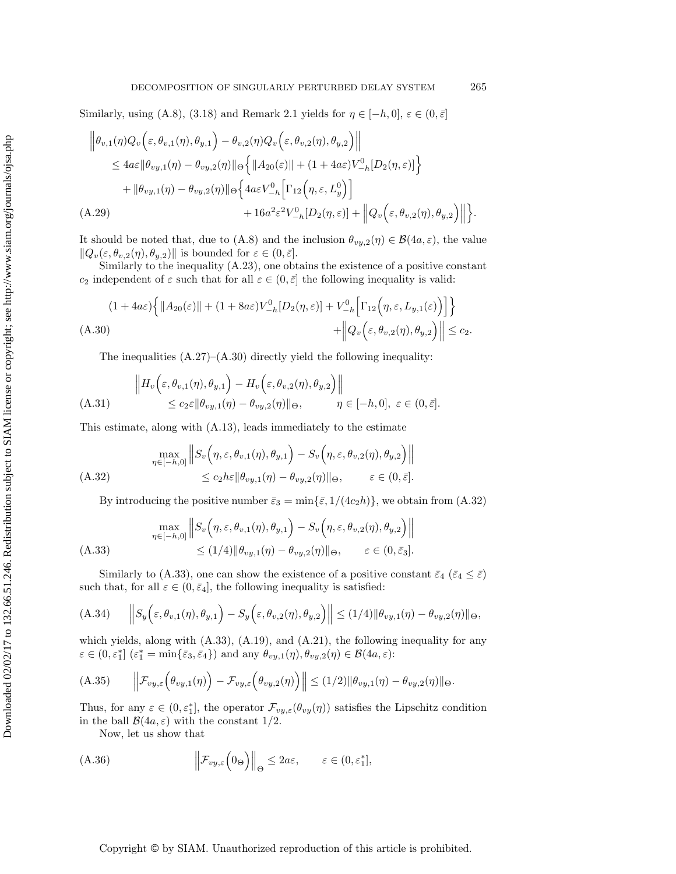Similarly, using [\(A.8\)](#page-26-2), [\(3.18\)](#page-7-3) and Remark [2.1](#page-3-3) yields for  $\eta \in [-h, 0], \varepsilon \in (0, \bar{\varepsilon}]$ 

$$
\begin{split} \left\| \theta_{v,1}(\eta) Q_v \Big( \varepsilon, \theta_{v,1}(\eta), \theta_{y,1} \Big) - \theta_{v,2}(\eta) Q_v \Big( \varepsilon, \theta_{v,2}(\eta), \theta_{y,2} \Big) \right\| \\ &\leq 4a\varepsilon \|\theta_{vy,1}(\eta) - \theta_{vy,2}(\eta)\|_{\Theta} \Big\{ \|A_{20}(\varepsilon)\| + (1 + 4a\varepsilon)V_{-h}^0[D_2(\eta, \varepsilon)] \Big\} \\ &\quad + \|\theta_{vy,1}(\eta) - \theta_{vy,2}(\eta)\|_{\Theta} \Big\{ 4a\varepsilon V_{-h}^0 \Big[ \Gamma_{12} \Big( \eta, \varepsilon, L_y^0 \Big) \Big] \\ &\quad + 16a^2\varepsilon^2 V_{-h}^0[D_2(\eta, \varepsilon)] + \left\| Q_v \Big( \varepsilon, \theta_{v,2}(\eta), \theta_{y,2} \Big) \right\| \Big\}. \end{split}
$$

It should be noted that, due to [\(A.8\)](#page-26-2) and the inclusion  $\theta_{vy,2}(\eta) \in \mathcal{B}(4a,\varepsilon)$ , the value  $||Q_v(\varepsilon, \theta_{v,2}(\eta), \theta_{y,2})||$  is bounded for  $\varepsilon \in (0, \bar{\varepsilon}]$ .

Similarly to the inequality [\(A.23\)](#page-28-0), one obtains the existence of a positive constant  $c_2$  independent of  $\varepsilon$  such that for all  $\varepsilon \in (0, \bar{\varepsilon}]$  the following inequality is valid:

<span id="page-29-0"></span>
$$
(1+4a\varepsilon)\Big\{\|A_{20}(\varepsilon)\|+(1+8a\varepsilon)V_{-h}^0[D_2(\eta,\varepsilon)]+V_{-h}^0\Big[\Gamma_{12}\Big(\eta,\varepsilon,L_{y,1}(\varepsilon)\Big)\Big]\Big\}+\Big\|Q_v\Big(\varepsilon,\theta_{v,2}(\eta),\theta_{y,2}\Big)\Big\|\leq c_2.
$$

The inequalities  $(A.27)$ – $(A.30)$  directly yield the following inequality:

$$
\|H_v\left(\varepsilon,\theta_{v,1}(\eta),\theta_{y,1}\right) - H_v\left(\varepsilon,\theta_{v,2}(\eta),\theta_{y,2}\right)\|
$$
  

$$
\leq c_2 \varepsilon \|\theta_{vy,1}(\eta) - \theta_{vy,2}(\eta)\|_{\Theta}, \qquad \eta \in [-h,0], \ \varepsilon \in (0,\bar{\varepsilon}].
$$

This estimate, along with [\(A.13\)](#page-26-3), leads immediately to the estimate

<span id="page-29-1"></span>
$$
\max_{\eta \in [-h,0]} \left\| S_v \left( \eta, \varepsilon, \theta_{v,1}(\eta), \theta_{y,1} \right) - S_v \left( \eta, \varepsilon, \theta_{v,2}(\eta), \theta_{y,2} \right) \right\|
$$
  
(A.32)  

$$
\leq c_2 h \varepsilon \|\theta_{vy,1}(\eta) - \theta_{vy,2}(\eta)\|_{\Theta}, \qquad \varepsilon \in (0, \bar{\varepsilon}].
$$

<span id="page-29-2"></span>By introducing the positive number  $\bar{\varepsilon}_3 = \min{\{\bar{\varepsilon}, 1/(4c_2h)\}}$ , we obtain from  $(A.32)$ 

$$
\max_{\eta \in [-h,0]} \left\| S_v \left( \eta, \varepsilon, \theta_{v,1}(\eta), \theta_{y,1} \right) - S_v \left( \eta, \varepsilon, \theta_{v,2}(\eta), \theta_{y,2} \right) \right\|
$$
\n(A.33)\n
$$
\leq (1/4) \|\theta_{vy,1}(\eta) - \theta_{vy,2}(\eta)\|_{\Theta}, \qquad \varepsilon \in (0, \bar{\varepsilon}_3].
$$

Similarly to [\(A.33\)](#page-29-2), one can show the existence of a positive constant  $\bar{\varepsilon}_4$  ( $\bar{\varepsilon}_4 \leq \bar{\varepsilon}$ ) such that, for all  $\varepsilon \in (0, \bar{\varepsilon}_4]$ , the following inequality is satisfied:

(A.34) 
$$
\left\|S_y\Big(\varepsilon,\theta_{v,1}(\eta),\theta_{y,1}\Big)-S_y\Big(\varepsilon,\theta_{v,2}(\eta),\theta_{y,2}\Big)\right\| \leq (1/4)\|\theta_{vy,1}(\eta)-\theta_{vy,2}(\eta)\|_{\Theta},
$$

which yields, along with  $(A.33)$ ,  $(A.19)$ , and  $(A.21)$ , the following inequality for any  $\varepsilon \in (0, \varepsilon_1^*]$   $(\varepsilon_1^* = \min\{\bar{\varepsilon}_3, \bar{\varepsilon}_4\})$  and any  $\theta_{vy,1}(\eta), \theta_{vy,2}(\eta) \in \mathcal{B}(4a, \varepsilon)$ :

(A.35) 
$$
\left\|\mathcal{F}_{vy,\varepsilon}\left(\theta_{vy,1}(\eta)\right)-\mathcal{F}_{vy,\varepsilon}\left(\theta_{vy,2}(\eta)\right)\right\| \leq (1/2) \|\theta_{vy,1}(\eta)-\theta_{vy,2}(\eta)\|_{\Theta}.
$$

Thus, for any  $\varepsilon \in (0, \varepsilon_1^*]$ , the operator  $\mathcal{F}_{vy,\varepsilon}(\theta_{vy}(\eta))$  satisfies the Lipschitz condition in the ball  $\mathcal{B}(4a,\varepsilon)$  with the constant 1/2.

<span id="page-29-3"></span>Now, let us show that

(A.36) 
$$
\left\| \mathcal{F}_{vy,\varepsilon} \left( 0_{\Theta} \right) \right\|_{\Theta} \leq 2a\varepsilon, \qquad \varepsilon \in (0,\varepsilon_1^*],
$$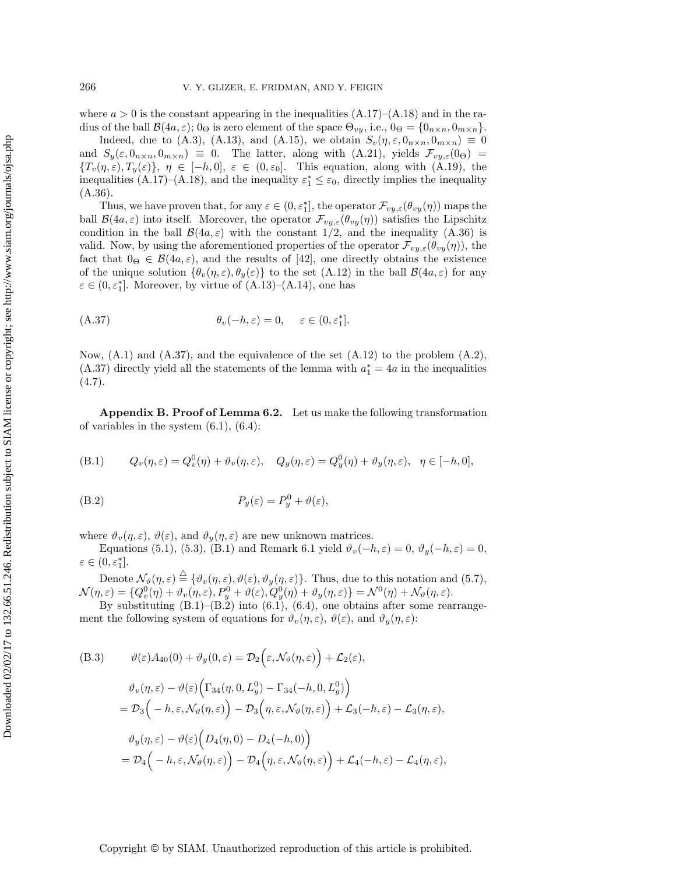where  $a > 0$  is the constant appearing in the inequalities  $(A.17)$ – $(A.18)$  and in the radius of the ball  $\mathcal{B}(4a,\varepsilon)$ ; 0<sub>Θ</sub> is zero element of the space  $\Theta_{vy}$ , i.e., 0<sub>Θ</sub> = {0<sub>n×n</sub>, 0<sub>m×n</sub>}.

Indeed, due to [\(A.3\)](#page-25-2), [\(A.13\)](#page-26-3), and [\(A.15\)](#page-26-4), we obtain  $S_v(\eta, \varepsilon, 0_{n \times n}, 0_{m \times n}) \equiv 0$ and  $S_y(\varepsilon, 0_{n \times n}, 0_{m \times n}) \equiv 0$ . The latter, along with  $(A.21)$ , yields  $\mathcal{F}_{vy,\varepsilon}(0_{\Theta}) =$  ${T_v(\eta,\varepsilon),T_y(\varepsilon)}$ ,  $\eta \in [-h,0], \varepsilon \in (0,\varepsilon_0].$  This equation, along with  $(A.19)$ , the inequalities [\(A.17\)](#page-27-0)–[\(A.18\)](#page-27-1), and the inequality  $\varepsilon_1^* \leq \varepsilon_0$ , directly implies the inequality [\(A.36\)](#page-29-3).

Thus, we have proven that, for any  $\varepsilon \in (0, \varepsilon_1^*]$ , the operator  $\mathcal{F}_{vy,\varepsilon}(\theta_{vy}(\eta))$  maps the ball  $\mathcal{B}(4a,\varepsilon)$  into itself. Moreover, the operator  $\mathcal{F}_{vy,\varepsilon}(\theta_{vy}(\eta))$  satisfies the Lipschitz condition in the ball  $\mathcal{B}(4a,\varepsilon)$  with the constant 1/2, and the inequality [\(A.36\)](#page-29-3) is valid. Now, by using the aforementioned properties of the operator  $\mathcal{F}_{vy,\varepsilon}(\theta_{vy}(\eta))$ , the fact that  $0_{\Theta} \in \mathcal{B}(4a,\varepsilon)$ , and the results of [\[42\]](#page-38-11), one directly obtains the existence of the unique solution  $\{\theta_v(\eta,\varepsilon), \theta_y(\varepsilon)\}\)$  to the set  $(A.12)$  in the ball  $\mathcal{B}(4a,\varepsilon)$  for any  $\varepsilon \in (0, \varepsilon_1^*]$ . Moreover, by virtue of  $(A.13)$ – $(A.14)$ , one has

<span id="page-30-1"></span>(A.37) 
$$
\theta_v(-h,\varepsilon) = 0, \quad \varepsilon \in (0,\varepsilon_1^*].
$$

<span id="page-30-0"></span>Now,  $(A.1)$  and  $(A.37)$ , and the equivalence of the set  $(A.12)$  to the problem  $(A.2)$ ,  $(A.37)$  directly yield all the statements of the lemma with  $a_1^* = 4a$  in the inequalities  $(4.7).$  $(4.7).$ 

**Appendix B. Proof of Lemma [6.2.](#page-14-1)** Let us make the following transformation of variables in the system  $(6.1)$ ,  $(6.4)$ :

<span id="page-30-2"></span>(B.1) 
$$
Q_v(\eta, \varepsilon) = Q_v^0(\eta) + \vartheta_v(\eta, \varepsilon), \quad Q_y(\eta, \varepsilon) = Q_y^0(\eta) + \vartheta_y(\eta, \varepsilon), \quad \eta \in [-h, 0],
$$

<span id="page-30-3"></span>(B.2) 
$$
P_y(\varepsilon) = P_y^0 + \vartheta(\varepsilon),
$$

where  $\vartheta_v(\eta, \varepsilon)$ ,  $\vartheta(\varepsilon)$ , and  $\vartheta_u(\eta, \varepsilon)$  are new unknown matrices.

Equations [\(5.1\)](#page-10-0), [\(5.3\)](#page-10-1), [\(B.1\)](#page-30-2) and Remark [6.1](#page-13-10) yield  $\vartheta_v(-h, \varepsilon) = 0$ ,  $\vartheta_y(-h, \varepsilon) = 0$ ,  $\varepsilon\in(0,\varepsilon_1^*].$ 

Denote  $\mathcal{N}_{\vartheta}(\eta,\varepsilon) \stackrel{\triangle}{=} \{\vartheta_v(\eta,\varepsilon), \vartheta(\varepsilon), \vartheta_y(\eta,\varepsilon)\}\.$  Thus, due to this notation and [\(5.7\)](#page-11-2),  $\mathcal{N}(\eta,\varepsilon)=\{Q^0_v(\eta)+\vartheta_v(\eta,\varepsilon),P^0_y+\vartheta(\varepsilon),Q^0_y(\eta)+\vartheta_y(\eta,\varepsilon)\}=\mathcal{N}^0(\eta)+\mathcal{N}_\vartheta(\eta,\varepsilon).$ 

By substituting  $(B.1)$ – $(B.2)$  into  $(6.1)$ ,  $(6.4)$ , one obtains after some rearrangement the following system of equations for  $\vartheta_v(\eta,\varepsilon)$ ,  $\vartheta(\varepsilon)$ , and  $\vartheta_y(\eta,\varepsilon)$ :

<span id="page-30-4"></span>(B.3) 
$$
\vartheta(\varepsilon) A_{40}(0) + \vartheta_y(0, \varepsilon) = \mathcal{D}_2 \Big( \varepsilon, \mathcal{N}_{\vartheta}(\eta, \varepsilon) \Big) + \mathcal{L}_2(\varepsilon),
$$

$$
\vartheta_v(\eta, \varepsilon) - \vartheta(\varepsilon) \Big( \Gamma_{34}(\eta, 0, L_y^0) - \Gamma_{34}(-h, 0, L_y^0) \Big)
$$

$$
= \mathcal{D}_3 \Big( -h, \varepsilon, \mathcal{N}_{\vartheta}(\eta, \varepsilon) \Big) - \mathcal{D}_3 \Big( \eta, \varepsilon, \mathcal{N}_{\vartheta}(\eta, \varepsilon) \Big) + \mathcal{L}_3(-h, \varepsilon) - \mathcal{L}_3(\eta, \varepsilon),
$$

$$
\vartheta_y(\eta, \varepsilon) - \vartheta(\varepsilon) \Big( D_4(\eta, 0) - D_4(-h, 0) \Big)
$$

$$
= \mathcal{D}_4 \Big( -h, \varepsilon, \mathcal{N}_{\vartheta}(\eta, \varepsilon) \Big) - \mathcal{D}_4 \Big( \eta, \varepsilon, \mathcal{N}_{\vartheta}(\eta, \varepsilon) \Big) + \mathcal{L}_4(-h, \varepsilon) - \mathcal{L}_4(\eta, \varepsilon),
$$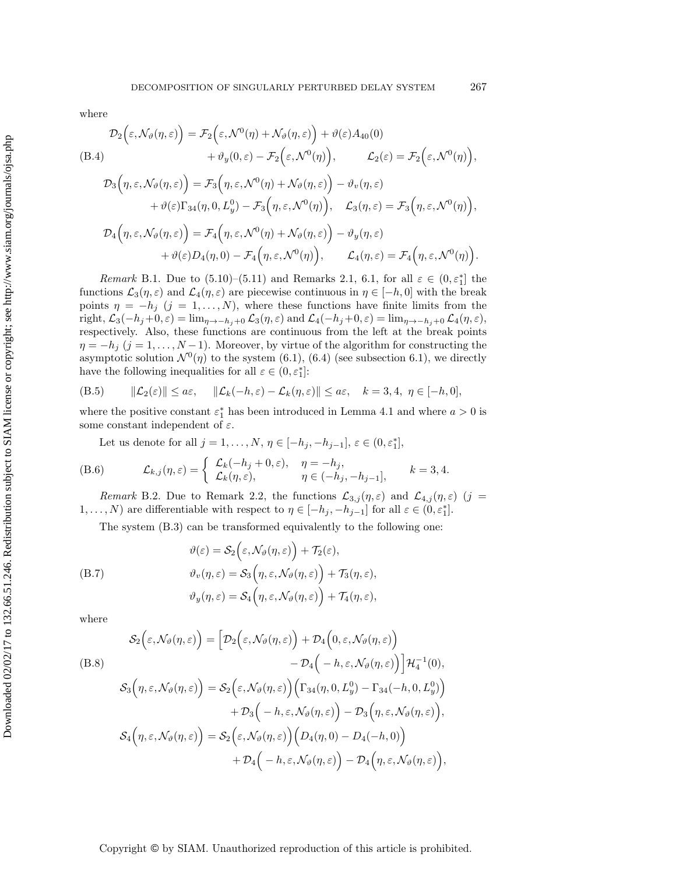where

<span id="page-31-4"></span>
$$
\mathcal{D}_2(\varepsilon, \mathcal{N}_{\vartheta}(\eta, \varepsilon)) = \mathcal{F}_2(\varepsilon, \mathcal{N}^0(\eta) + \mathcal{N}_{\vartheta}(\eta, \varepsilon)) + \vartheta(\varepsilon) A_{40}(0)
$$
\n(B.4)  
\n
$$
+ \vartheta_y(0, \varepsilon) - \mathcal{F}_2(\varepsilon, \mathcal{N}^0(\eta)), \qquad \mathcal{L}_2(\varepsilon) = \mathcal{F}_2(\varepsilon, \mathcal{N}^0(\eta)),
$$
\n
$$
\mathcal{D}_3(\eta, \varepsilon, \mathcal{N}_{\vartheta}(\eta, \varepsilon)) = \mathcal{F}_3(\eta, \varepsilon, \mathcal{N}^0(\eta) + \mathcal{N}_{\vartheta}(\eta, \varepsilon)) - \vartheta_v(\eta, \varepsilon)
$$
\n
$$
+ \vartheta(\varepsilon) \Gamma_{34}(\eta, 0, L_y^0) - \mathcal{F}_3(\eta, \varepsilon, \mathcal{N}^0(\eta)), \qquad \mathcal{L}_3(\eta, \varepsilon) = \mathcal{F}_3(\eta, \varepsilon, \mathcal{N}^0(\eta)),
$$
\n
$$
\mathcal{D}_4(\eta, \varepsilon, \mathcal{N}_{\vartheta}(\eta, \varepsilon)) = \mathcal{F}_4(\eta, \varepsilon, \mathcal{N}^0(\eta) + \mathcal{N}_{\vartheta}(\eta, \varepsilon)) - \vartheta_y(\eta, \varepsilon)
$$
\n
$$
+ \vartheta(\varepsilon) D_4(\eta, 0) - \mathcal{F}_4(\eta, \varepsilon, \mathcal{N}^0(\eta)), \qquad \mathcal{L}_4(\eta, \varepsilon) = \mathcal{F}_4(\eta, \varepsilon, \mathcal{N}^0(\eta)).
$$

<span id="page-31-0"></span>*Remark* B.1. Due to  $(5.10)$ – $(5.11)$  and Remarks [2.1,](#page-3-3) [6.1,](#page-13-10) for all  $\varepsilon \in (0, \varepsilon_1^*]$  the functions  $\mathcal{L}_3(\eta,\varepsilon)$  and  $\mathcal{L}_4(\eta,\varepsilon)$  are piecewise continuous in  $\eta \in [-h,0]$  with the break points  $\eta = -h_j$  (j = 1,..., N), where these functions have finite limits from the right,  $\mathcal{L}_3(-h_j+0,\varepsilon) = \lim_{\eta \to -h_j+0} \mathcal{L}_3(\eta,\varepsilon)$  and  $\mathcal{L}_4(-h_j+0,\varepsilon) = \lim_{\eta \to -h_j+0} \mathcal{L}_4(\eta,\varepsilon)$ , respectively. Also, these functions are continuous from the left at the break points  $\eta = -h_j$  (j = 1,..., N – 1). Moreover, by virtue of the algorithm for constructing the asymptotic solution  $\mathcal{N}^0(\eta)$  to the system [\(6.1\)](#page-12-4), [\(6.4\)](#page-13-2) (see subsection 6.1), we directly have the following inequalities for all  $\varepsilon \in (0, \varepsilon_1^*]$ :

<span id="page-31-1"></span>(B.5) 
$$
\|\mathcal{L}_2(\varepsilon)\| \le a\varepsilon, \quad \|\mathcal{L}_k(-h,\varepsilon) - \mathcal{L}_k(\eta,\varepsilon)\| \le a\varepsilon, \quad k = 3, 4, \ \eta \in [-h, 0],
$$

where the positive constant  $\varepsilon_1^*$  has been introduced in Lemma [4.1](#page-8-3) and where  $a > 0$  is some constant independent of  $\varepsilon$ .

Let us denote for all  $j = 1, ..., N, \eta \in [-h_j, -h_{j-1}], \varepsilon \in (0, \varepsilon_1^*],$ 

(B.6) 
$$
\mathcal{L}_{k,j}(\eta,\varepsilon) = \begin{cases} \mathcal{L}_k(-h_j + 0,\varepsilon), & \eta = -h_j, \\ \mathcal{L}_k(\eta,\varepsilon), & \eta \in (-h_j, -h_{j-1}], \end{cases} \quad k = 3, 4.
$$

<span id="page-31-2"></span>*Remark* B.2. Due to Remark [2.2,](#page-4-2) the functions  $\mathcal{L}_{3,j}(\eta,\varepsilon)$  and  $\mathcal{L}_{4,j}(\eta,\varepsilon)$  (j = 1,..., N) are differentiable with respect to  $\eta \in [-h_j, -h_{j-1}]$  for all  $\varepsilon \in (0, \varepsilon_1^*]$ .

<span id="page-31-3"></span>The system [\(B.3\)](#page-30-4) can be transformed equivalently to the following one:

$$
\vartheta(\varepsilon) = \mathcal{S}_2\Big(\varepsilon, \mathcal{N}_{\vartheta}(\eta, \varepsilon)\Big) + \mathcal{T}_2(\varepsilon),
$$
  
(B.7)  

$$
\vartheta_v(\eta, \varepsilon) = \mathcal{S}_3\Big(\eta, \varepsilon, \mathcal{N}_{\vartheta}(\eta, \varepsilon)\Big) + \mathcal{T}_3(\eta, \varepsilon),
$$
  

$$
\vartheta_y(\eta, \varepsilon) = \mathcal{S}_4\Big(\eta, \varepsilon, \mathcal{N}_{\vartheta}(\eta, \varepsilon)\Big) + \mathcal{T}_4(\eta, \varepsilon),
$$

where

<span id="page-31-5"></span>
$$
S_2(\varepsilon, \mathcal{N}_{\vartheta}(\eta, \varepsilon)) = \Big[ \mathcal{D}_2(\varepsilon, \mathcal{N}_{\vartheta}(\eta, \varepsilon)) + \mathcal{D}_4(0, \varepsilon, \mathcal{N}_{\vartheta}(\eta, \varepsilon)) -\mathcal{D}_4(-h, \varepsilon, \mathcal{N}_{\vartheta}(\eta, \varepsilon)) \Big] \mathcal{H}_4^{-1}(0),
$$
  
\n
$$
S_3(\eta, \varepsilon, \mathcal{N}_{\vartheta}(\eta, \varepsilon)) = S_2(\varepsilon, \mathcal{N}_{\vartheta}(\eta, \varepsilon)) \Big( \Gamma_{34}(\eta, 0, L_y^0) - \Gamma_{34}(-h, 0, L_y^0) \Big) + \mathcal{D}_3(-h, \varepsilon, \mathcal{N}_{\vartheta}(\eta, \varepsilon)) - \mathcal{D}_3(\eta, \varepsilon, \mathcal{N}_{\vartheta}(\eta, \varepsilon)),
$$
  
\n
$$
S_4(\eta, \varepsilon, \mathcal{N}_{\vartheta}(\eta, \varepsilon)) = S_2(\varepsilon, \mathcal{N}_{\vartheta}(\eta, \varepsilon)) \Big( D_4(\eta, 0) - D_4(-h, 0) \Big) + \mathcal{D}_4(-h, \varepsilon, \mathcal{N}_{\vartheta}(\eta, \varepsilon)) - \mathcal{D}_4(\eta, \varepsilon, \mathcal{N}_{\vartheta}(\eta, \varepsilon)),
$$

,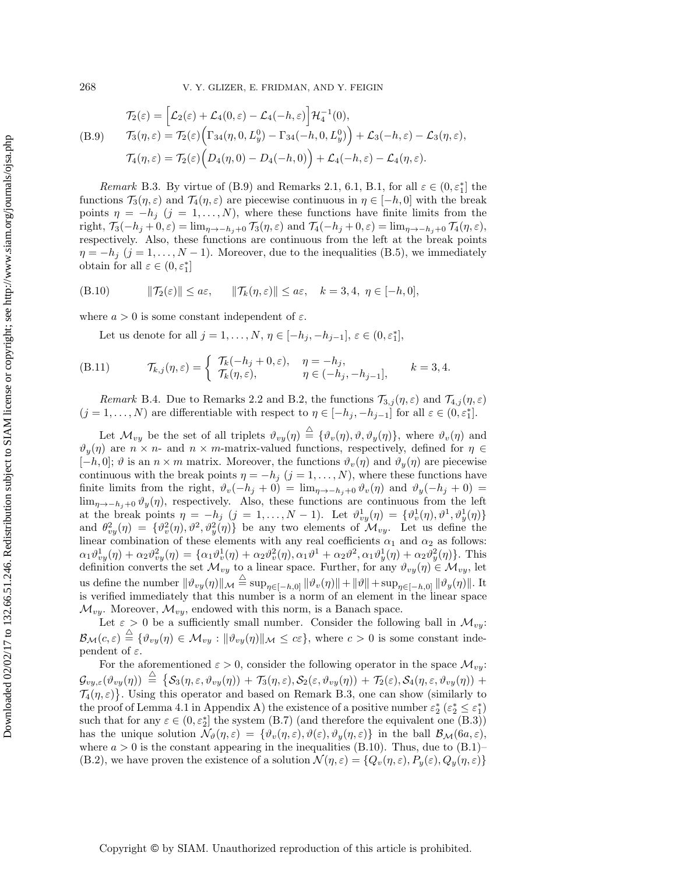<span id="page-32-0"></span>
$$
\mathcal{T}_2(\varepsilon) = \left[\mathcal{L}_2(\varepsilon) + \mathcal{L}_4(0,\varepsilon) - \mathcal{L}_4(-h,\varepsilon)\right] \mathcal{H}_4^{-1}(0),
$$
\n
$$
\mathcal{T}_3(\eta,\varepsilon) = \mathcal{T}_2(\varepsilon) \Big( \Gamma_{34}(\eta,0,L_y^0) - \Gamma_{34}(-h,0,L_y^0) \Big) + \mathcal{L}_3(-h,\varepsilon) - \mathcal{L}_3(\eta,\varepsilon),
$$
\n
$$
\mathcal{T}_4(\eta,\varepsilon) = \mathcal{T}_2(\varepsilon) \Big( D_4(\eta,0) - D_4(-h,0) \Big) + \mathcal{L}_4(-h,\varepsilon) - \mathcal{L}_4(\eta,\varepsilon).
$$

<span id="page-32-1"></span>*Remark* B.3. By virtue of [\(B.9\)](#page-32-0) and Remarks [2.1,](#page-3-3) [6.1,](#page-13-10) [B.1,](#page-31-0) for all  $\varepsilon \in (0, \varepsilon_1^*]$  the functions  $\mathcal{T}_3(\eta,\varepsilon)$  and  $\mathcal{T}_4(\eta,\varepsilon)$  are piecewise continuous in  $\eta \in [-h,0]$  with the break points  $\eta = -h_j$  (j = 1,..., N), where these functions have finite limits from the right,  $\mathcal{T}_3(-h_j + 0, \varepsilon) = \lim_{\eta \to -h_j + 0} \mathcal{T}_3(\eta, \varepsilon)$  and  $\mathcal{T}_4(-h_j + 0, \varepsilon) = \lim_{\eta \to -h_j + 0} \mathcal{T}_4(\eta, \varepsilon)$ , respectively. Also, these functions are continuous from the left at the break points  $\eta = -h_j$  (j = 1,..., N – 1). Moreover, due to the inequalities [\(B.5\)](#page-31-1), we immediately obtain for all  $\varepsilon \in (0, \varepsilon_1^*]$ 

(B.10) 
$$
\|\mathcal{T}_2(\varepsilon)\| \le a\varepsilon, \quad \|\mathcal{T}_k(\eta,\varepsilon)\| \le a\varepsilon, \quad k = 3, 4, \ \eta \in [-h, 0],
$$

where  $a > 0$  is some constant independent of  $\varepsilon$ .

<span id="page-32-2"></span>Let us denote for all  $j = 1, ..., N, \eta \in [-h_j, -h_{j-1}], \varepsilon \in (0, \varepsilon_1^*],$ 

(B.11) 
$$
\mathcal{T}_{k,j}(\eta,\varepsilon) = \begin{cases} \mathcal{T}_k(-h_j + 0,\varepsilon), & \eta = -h_j, \\ \mathcal{T}_k(\eta,\varepsilon), & \eta \in (-h_j, -h_{j-1}], \end{cases} \quad k = 3, 4.
$$

<span id="page-32-3"></span>*Remark* B.4. Due to Remarks [2.2](#page-4-2) and [B.2,](#page-31-2) the functions  $\mathcal{T}_{3,j}(\eta,\varepsilon)$  and  $\mathcal{T}_{4,j}(\eta,\varepsilon)$  $(j = 1, ..., N)$  are differentiable with respect to  $\eta \in [-h_j, -h_{j-1}]$  for all  $\varepsilon \in (0, \varepsilon_1^*]$ .

Let  $\mathcal{M}_{vy}$  be the set of all triplets  $\vartheta_{vy}(\eta) \stackrel{\triangle}{=} {\vartheta_v(\eta), \vartheta, \vartheta_y(\eta)}$ , where  $\vartheta_v(\eta)$  and  $\vartheta_y(\eta)$  are  $n \times n$ - and  $n \times m$ -matrix-valued functions, respectively, defined for  $\eta \in$  $[-h, 0]; \vartheta$  is an  $n \times m$  matrix. Moreover, the functions  $\vartheta_v(\eta)$  and  $\vartheta_u(\eta)$  are piecewise continuous with the break points  $\eta = -h_j$  (j = 1,..., N), where these functions have finite limits from the right,  $\vartheta_v(-h_j + 0) = \lim_{\eta \to -h_j + 0} \vartheta_v(\eta)$  and  $\vartheta_y(-h_j + 0) =$ lim<sub>η→−h<sub>j</sub>+0  $\vartheta_y(\eta)$ , respectively. Also, these functions are continuous from the left</sub> at the break points  $\eta = -h_j$   $(j = 1, ..., N - 1)$ . Let  $\vartheta_{vy}^1(\eta) = {\vartheta_v^1(\eta), \vartheta_v^1(\eta)}$ and  $\theta_{vy}^2(\eta) = {\theta_v^2(\eta), \theta_v^2(\eta)}$  be any two elements of  $\mathcal{M}_{vy}$ . Let us define the linear combination of these elements with any real coefficients  $\alpha_1$  and  $\alpha_2$  as follows:  $\alpha_1 \vartheta_{vy}^1(\eta) + \alpha_2 \vartheta_{vy}^2(\eta) = \{ \alpha_1 \vartheta_v^1(\eta) + \alpha_2 \vartheta_v^2(\eta), \alpha_1 \vartheta^1 + \alpha_2 \vartheta^2, \alpha_1 \vartheta_y^1(\eta) + \alpha_2 \vartheta_y^2(\eta) \}.$  This definition converts the set  $\mathcal{M}_{vy}$  to a linear space. Further, for any  $\vartheta_{vy}(\eta) \in \mathcal{M}_{vy}$ , let us define the number  $\|\vartheta_{vy}(\eta)\|_{\mathcal{M}} \stackrel{\triangle}{=} \sup_{\eta \in [-h,0]} \|\vartheta_v(\eta)\| + \|\vartheta\| + \sup_{\eta \in [-h,0]} \|\vartheta_y(\eta)\|.$  It is verified immediately that this number is a norm of an element in the linear space  $\mathcal{M}_{vy}$ . Moreover,  $\mathcal{M}_{vy}$ , endowed with this norm, is a Banach space.

Let  $\varepsilon > 0$  be a sufficiently small number. Consider the following ball in  $\mathcal{M}_{vu}$ :  $\mathcal{B}_{\mathcal{M}}(c,\varepsilon) \stackrel{\triangle}{=} \{ \vartheta_{vy}(\eta) \in \mathcal{M}_{vy} : \|\vartheta_{vy}(\eta)\|_{\mathcal{M}} \leq c\varepsilon \},$  where  $c > 0$  is some constant independent of  $\varepsilon$ .

For the aforementioned  $\varepsilon > 0$ , consider the following operator in the space  $\mathcal{M}_{yy}$ :  $\mathcal{G}_{vy,\varepsilon}(\vartheta_{vy}(\eta))\ \stackrel{\triangle}{=}\ \{\mathcal{S}_3(\eta,\varepsilon,\vartheta_{vy}(\eta))\ +\ \mathcal{T}_3(\eta,\varepsilon),\mathcal{S}_2(\varepsilon,\vartheta_{vy}(\eta))\ +\ \mathcal{T}_2(\varepsilon),\mathcal{S}_4(\eta,\varepsilon,\vartheta_{vy}(\eta))\ +$  $\mathcal{T}_4(\eta,\varepsilon)$ . Using this operator and based on Remark [B.3,](#page-32-1) one can show (similarly to the proof of Lemma [4.1](#page-8-3) in Appendix A) the existence of a positive number  $\varepsilon_2^*$   $(\varepsilon_2^* \leq \varepsilon_1^*)$ such that for any  $\varepsilon \in (0, \varepsilon_2^*]$  the system [\(B.7\)](#page-31-3) (and therefore the equivalent one [\(B.3\)](#page-30-4)) has the unique solution  $\mathcal{N}_{\vartheta}(\eta,\varepsilon) = {\vartheta_v(\eta,\varepsilon), \vartheta(\varepsilon), \vartheta_y(\eta,\varepsilon)}$  in the ball  $\mathcal{B}_{\mathcal{M}}(6a,\varepsilon)$ , where  $a > 0$  is the constant appearing in the inequalities [\(B.10\)](#page-32-2). Thus, due to [\(B.1\)](#page-30-2)– [\(B.2\)](#page-30-3), we have proven the existence of a solution  $\mathcal{N}(\eta,\varepsilon) = \{Q_v(\eta,\varepsilon), P_y(\varepsilon), Q_y(\eta,\varepsilon)\}\,$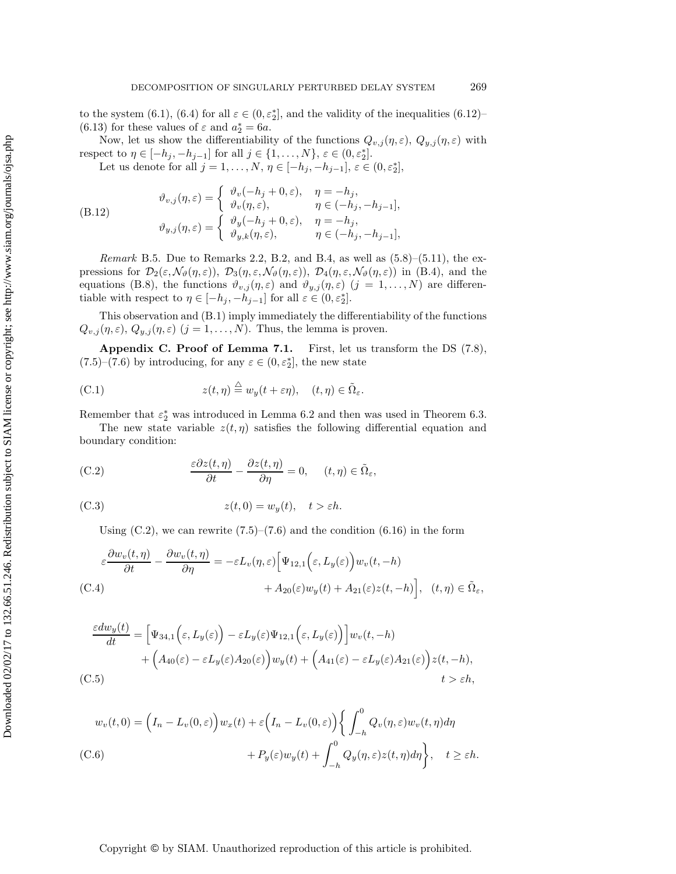to the system [\(6.1\)](#page-12-4), [\(6.4\)](#page-13-2) for all  $\varepsilon \in (0, \varepsilon_2^*]$ , and the validity of the inequalities [\(6.12\)](#page-14-3)-[\(6.13\)](#page-14-4) for these values of  $\varepsilon$  and  $a_2^* = 6a$ .

Now, let us show the differentiability of the functions  $Q_{v,j}(\eta,\varepsilon)$ ,  $Q_{y,j}(\eta,\varepsilon)$  with respect to  $\eta \in [-h_j, -h_{j-1}]$  for all  $j \in \{1, ..., N\}, \varepsilon \in (0, \varepsilon_2^*].$ 

Let us denote for all  $j = 1, ..., N, \eta \in [-h_j, -h_{j-1}], \varepsilon \in (0, \varepsilon_2^*],$ 

(B.12) 
$$
\vartheta_{v,j}(\eta,\varepsilon) = \begin{cases} \vartheta_v(-h_j + 0,\varepsilon), & \eta = -h_j, \\ \vartheta_v(\eta,\varepsilon), & \eta \in (-h_j, -h_{j-1}], \\ \vartheta_{y,j}(\eta,\varepsilon) = \begin{cases} \vartheta_y(-h_j + 0,\varepsilon), & \eta = -h_j, \\ \vartheta_{y,k}(\eta,\varepsilon), & \eta \in (-h_j, -h_{j-1}], \end{cases}
$$

*Remark* B.5. Due to Remarks [2.2,](#page-4-2) [B.2,](#page-31-2) and [B.4,](#page-32-3) as well as [\(5.8\)](#page-11-4)–[\(5.11\)](#page-12-1), the expressions for  $\mathcal{D}_2(\varepsilon,\mathcal{N}_{\vartheta}(\eta,\varepsilon))$ ,  $\mathcal{D}_3(\eta,\varepsilon,\mathcal{N}_{\vartheta}(\eta,\varepsilon))$ ,  $\mathcal{D}_4(\eta,\varepsilon,\mathcal{N}_{\vartheta}(\eta,\varepsilon))$  in [\(B.4\)](#page-31-4), and the equations [\(B.8\)](#page-31-5), the functions  $\vartheta_{v,j}(\eta,\varepsilon)$  and  $\vartheta_{y,j}(\eta,\varepsilon)$  (j = 1,..., N) are differentiable with respect to  $\eta \in [-h_j, -h_{j-1}]$  for all  $\varepsilon \in (0, \varepsilon_2^*]$ .

<span id="page-33-0"></span>This observation and [\(B.1\)](#page-30-2) imply immediately the differentiability of the functions  $Q_{v,j}(\eta,\varepsilon), Q_{y,j}(\eta,\varepsilon)$   $(j = 1, \ldots, N)$ . Thus, the lemma is proven.

**Appendix C. Proof of Lemma [7.1.](#page-18-3)** First, let us transform the DS [\(7.8\)](#page-17-3),  $(7.5)-(7.6)$  $(7.5)-(7.6)$  $(7.5)-(7.6)$  by introducing, for any  $\varepsilon \in (0, \varepsilon_2^*]$ , the new state

(C.1) 
$$
z(t, \eta) \stackrel{\triangle}{=} w_y(t + \varepsilon \eta), \quad (t, \eta) \in \tilde{\Omega}_{\varepsilon}.
$$

Remember that  $\varepsilon_2^*$  was introduced in Lemma [6.2](#page-14-1) and then was used in Theorem [6.3.](#page-15-4)

The new state variable  $z(t, \eta)$  satisfies the following differential equation and boundary condition:

(C.2) 
$$
\frac{\varepsilon \partial z(t, \eta)}{\partial t} - \frac{\partial z(t, \eta)}{\partial \eta} = 0, \quad (t, \eta) \in \tilde{\Omega}_{\varepsilon},
$$

(C.3) 
$$
z(t,0) = w_y(t), \quad t > \varepsilon h.
$$

<span id="page-33-4"></span><span id="page-33-1"></span>Using  $(C.2)$ , we can rewrite  $(7.5)$ – $(7.6)$  and the condition  $(6.16)$  in the form

<span id="page-33-2"></span>
$$
\varepsilon \frac{\partial w_v(t,\eta)}{\partial t} - \frac{\partial w_v(t,\eta)}{\partial \eta} = -\varepsilon L_v(\eta,\varepsilon) \Big[ \Psi_{12,1} \Big(\varepsilon, L_y(\varepsilon) \Big) w_v(t,-h) + A_{20}(\varepsilon) w_y(t) + A_{21}(\varepsilon) z(t,-h) \Big], \quad (t,\eta) \in \tilde{\Omega}_{\varepsilon},
$$
\n(C.4)

<span id="page-33-3"></span>
$$
\frac{\varepsilon dw_y(t)}{dt} = \left[\Psi_{34,1}\left(\varepsilon, L_y(\varepsilon)\right) - \varepsilon L_y(\varepsilon)\Psi_{12,1}\left(\varepsilon, L_y(\varepsilon)\right)\right]w_v(t, -h) \n+ \left(A_{40}(\varepsilon) - \varepsilon L_y(\varepsilon)A_{20}(\varepsilon)\right)w_y(t) + \left(A_{41}(\varepsilon) - \varepsilon L_y(\varepsilon)A_{21}(\varepsilon)\right)z(t, -h),
$$
\n(C.5)  $t > \varepsilon h,$ 

<span id="page-33-6"></span><span id="page-33-5"></span>
$$
w_v(t,0) = \left(I_n - L_v(0,\varepsilon)\right) w_x(t) + \varepsilon \left(I_n - L_v(0,\varepsilon)\right) \left\{ \int_{-h}^0 Q_v(\eta,\varepsilon) w_v(t,\eta) d\eta \right\}
$$
  
(C.6)  

$$
+ P_y(\varepsilon) w_y(t) + \int_{-h}^0 Q_y(\eta,\varepsilon) z(t,\eta) d\eta \right\}, \quad t \ge \varepsilon h.
$$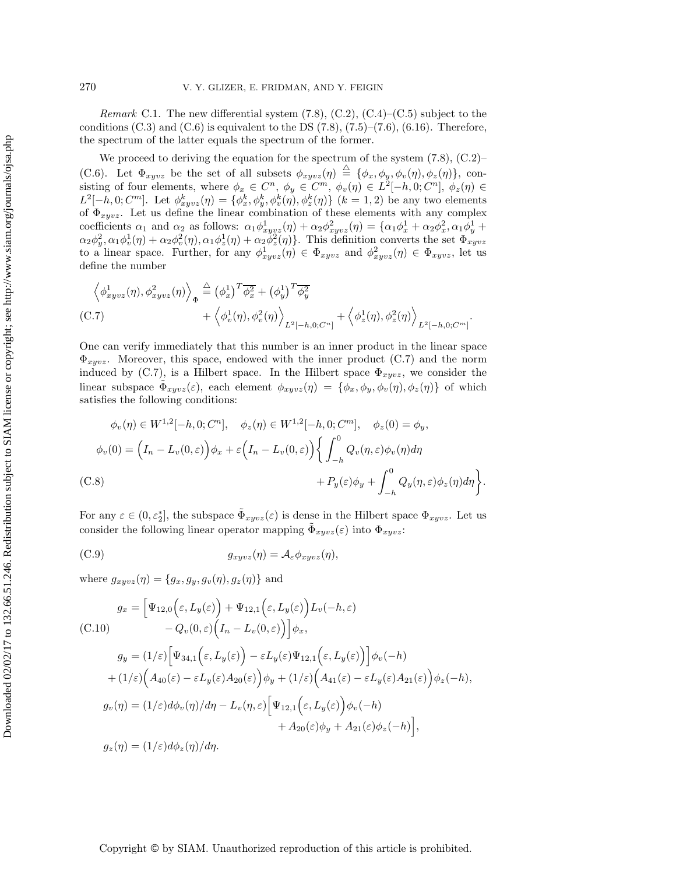*Remark* C.1. The new differential system [\(7.8\)](#page-17-3), [\(C.2\)](#page-33-1), [\(C.4\)](#page-33-2)–[\(C.5\)](#page-33-3) subject to the conditions  $(C.3)$  and  $(C.6)$  is equivalent to the DS  $(7.8)$ ,  $(7.5)$ – $(7.6)$ ,  $(6.16)$ . Therefore, the spectrum of the latter equals the spectrum of the former.

We proceed to deriving the equation for the spectrum of the system  $(7.8)$ ,  $(C.2)$ – [\(C.6\)](#page-33-5). Let  $\Phi_{xyvz}$  be the set of all subsets  $\phi_{xyvz}(\eta) \stackrel{\triangle}{=} {\phi_x, \phi_y, \phi_v(\eta), \phi_z(\eta)}$ , consisting of four elements, where  $\phi_x \in C^n$ ,  $\phi_y \in C^m$ ,  $\phi_v(\eta) \in L^2[-h, 0; C^n]$ ,  $\phi_z(\eta) \in$  $L^2[-h,0;C^m]$ . Let  $\phi_{xyvz}^k(\eta) = \{\phi_x^k, \phi_y^k, \phi_v^k(\eta), \phi_z^k(\eta)\}\ (k=1,2)$  be any two elements of  $\Phi_{xyvz}$ . Let us define the linear combination of these elements with any complex coefficients  $\alpha_1$  and  $\alpha_2$  as follows:  $\alpha_1 \phi_{xyyz}^1(\eta) + \alpha_2 \phi_{xyyz}^2(\eta) = {\alpha_1 \phi_x^1 + \alpha_2 \phi_x^2, \alpha_1 \phi_y^1 + \alpha_2 \phi_y^2, \alpha_2 \phi_y^2, \alpha_3 \phi_y^2 + \alpha_3 \phi_y^2, \alpha_4 \phi_y^2 + \alpha_5 \phi_y^2, \alpha_5 \phi_y^2 + \alpha_6 \phi_y^2, \alpha_7 \phi_y^2 + \alpha_7 \phi_y^2$  $\alpha_2\phi_y^2, \alpha_1\phi_v^1(\eta) + \alpha_2\phi_v^2(\eta), \alpha_1\phi_z^1(\eta) + \alpha_2\phi_z^2(\eta)$ . This definition converts the set  $\Phi_{xyvz}$ to a linear space. Further, for any  $\phi_{xyvz}^1(\eta) \in \Phi_{xyvz}$  and  $\phi_{xyvz}^2(\eta) \in \Phi_{xyvz}$ , let us define the number

<span id="page-34-0"></span>
$$
\left\langle \phi_{xyvz}^1(\eta), \phi_{xyvz}^2(\eta) \right\rangle_{\Phi} \stackrel{\triangle}{=} \left( \phi_x^1 \right)^T \overline{\phi_x^2} + \left( \phi_y^1 \right)^T \overline{\phi_y^2} \n+ \left\langle \phi_v^1(\eta), \phi_v^2(\eta) \right\rangle_{L^2[-h,0;C^n]} + \left\langle \phi_z^1(\eta), \phi_z^2(\eta) \right\rangle_{L^2[-h,0;C^m]}.
$$
\n(C.7)

One can verify immediately that this number is an inner product in the linear space  $\Phi_{xuvz}$ . Moreover, this space, endowed with the inner product [\(C.7\)](#page-34-0) and the norm induced by [\(C.7\)](#page-34-0), is a Hilbert space. In the Hilbert space  $\Phi_{xyvz}$ , we consider the linear subspace  $\Phi_{xyvz}(\varepsilon)$ , each element  $\phi_{xyvz}(\eta) = {\phi_x, \phi_y, \phi_v(\eta), \phi_z(\eta)}$  of which satisfies the following conditions:

$$
\phi_v(\eta) \in W^{1,2}[-h, 0; C^n], \quad \phi_z(\eta) \in W^{1,2}[-h, 0; C^m], \quad \phi_z(0) = \phi_y,
$$
  

$$
\phi_v(0) = \left(I_n - L_v(0, \varepsilon)\right)\phi_x + \varepsilon \left(I_n - L_v(0, \varepsilon)\right) \left\{ \int_{-h}^0 Q_v(\eta, \varepsilon) \phi_v(\eta) d\eta + P_y(\varepsilon)\phi_y + \int_{-h}^0 Q_y(\eta, \varepsilon) \phi_z(\eta) d\eta \right\}.
$$
  
(C.8)

For any  $\varepsilon \in (0, \varepsilon_2^*]$ , the subspace  $\tilde{\Phi}_{xyvz}(\varepsilon)$  is dense in the Hilbert space  $\Phi_{xyvz}$ . Let us consider the following linear operator mapping  $\Phi_{xuvz}(\varepsilon)$  into  $\Phi_{xuvz}$ :

<span id="page-34-1"></span>(C.9) 
$$
g_{xyvz}(\eta) = \mathcal{A}_{\varepsilon} \phi_{xyvz}(\eta),
$$

where  $g_{xyvz}(\eta) = \{g_x, g_y, g_v(\eta), g_z(\eta)\}\$ and

<span id="page-34-2"></span>
$$
g_x = \left[\Psi_{12,0}\left(\varepsilon, L_y(\varepsilon)\right) + \Psi_{12,1}\left(\varepsilon, L_y(\varepsilon)\right)L_v(-h, \varepsilon)\right] - Q_v(0, \varepsilon)\left(I_n - L_v(0, \varepsilon)\right)\right]\phi_x,
$$

<span id="page-34-3"></span>
$$
g_y = (1/\varepsilon) \Big[ \Psi_{34,1} \Big( \varepsilon, L_y(\varepsilon) \Big) - \varepsilon L_y(\varepsilon) \Psi_{12,1} \Big( \varepsilon, L_y(\varepsilon) \Big) \Big] \phi_v(-h)
$$
  
+ 
$$
(1/\varepsilon) \Big( A_{40}(\varepsilon) - \varepsilon L_y(\varepsilon) A_{20}(\varepsilon) \Big) \phi_y + (1/\varepsilon) \Big( A_{41}(\varepsilon) - \varepsilon L_y(\varepsilon) A_{21}(\varepsilon) \Big) \phi_z(-h),
$$
  

$$
g_v(\eta) = (1/\varepsilon) d\phi_v(\eta) / d\eta - L_v(\eta, \varepsilon) \Big[ \Psi_{12,1} \Big( \varepsilon, L_y(\varepsilon) \Big) \phi_v(-h)
$$
  
+ 
$$
A_{20}(\varepsilon) \phi_y + A_{21}(\varepsilon) \phi_z(-h) \Big],
$$
  

$$
g_z(\eta) = (1/\varepsilon) d\phi_z(\eta) / d\eta.
$$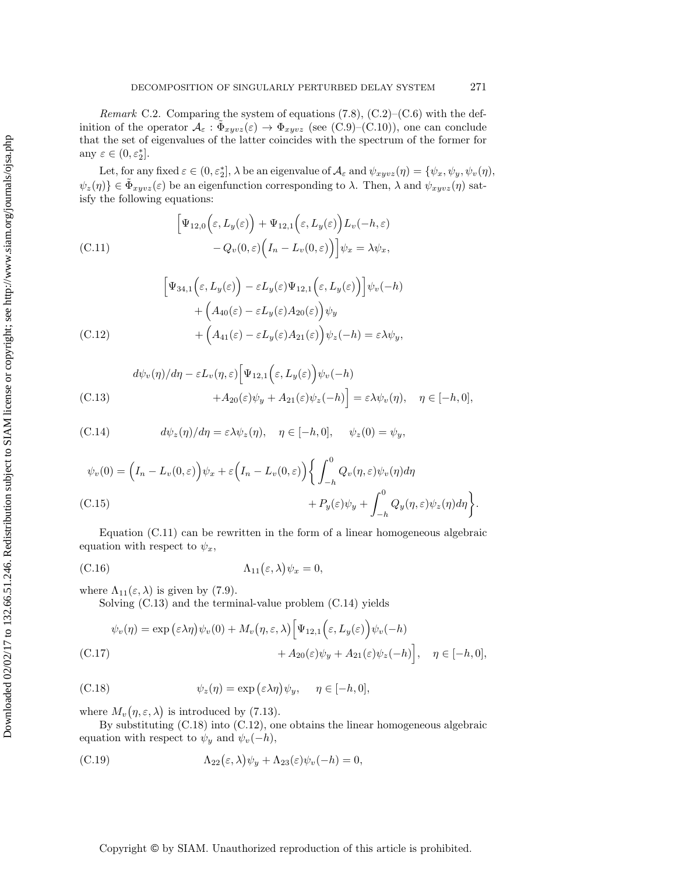*Remark* C.2. Comparing the system of equations [\(7.8\)](#page-17-3), [\(C.2\)](#page-33-1)–[\(C.6\)](#page-33-5) with the definition of the operator  $\mathcal{A}_{\varepsilon}: \tilde{\Phi}_{xyvz}(\varepsilon) \to \Phi_{xyvz}$  (see [\(C.9\)](#page-34-1)–[\(C.10\)](#page-34-2)), one can conclude that the set of eigenvalues of the latter coincides with the spectrum of the former for any  $\varepsilon \in (0, \varepsilon_2^*]$ .

Let, for any fixed  $\varepsilon \in (0, \varepsilon_2^*]$ ,  $\lambda$  be an eigenvalue of  $\mathcal{A}_{\varepsilon}$  and  $\psi_{xyvz}(\eta) = \{\psi_x, \psi_y, \psi_v(\eta),\}$  $\psi_z(\eta) \in \Phi_{xyvz}(\varepsilon)$  be an eigenfunction corresponding to  $\lambda$ . Then,  $\lambda$  and  $\psi_{xyvz}(\eta)$  satisfy the following equations:

<span id="page-35-0"></span>(C.11) 
$$
\begin{aligned} \left[\Psi_{12,0}\left(\varepsilon,L_y(\varepsilon)\right)+\Psi_{12,1}\left(\varepsilon,L_y(\varepsilon)\right)L_v(-h,\varepsilon)\\ -Q_v(0,\varepsilon)\Big(I_n-L_v(0,\varepsilon)\Big)\right]\psi_x=\lambda\psi_x, \end{aligned}
$$

<span id="page-35-4"></span>
$$
\begin{aligned}\n\left[\Psi_{34,1}\Big(\varepsilon,L_y(\varepsilon)\Big)-\varepsilon L_y(\varepsilon)\Psi_{12,1}\Big(\varepsilon,L_y(\varepsilon)\Big)\right]\psi_v(-h) \\
&+\left(A_{40}(\varepsilon)-\varepsilon L_y(\varepsilon)A_{20}(\varepsilon)\right)\psi_y \\
&+\left(A_{41}(\varepsilon)-\varepsilon L_y(\varepsilon)A_{21}(\varepsilon)\right)\psi_z(-h)=\varepsilon\lambda\psi_y,\n\end{aligned}
$$
\n(C.12)

<span id="page-35-1"></span>
$$
d\psi_v(\eta)/d\eta - \varepsilon L_v(\eta, \varepsilon) \Big[ \Psi_{12,1} \Big( \varepsilon, L_y(\varepsilon) \Big) \psi_v(-h)
$$
  
(C.13)  

$$
+ A_{20}(\varepsilon) \psi_y + A_{21}(\varepsilon) \psi_z(-h) \Big] = \varepsilon \lambda \psi_v(\eta), \quad \eta \in [-h, 0],
$$

<span id="page-35-2"></span>(C.14) 
$$
d\psi_z(\eta)/d\eta = \varepsilon \lambda \psi_z(\eta), \quad \eta \in [-h, 0], \quad \psi_z(0) = \psi_y,
$$

<span id="page-35-6"></span>
$$
\psi_v(0) = \left(I_n - L_v(0,\varepsilon)\right)\psi_x + \varepsilon \left(I_n - L_v(0,\varepsilon)\right) \left\{ \int_{-h}^0 Q_v(\eta,\varepsilon)\psi_v(\eta) d\eta \right\}.
$$
  
(C.15)  

$$
+ P_y(\varepsilon)\psi_y + \int_{-h}^0 Q_y(\eta,\varepsilon)\psi_z(\eta) d\eta \right\}.
$$

Equation [\(C.11\)](#page-35-0) can be rewritten in the form of a linear homogeneous algebraic equation with respect to  $\psi_x$ ,

(C.16) 
$$
\Lambda_{11}(\varepsilon,\lambda)\psi_x=0,
$$

where  $\Lambda_{11}(\varepsilon,\lambda)$  is given by [\(7.9\)](#page-17-1).

<span id="page-35-7"></span><span id="page-35-5"></span>Solving [\(C.13\)](#page-35-1) and the terminal-value problem [\(C.14\)](#page-35-2) yields

$$
\psi_v(\eta) = \exp\left(\varepsilon \lambda \eta\right) \psi_v(0) + M_v\left(\eta, \varepsilon, \lambda\right) \left[\Psi_{12,1}\left(\varepsilon, L_y(\varepsilon)\right) \psi_v(-h) \right] + A_{20}(\varepsilon) \psi_y + A_{21}(\varepsilon) \psi_z(-h)\right], \quad \eta \in [-h, 0],
$$

<span id="page-35-3"></span>(C.18) 
$$
\psi_z(\eta) = \exp(\varepsilon \lambda \eta) \psi_y, \quad \eta \in [-h, 0],
$$

where  $M_v(\eta, \varepsilon, \lambda)$  is introduced by [\(7.13\)](#page-18-6).

By substituting [\(C.18\)](#page-35-3) into [\(C.12\)](#page-35-4), one obtains the linear homogeneous algebraic equation with respect to  $\psi_y$  and  $\psi_v(-h)$ ,

<span id="page-35-8"></span>(C.19) 
$$
\Lambda_{22}(\varepsilon,\lambda)\psi_y + \Lambda_{23}(\varepsilon)\psi_v(-h) = 0,
$$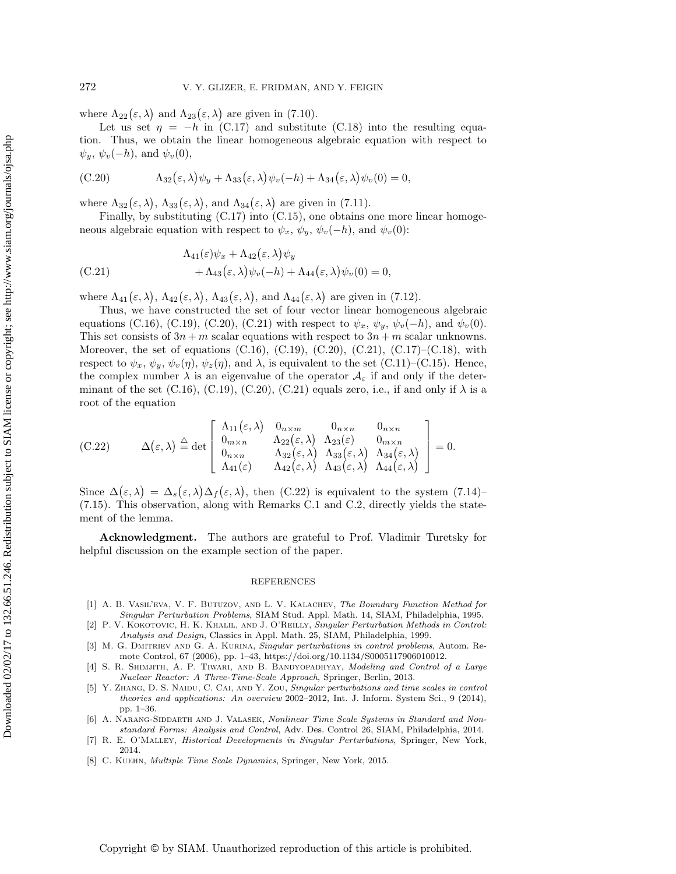where  $\Lambda_{22}(\varepsilon,\lambda)$  and  $\Lambda_{23}(\varepsilon,\lambda)$  are given in [\(7.10\)](#page-17-4).

Let us set  $\eta = -h$  in [\(C.17\)](#page-35-5) and substitute [\(C.18\)](#page-35-3) into the resulting equation. Thus, we obtain the linear homogeneous algebraic equation with respect to  $\psi_y, \psi_v(-h)$ , and  $\psi_v(0)$ ,

<span id="page-36-8"></span>(C.20) 
$$
\Lambda_{32}(\varepsilon,\lambda)\psi_y + \Lambda_{33}(\varepsilon,\lambda)\psi_v(-h) + \Lambda_{34}(\varepsilon,\lambda)\psi_v(0) = 0,
$$

where  $\Lambda_{32}(\varepsilon,\lambda)$ ,  $\Lambda_{33}(\varepsilon,\lambda)$ , and  $\Lambda_{34}(\varepsilon,\lambda)$  are given in [\(7.11\)](#page-17-5).

Finally, by substituting [\(C.17\)](#page-35-5) into [\(C.15\)](#page-35-6), one obtains one more linear homogeneous algebraic equation with respect to  $\psi_x$ ,  $\psi_y$ ,  $\psi_v(-h)$ , and  $\psi_v(0)$ :

<span id="page-36-9"></span>
$$
\Lambda_{41}(\varepsilon)\psi_x + \Lambda_{42}(\varepsilon,\lambda)\psi_y \n+ \Lambda_{43}(\varepsilon,\lambda)\psi_v(-h) + \Lambda_{44}(\varepsilon,\lambda)\psi_v(0) = 0,
$$

where  $\Lambda_{41}(\varepsilon,\lambda), \Lambda_{42}(\varepsilon,\lambda), \Lambda_{43}(\varepsilon,\lambda),$  and  $\Lambda_{44}(\varepsilon,\lambda)$  are given in [\(7.12\)](#page-17-2).

Thus, we have constructed the set of four vector linear homogeneous algebraic equations [\(C.16\)](#page-35-7), [\(C.19\)](#page-35-8), [\(C.20\)](#page-36-8), [\(C.21\)](#page-36-9) with respect to  $\psi_x, \psi_y, \psi_v(-h)$ , and  $\psi_v(0)$ . This set consists of  $3n + m$  scalar equations with respect to  $3n + m$  scalar unknowns. Moreover, the set of equations  $(C.16)$ ,  $(C.19)$ ,  $(C.20)$ ,  $(C.21)$ ,  $(C.17)$ – $(C.18)$ , with respect to  $\psi_x$ ,  $\psi_y$ ,  $\psi_v(\eta)$ ,  $\psi_z(\eta)$ , and  $\lambda$ , is equivalent to the set [\(C.11\)](#page-35-0)–[\(C.15\)](#page-35-6). Hence, the complex number  $\lambda$  is an eigenvalue of the operator  $\mathcal{A}_{\varepsilon}$  if and only if the determinant of the set  $(C.16)$ ,  $(C.19)$ ,  $(C.20)$ ,  $(C.21)$  equals zero, i.e., if and only if  $\lambda$  is a root of the equation

<span id="page-36-10"></span>(C.22) 
$$
\Delta(\varepsilon,\lambda) \stackrel{\triangle}{=} \det \begin{bmatrix} \Lambda_{11}(\varepsilon,\lambda) & 0_{n \times m} & 0_{n \times n} & 0_{n \times n} \\ 0_{m \times n} & \Lambda_{22}(\varepsilon,\lambda) & \Lambda_{23}(\varepsilon) & 0_{m \times n} \\ 0_{n \times n} & \Lambda_{32}(\varepsilon,\lambda) & \Lambda_{33}(\varepsilon,\lambda) & \Lambda_{34}(\varepsilon,\lambda) \\ \Lambda_{41}(\varepsilon) & \Lambda_{42}(\varepsilon,\lambda) & \Lambda_{43}(\varepsilon,\lambda) & \Lambda_{44}(\varepsilon,\lambda) \end{bmatrix} = 0.
$$

Since  $\Delta(\varepsilon,\lambda) = \Delta_s(\varepsilon,\lambda) \Delta_f(\varepsilon,\lambda)$ , then [\(C.22\)](#page-36-10) is equivalent to the system [\(7.14\)](#page-18-0)– [\(7.15\)](#page-18-1). This observation, along with Remarks [C.1](#page-33-6) and [C.2,](#page-34-3) directly yields the statement of the lemma.

**Acknowledgment.** The authors are grateful to Prof. Vladimir Turetsky for helpful discussion on the example section of the paper.

#### REFERENCES

- <span id="page-36-0"></span>[1] A. B. Vasil'eva, V. F. Butuzov, and L. V. Kalachev, The Boundary Function Method for Singular Perturbation Problems, SIAM Stud. Appl. Math. 14, SIAM, Philadelphia, 1995.
- <span id="page-36-1"></span>[2] P. V. KOKOTOVIC, H. K. KHALIL, AND J. O'REILLY, Singular Perturbation Methods in Control: Analysis and Design, Classics in Appl. Math. 25, SIAM, Philadelphia, 1999.
- <span id="page-36-2"></span>[3] M. G. Dmitriev and G. A. Kurina, Singular perturbations in control problems, Autom. Remote Control, 67 (2006), pp. 1–43, [https://doi.org/10.1134/S0005117906010012.](https://doi.org/10.1134/S0005117906010012)
- <span id="page-36-3"></span>[4] S. R. SHIMJITH, A. P. TIWARI, AND B. BANDYOPADHYAY, Modeling and Control of a Large Nuclear Reactor: A Three-Time-Scale Approach, Springer, Berlin, 2013.
- <span id="page-36-4"></span>[5] Y. ZHANG, D. S. NAIDU, C. CAI, AND Y. ZOU, Singular perturbations and time scales in control theories and applications: An overview 2002–2012, Int. J. Inform. System Sci., 9 (2014), pp. 1–36.
- <span id="page-36-5"></span>[6] A. NARANG-SIDDARTH AND J. VALASEK, Nonlinear Time Scale Systems in Standard and Nonstandard Forms: Analysis and Control, Adv. Des. Control 26, SIAM, Philadelphia, 2014.
- <span id="page-36-6"></span>[7] R. E. O'Malley, Historical Developments in Singular Perturbations, Springer, New York, 2014.
- <span id="page-36-7"></span>[8] C. Kuehn, Multiple Time Scale Dynamics, Springer, New York, 2015.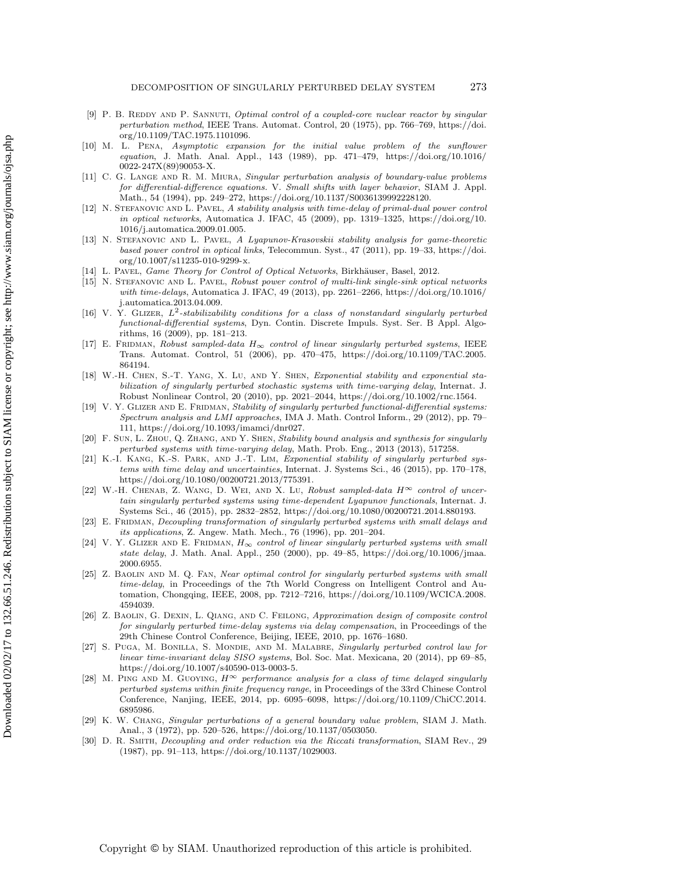- <span id="page-37-0"></span>[9] P. B. REDDY AND P. SANNUTI, Optimal control of a coupled-core nuclear reactor by singular perturbation method, IEEE Trans. Automat. Control, 20 (1975), pp. 766–769, [https://doi.](https://doi.org/10.1109/TAC.1975.1101096) [org/10.1109/TAC.1975.1101096.](https://doi.org/10.1109/TAC.1975.1101096)
- <span id="page-37-1"></span>[10] M. L. Pena, Asymptotic expansion for the initial value problem of the sunflower equation, J. Math. Anal. Appl., 143 (1989), pp. 471–479, [https://doi.org/10.1016/](https://doi.org/10.1016/0022-247X(89)90053-X) [0022-247X\(89\)90053-X.](https://doi.org/10.1016/0022-247X(89)90053-X)
- <span id="page-37-2"></span>[11] C. G. Lange and R. M. Miura, Singular perturbation analysis of boundary-value problems for differential-difference equations. V. Small shifts with layer behavior, SIAM J. Appl. Math., 54 (1994), pp. 249–272, [https://doi.org/10.1137/S0036139992228120.](https://doi.org/10.1137/S0036139992228120)
- <span id="page-37-3"></span>[12] N. STEFANOVIC AND L. PAVEL, A stability analysis with time-delay of primal-dual power control in optical networks, Automatica J. IFAC, 45 (2009), pp. 1319–1325, [https://doi.org/10.](https://doi.org/10.1016/j.automatica.2009.01.005) [1016/j.automatica.2009.01.005.](https://doi.org/10.1016/j.automatica.2009.01.005)
- <span id="page-37-4"></span>[13] N. STEFANOVIC AND L. PAVEL, A Lyapunov-Krasovskii stability analysis for game-theoretic based power control in optical links, Telecommun. Syst., 47 (2011), pp. 19–33, [https://doi.](https://doi.org/10.1007/s11235-010-9299-x) [org/10.1007/s11235-010-9299-x.](https://doi.org/10.1007/s11235-010-9299-x)
- <span id="page-37-6"></span><span id="page-37-5"></span>[14] L. PAVEL, Game Theory for Control of Optical Networks, Birkhäuser, Basel, 2012.
- [15] N. Stefanovic and L. Pavel, Robust power control of multi-link single-sink optical networks with time-delays, Automatica J. IFAC, 49 (2013), pp. 2261–2266, [https://doi.org/10.1016/](https://doi.org/10.1016/j.automatica.2013.04.009) [j.automatica.2013.04.009.](https://doi.org/10.1016/j.automatica.2013.04.009)
- <span id="page-37-7"></span>[16] V. Y. Glizer, *L*2-stabilizability conditions for a class of nonstandard singularly perturbed functional-differential systems, Dyn. Contin. Discrete Impuls. Syst. Ser. B Appl. Algorithms, 16 (2009), pp. 181–213.
- <span id="page-37-8"></span>[17] E. FRIDMAN, Robust sampled-data  $H_{\infty}$  control of linear singularly perturbed systems, IEEE Trans. Automat. Control, 51 (2006), pp. 470–475, [https://doi.org/10.1109/TAC.2005.](https://doi.org/10.1109/TAC.2005.864194) [864194.](https://doi.org/10.1109/TAC.2005.864194)
- <span id="page-37-9"></span>[18] W.-H. CHEN, S.-T. YANG, X. LU, AND Y. SHEN, Exponential stability and exponential stabilization of singularly perturbed stochastic systems with time-varying delay, Internat. J. Robust Nonlinear Control, 20 (2010), pp. 2021–2044, [https://doi.org/10.1002/rnc.1564.](https://doi.org/10.1002/rnc.1564)
- <span id="page-37-10"></span>[19] V. Y. GLIZER AND E. FRIDMAN, Stability of singularly perturbed functional-differential systems: Spectrum analysis and LMI approaches, IMA J. Math. Control Inform., 29 (2012), pp. 79– 111, [https://doi.org/10.1093/imamci/dnr027.](https://doi.org/10.1093/imamci/dnr027)
- <span id="page-37-11"></span>[20] F. Sun, L. Zhou, Q. Zhang, and Y. Shen, Stability bound analysis and synthesis for singularly perturbed systems with time-varying delay, Math. Prob. Eng., 2013 (2013), 517258.
- <span id="page-37-12"></span>[21] K.-I. KANG, K.-S. PARK, AND J.-T. LIM, Exponential stability of singularly perturbed systems with time delay and uncertainties, Internat. J. Systems Sci., 46 (2015), pp. 170–178, [https://doi.org/10.1080/00200721.2013/775391.](https://doi.org/10.1080/00200721.2013/775391)
- <span id="page-37-13"></span>[22] W.-H. Chenab, Z. Wang, D. Wei, and X. Lu, Robust sampled-data *H*<sup>∞</sup> control of uncertain singularly perturbed systems using time-dependent Lyapunov functionals, Internat. J. Systems Sci., 46 (2015), pp. 2832–2852, [https://doi.org/10.1080/00200721.2014.880193.](https://doi.org/10.1080/00200721.2014.880193)
- <span id="page-37-14"></span>[23] E. FRIDMAN, Decoupling transformation of singularly perturbed systems with small delays and its applications, Z. Angew. Math. Mech., 76 (1996), pp. 201–204.
- <span id="page-37-15"></span>[24] V. Y. GLIZER AND E. FRIDMAN, *H*<sub>∞</sub> control of linear singularly perturbed systems with small state delay, J. Math. Anal. Appl., 250 (2000), pp. 49–85, [https://doi.org/10.1006/jmaa.](https://doi.org/10.1006/jmaa.2000.6955) [2000.6955.](https://doi.org/10.1006/jmaa.2000.6955)
- <span id="page-37-16"></span>[25] Z. Baolin and M. Q. Fan, Near optimal control for singularly perturbed systems with small time-delay, in Proceedings of the 7th World Congress on Intelligent Control and Automation, Chongqing, IEEE, 2008, pp. 7212–7216, [https://doi.org/10.1109/WCICA.2008.](https://doi.org/10.1109/WCICA.2008.4594039) [4594039.](https://doi.org/10.1109/WCICA.2008.4594039)
- <span id="page-37-17"></span>[26] Z. Baolin, G. Dexin, L. Qiang, and C. Feilong, Approximation design of composite control for singularly perturbed time-delay systems via delay compensation, in Proceedings of the 29th Chinese Control Conference, Beijing, IEEE, 2010, pp. 1676–1680.
- <span id="page-37-18"></span>[27] S. Puga, M. Bonilla, S. Mondie, and M. Malabre, Singularly perturbed control law for linear time-invariant delay SISO systems, Bol. Soc. Mat. Mexicana, 20 (2014), pp 69–85, [https://doi.org/10.1007/s40590-013-0003-5.](https://doi.org/10.1007/s40590-013-0003-5)
- <span id="page-37-19"></span>[28] M. Ping and M. Guoying, *H*<sup>∞</sup> performance analysis for a class of time delayed singularly perturbed systems within finite frequency range, in Proceedings of the 33rd Chinese Control Conference, Nanjing, IEEE, 2014, pp. 6095–6098, [https://doi.org/10.1109/ChiCC.2014.](https://doi.org/10.1109/ChiCC.2014.6895986) [6895986.](https://doi.org/10.1109/ChiCC.2014.6895986)
- <span id="page-37-20"></span>[29] K. W. Chang, Singular perturbations of a general boundary value problem, SIAM J. Math. Anal., 3 (1972), pp. 520–526, [https://doi.org/10.1137/0503050.](https://doi.org/10.1137/0503050)
- <span id="page-37-21"></span>[30] D. R. Smith, Decoupling and order reduction via the Riccati transformation, SIAM Rev., 29 (1987), pp. 91–113, [https://doi.org/10.1137/1029003.](https://doi.org/10.1137/1029003)